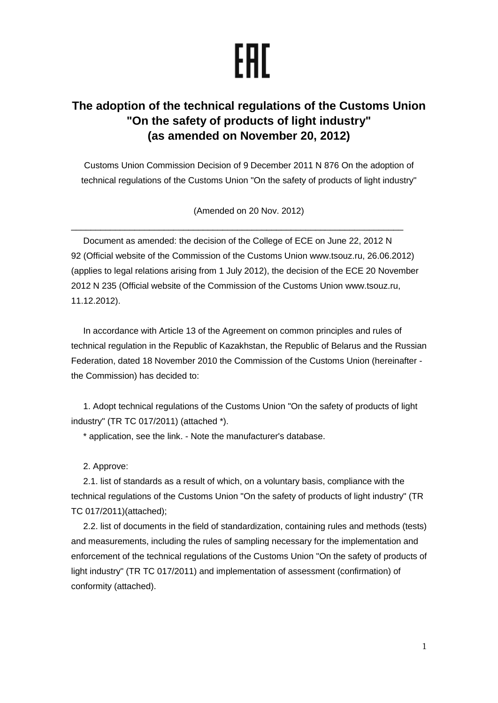## EAL

## **The adoption of the technical regulations of the Customs Union "On the safety of products of light industry" (as amended on November 20, 2012)**

Customs Union Commission Decision of 9 December 2011 N 876 On the adoption of technical regulations of the Customs Union "On the safety of products of light industry"

(Amended on 20 Nov. 2012)

 $\_$  , and the set of the set of the set of the set of the set of the set of the set of the set of the set of the set of the set of the set of the set of the set of the set of the set of the set of the set of the set of th

Document as amended: the decision of the College of ECE on June 22, 2012 N 92 (Official website of the Commission of the Customs Union www.tsouz.ru, 26.06.2012) (applies to legal relations arising from 1 July 2012), the decision of the ECE 20 November 2012 N 235 (Official website of the Commission of the Customs Union www.tsouz.ru, 11.12.2012).

In accordance with Article 13 of the Agreement on common principles and rules of technical regulation in the Republic of Kazakhstan, the Republic of Belarus and the Russian Federation, dated 18 November 2010 the Commission of the Customs Union (hereinafter the Commission) has decided to:

1. Adopt technical regulations of the Customs Union "On the safety of products of light industry" (TR TC 017/2011) (attached \*).

\* application, see the link. - Note the manufacturer's database.

2. Approve:

2.1. list of standards as a result of which, on a voluntary basis, compliance with the technical regulations of the Customs Union "On the safety of products of light industry" (TR TC 017/2011)(attached);

2.2. list of documents in the field of standardization, containing rules and methods (tests) and measurements, including the rules of sampling necessary for the implementation and enforcement of the technical regulations of the Customs Union "On the safety of products of light industry" (TR TC 017/2011) and implementation of assessment (confirmation) of conformity (attached).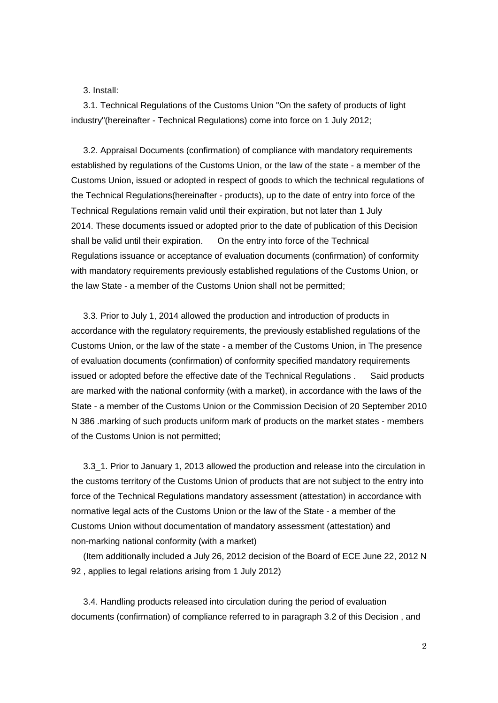3. Install:

3.1. Technical Regulations of the Customs Union "On the safety of products of light industry"(hereinafter - Technical Regulations) come into force on 1 July 2012;

3.2. Appraisal Documents (confirmation) of compliance with mandatory requirements established by regulations of the Customs Union, or the law of the state - a member of the Customs Union, issued or adopted in respect of goods to which the technical regulations of the Technical Regulations(hereinafter - products), up to the date of entry into force of the Technical Regulations remain valid until their expiration, but not later than 1 July 2014. These documents issued or adopted prior to the date of publication of this Decision shall be valid until their expiration. On the entry into force of the Technical Regulations issuance or acceptance of evaluation documents (confirmation) of conformity with mandatory requirements previously established regulations of the Customs Union, or the law State - a member of the Customs Union shall not be permitted;

3.3. Prior to July 1, 2014 allowed the production and introduction of products in accordance with the regulatory requirements, the previously established regulations of the Customs Union, or the law of the state - a member of the Customs Union, in The presence of evaluation documents (confirmation) of conformity specified mandatory requirements issued or adopted before the effective date of the Technical Regulations . Said products are marked with the national conformity (with a market), in accordance with the laws of the State - a member of the Customs Union or the Commission Decision of 20 September 2010 N 386 .marking of such products uniform mark of products on the market states - members of the Customs Union is not permitted;

3.3\_1. Prior to January 1, 2013 allowed the production and release into the circulation in the customs territory of the Customs Union of products that are not subject to the entry into force of the Technical Regulations mandatory assessment (attestation) in accordance with normative legal acts of the Customs Union or the law of the State - a member of the Customs Union without documentation of mandatory assessment (attestation) and non-marking national conformity (with a market)

(Item additionally included a July 26, 2012 decision of the Board of ECE June 22, 2012 N 92 , applies to legal relations arising from 1 July 2012)

3.4. Handling products released into circulation during the period of evaluation documents (confirmation) of compliance referred to in paragraph 3.2 of this Decision , and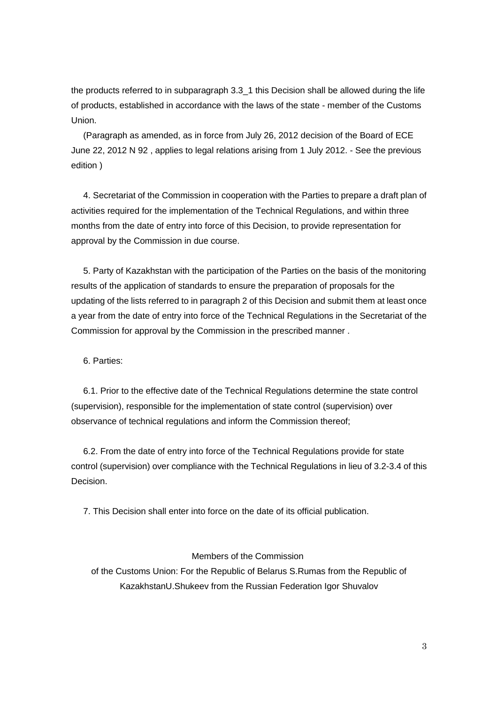the products referred to in subparagraph 3.3 1 this Decision shall be allowed during the life of products, established in accordance with the laws of the state - member of the Customs Union.

(Paragraph as amended, as in force from July 26, 2012 decision of the Board of ECE June 22, 2012 N 92 , applies to legal relations arising from 1 July 2012. - See the previous edition )

4. Secretariat of the Commission in cooperation with the Parties to prepare a draft plan of activities required for the implementation of the Technical Regulations, and within three months from the date of entry into force of this Decision, to provide representation for approval by the Commission in due course.

5. Party of Kazakhstan with the participation of the Parties on the basis of the monitoring results of the application of standards to ensure the preparation of proposals for the updating of the lists referred to in paragraph 2 of this Decision and submit them at least once a year from the date of entry into force of the Technical Regulations in the Secretariat of the Commission for approval by the Commission in the prescribed manner .

6. Parties:

6.1. Prior to the effective date of the Technical Regulations determine the state control (supervision), responsible for the implementation of state control (supervision) over observance of technical regulations and inform the Commission thereof;

6.2. From the date of entry into force of the Technical Regulations provide for state control (supervision) over compliance with the Technical Regulations in lieu of 3.2-3.4 of this Decision.

7. This Decision shall enter into force on the date of its official publication.

## Members of the Commission

of the Customs Union: For the Republic of Belarus S.Rumas from the Republic of KazakhstanU.Shukeev from the Russian Federation Igor Shuvalov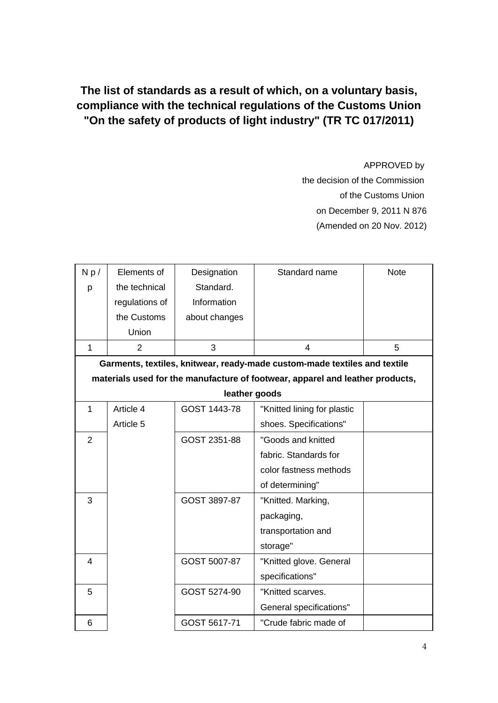**The list of standards as a result of which, on a voluntary basis, compliance with the technical regulations of the Customs Union "On the safety of products of light industry" (TR TC 017/2011)**

APPROVED by

the decision of the Commission of the Customs Union on December 9, 2011 N 876 (Amended on 20 Nov. 2012)

| Np/            | Elements of                                                               | Designation   | Standard name                                                                 | <b>Note</b> |  |
|----------------|---------------------------------------------------------------------------|---------------|-------------------------------------------------------------------------------|-------------|--|
| p              | the technical                                                             | Standard.     |                                                                               |             |  |
|                | regulations of                                                            | Information   |                                                                               |             |  |
|                | the Customs                                                               |               |                                                                               |             |  |
|                |                                                                           | about changes |                                                                               |             |  |
|                | Union                                                                     |               |                                                                               |             |  |
| 1              | $\overline{2}$                                                            | 3             | 4                                                                             | 5           |  |
|                | Garments, textiles, knitwear, ready-made custom-made textiles and textile |               |                                                                               |             |  |
|                |                                                                           |               | materials used for the manufacture of footwear, apparel and leather products, |             |  |
|                |                                                                           | leather goods |                                                                               |             |  |
| 1              | Article 4                                                                 | GOST 1443-78  | "Knitted lining for plastic                                                   |             |  |
|                | Article 5                                                                 |               | shoes. Specifications"                                                        |             |  |
| $\overline{2}$ |                                                                           | GOST 2351-88  | "Goods and knitted                                                            |             |  |
|                |                                                                           |               | fabric. Standards for                                                         |             |  |
|                |                                                                           |               | color fastness methods                                                        |             |  |
|                |                                                                           |               | of determining"                                                               |             |  |
| 3              |                                                                           | GOST 3897-87  | "Knitted. Marking,                                                            |             |  |
|                |                                                                           |               | packaging,                                                                    |             |  |
|                |                                                                           |               | transportation and                                                            |             |  |
|                |                                                                           |               | storage"                                                                      |             |  |
| $\overline{4}$ |                                                                           | GOST 5007-87  | "Knitted glove. General                                                       |             |  |
|                |                                                                           |               | specifications"                                                               |             |  |
| 5              |                                                                           | GOST 5274-90  | "Knitted scarves.                                                             |             |  |
|                |                                                                           |               | General specifications"                                                       |             |  |
| 6              |                                                                           | GOST 5617-71  | "Crude fabric made of                                                         |             |  |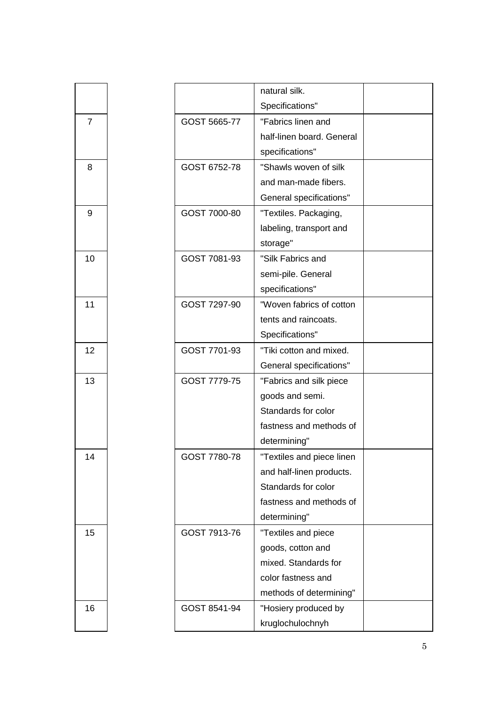|                |              | natural silk.             |  |
|----------------|--------------|---------------------------|--|
|                |              | Specifications"           |  |
| $\overline{7}$ | GOST 5665-77 | "Fabrics linen and        |  |
|                |              | half-linen board. General |  |
|                |              | specifications"           |  |
| 8              | GOST 6752-78 | "Shawls woven of silk     |  |
|                |              | and man-made fibers.      |  |
|                |              | General specifications"   |  |
| 9              | GOST 7000-80 | "Textiles. Packaging,     |  |
|                |              | labeling, transport and   |  |
|                |              | storage"                  |  |
| 10             | GOST 7081-93 | "Silk Fabrics and         |  |
|                |              | semi-pile. General        |  |
|                |              | specifications"           |  |
| 11             | GOST 7297-90 | "Woven fabrics of cotton  |  |
|                |              | tents and raincoats.      |  |
|                |              | Specifications"           |  |
| 12             | GOST 7701-93 | "Tiki cotton and mixed.   |  |
|                |              | General specifications"   |  |
| 13             | GOST 7779-75 | "Fabrics and silk piece   |  |
|                |              | goods and semi.           |  |
|                |              | Standards for color       |  |
|                |              | fastness and methods of   |  |
|                |              | determining"              |  |
| 14             | GOST 7780-78 | "Textiles and piece linen |  |
|                |              | and half-linen products.  |  |
|                |              | Standards for color       |  |
|                |              | fastness and methods of   |  |
|                |              | determining"              |  |
| 15             | GOST 7913-76 | "Textiles and piece       |  |
|                |              | goods, cotton and         |  |
|                |              | mixed. Standards for      |  |
|                |              | color fastness and        |  |
|                |              | methods of determining"   |  |
| 16             | GOST 8541-94 | "Hosiery produced by      |  |
|                |              | kruglochulochnyh          |  |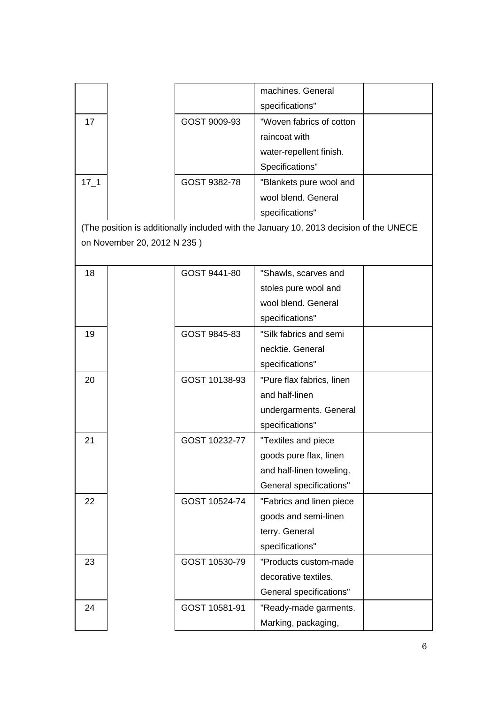|          |                             |               | machines. General                                                                      |  |
|----------|-----------------------------|---------------|----------------------------------------------------------------------------------------|--|
|          |                             |               | specifications"                                                                        |  |
| 17       |                             | GOST 9009-93  | "Woven fabrics of cotton                                                               |  |
|          |                             |               | raincoat with                                                                          |  |
|          |                             |               | water-repellent finish.                                                                |  |
|          |                             |               | Specifications"                                                                        |  |
| $17 - 1$ |                             | GOST 9382-78  | "Blankets pure wool and                                                                |  |
|          |                             |               | wool blend. General                                                                    |  |
|          |                             |               | specifications"                                                                        |  |
|          |                             |               | (The position is additionally included with the January 10, 2013 decision of the UNECE |  |
|          | on November 20, 2012 N 235) |               |                                                                                        |  |
|          |                             |               |                                                                                        |  |
| 18       |                             | GOST 9441-80  | "Shawls, scarves and                                                                   |  |
|          |                             |               | stoles pure wool and                                                                   |  |
|          |                             |               | wool blend. General                                                                    |  |
|          |                             |               | specifications"                                                                        |  |
| 19       |                             | GOST 9845-83  | "Silk fabrics and semi                                                                 |  |
|          |                             |               | necktie. General                                                                       |  |
|          |                             |               | specifications"                                                                        |  |
| 20       |                             | GOST 10138-93 | "Pure flax fabrics, linen                                                              |  |
|          |                             |               | and half-linen                                                                         |  |
|          |                             |               | undergarments. General                                                                 |  |
|          |                             |               | specifications"                                                                        |  |
| 21       |                             | GOST 10232-77 | "Textiles and piece                                                                    |  |
|          |                             |               | goods pure flax, linen                                                                 |  |
|          |                             |               | and half-linen toweling.                                                               |  |
|          |                             |               | General specifications"                                                                |  |
| 22       |                             | GOST 10524-74 | "Fabrics and linen piece                                                               |  |
|          |                             |               | goods and semi-linen                                                                   |  |
|          |                             |               | terry. General                                                                         |  |
|          |                             |               | specifications"                                                                        |  |
| 23       |                             | GOST 10530-79 | "Products custom-made                                                                  |  |
|          |                             |               | decorative textiles.                                                                   |  |
|          |                             |               | General specifications"                                                                |  |
| 24       |                             | GOST 10581-91 | "Ready-made garments.                                                                  |  |
|          |                             |               | Marking, packaging,                                                                    |  |
|          |                             |               |                                                                                        |  |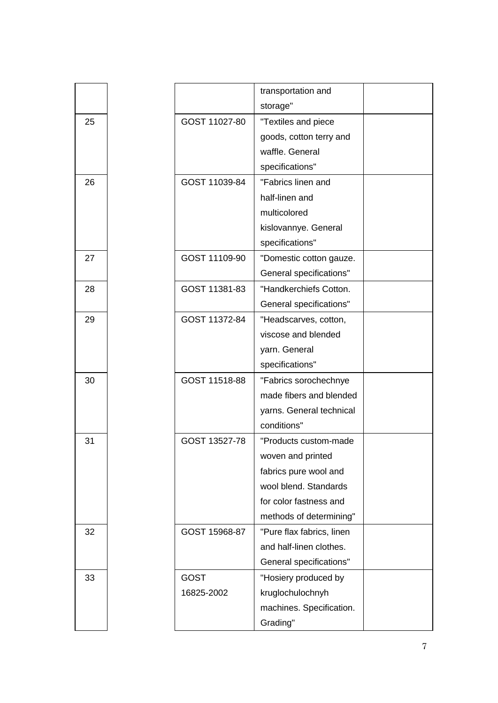|    |               | transportation and        |  |
|----|---------------|---------------------------|--|
|    |               | storage"                  |  |
| 25 | GOST 11027-80 | "Textiles and piece       |  |
|    |               | goods, cotton terry and   |  |
|    |               | waffle. General           |  |
|    |               | specifications"           |  |
| 26 | GOST 11039-84 | "Fabrics linen and        |  |
|    |               | half-linen and            |  |
|    |               | multicolored              |  |
|    |               | kislovannye. General      |  |
|    |               | specifications"           |  |
| 27 | GOST 11109-90 | "Domestic cotton gauze.   |  |
|    |               | General specifications"   |  |
| 28 | GOST 11381-83 | "Handkerchiefs Cotton.    |  |
|    |               | General specifications"   |  |
| 29 | GOST 11372-84 | "Headscarves, cotton,     |  |
|    |               | viscose and blended       |  |
|    |               | yarn. General             |  |
|    |               | specifications"           |  |
| 30 | GOST 11518-88 | "Fabrics sorochechnye     |  |
|    |               | made fibers and blended   |  |
|    |               | yarns. General technical  |  |
|    |               | conditions"               |  |
| 31 | GOST 13527-78 | "Products custom-made     |  |
|    |               | woven and printed         |  |
|    |               | fabrics pure wool and     |  |
|    |               | wool blend. Standards     |  |
|    |               | for color fastness and    |  |
|    |               | methods of determining"   |  |
| 32 | GOST 15968-87 | "Pure flax fabrics, linen |  |
|    |               | and half-linen clothes.   |  |
|    |               | General specifications"   |  |
| 33 | <b>GOST</b>   | "Hosiery produced by      |  |
|    | 16825-2002    | kruglochulochnyh          |  |
|    |               | machines. Specification.  |  |
|    |               | Grading"                  |  |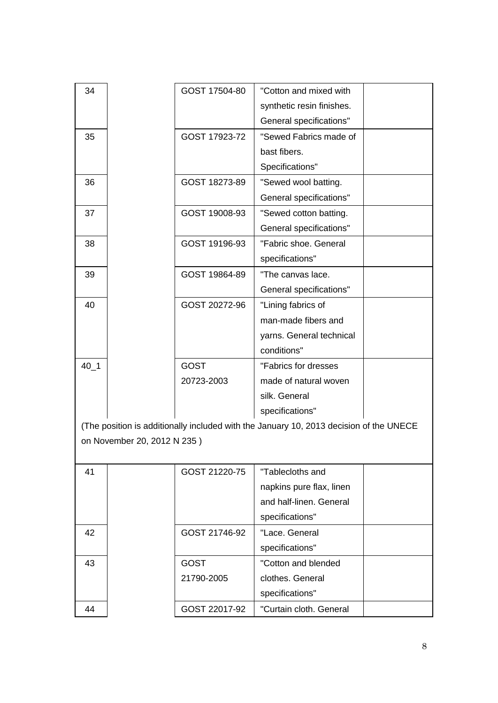| 34       |                             | GOST 17504-80 | "Cotton and mixed with                                                                 |  |
|----------|-----------------------------|---------------|----------------------------------------------------------------------------------------|--|
|          |                             |               | synthetic resin finishes.                                                              |  |
|          |                             |               | General specifications"                                                                |  |
|          |                             |               |                                                                                        |  |
| 35       |                             | GOST 17923-72 | "Sewed Fabrics made of                                                                 |  |
|          |                             |               | bast fibers.                                                                           |  |
|          |                             |               | Specifications"                                                                        |  |
| 36       |                             | GOST 18273-89 | "Sewed wool batting.                                                                   |  |
|          |                             |               | General specifications"                                                                |  |
| 37       |                             | GOST 19008-93 | "Sewed cotton batting.                                                                 |  |
|          |                             |               | General specifications"                                                                |  |
| 38       |                             | GOST 19196-93 | "Fabric shoe. General                                                                  |  |
|          |                             |               | specifications"                                                                        |  |
| 39       |                             | GOST 19864-89 | "The canvas lace.                                                                      |  |
|          |                             |               | General specifications"                                                                |  |
| 40       |                             | GOST 20272-96 | "Lining fabrics of                                                                     |  |
|          |                             |               | man-made fibers and                                                                    |  |
|          |                             |               | yarns. General technical                                                               |  |
|          |                             |               | conditions"                                                                            |  |
| $40 - 1$ |                             | <b>GOST</b>   | "Fabrics for dresses                                                                   |  |
|          |                             | 20723-2003    | made of natural woven                                                                  |  |
|          |                             |               | silk. General                                                                          |  |
|          |                             |               | specifications"                                                                        |  |
|          |                             |               | (The position is additionally included with the January 10, 2013 decision of the UNECE |  |
|          | on November 20, 2012 N 235) |               |                                                                                        |  |
|          |                             |               |                                                                                        |  |
| 41       |                             | GOST 21220-75 | "Tablecloths and                                                                       |  |
|          |                             |               | napkins pure flax, linen                                                               |  |
|          |                             |               | and half-linen. General                                                                |  |
|          |                             |               | specifications"                                                                        |  |
|          |                             |               |                                                                                        |  |
| 42       |                             | GOST 21746-92 | "Lace. General                                                                         |  |
|          |                             |               | specifications"                                                                        |  |
| 43       |                             | <b>GOST</b>   | "Cotton and blended                                                                    |  |
|          |                             | 21790-2005    | clothes. General                                                                       |  |
|          |                             |               | specifications"                                                                        |  |
| 44       |                             | GOST 22017-92 | "Curtain cloth. General                                                                |  |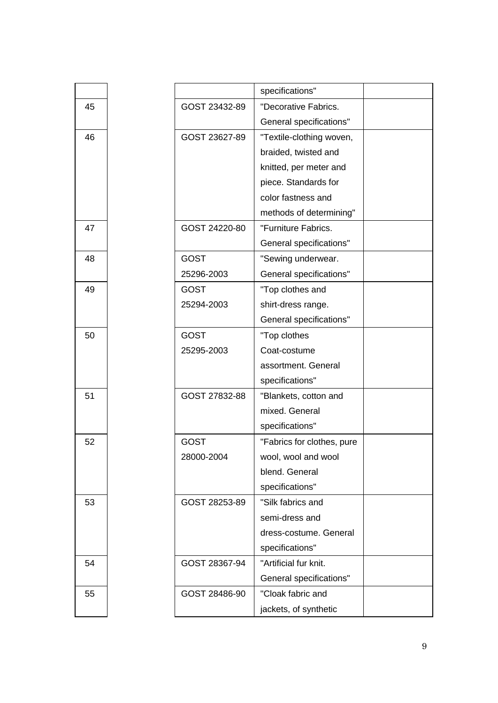|    |               | specifications"            |  |
|----|---------------|----------------------------|--|
| 45 | GOST 23432-89 | "Decorative Fabrics.       |  |
|    |               | General specifications"    |  |
| 46 | GOST 23627-89 | "Textile-clothing woven,   |  |
|    |               | braided, twisted and       |  |
|    |               | knitted, per meter and     |  |
|    |               | piece. Standards for       |  |
|    |               | color fastness and         |  |
|    |               | methods of determining"    |  |
| 47 | GOST 24220-80 | "Furniture Fabrics.        |  |
|    |               | General specifications"    |  |
| 48 | <b>GOST</b>   | "Sewing underwear.         |  |
|    | 25296-2003    | General specifications"    |  |
| 49 | <b>GOST</b>   | "Top clothes and           |  |
|    | 25294-2003    | shirt-dress range.         |  |
|    |               | General specifications"    |  |
| 50 | <b>GOST</b>   | "Top clothes               |  |
|    | 25295-2003    | Coat-costume               |  |
|    |               | assortment. General        |  |
|    |               | specifications"            |  |
| 51 | GOST 27832-88 | "Blankets, cotton and      |  |
|    |               | mixed. General             |  |
|    |               | specifications"            |  |
| 52 | <b>GOST</b>   | "Fabrics for clothes, pure |  |
|    | 28000-2004    | wool, wool and wool        |  |
|    |               | blend. General             |  |
|    |               | specifications"            |  |
| 53 | GOST 28253-89 | "Silk fabrics and          |  |
|    |               | semi-dress and             |  |
|    |               | dress-costume. General     |  |
|    |               | specifications"            |  |
| 54 | GOST 28367-94 | "Artificial fur knit.      |  |
|    |               | General specifications"    |  |
| 55 | GOST 28486-90 | "Cloak fabric and          |  |
|    |               | jackets, of synthetic      |  |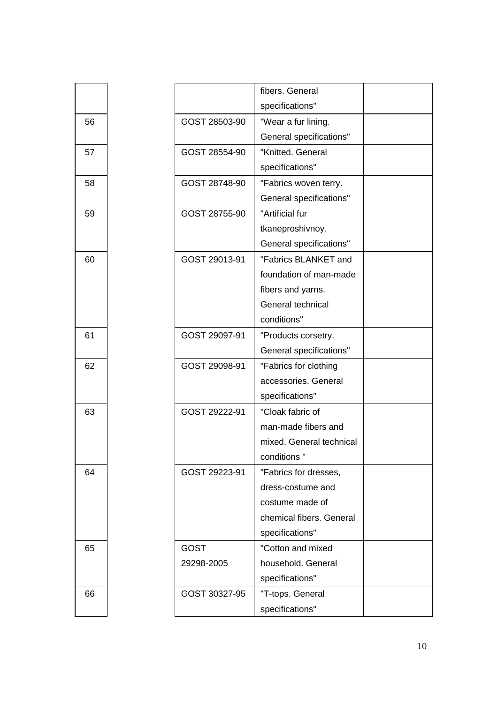|    |               | fibers. General          |  |
|----|---------------|--------------------------|--|
|    |               |                          |  |
|    |               | specifications"          |  |
| 56 | GOST 28503-90 | "Wear a fur lining.      |  |
|    |               | General specifications"  |  |
| 57 | GOST 28554-90 | "Knitted. General        |  |
|    |               | specifications"          |  |
| 58 | GOST 28748-90 | "Fabrics woven terry.    |  |
|    |               | General specifications"  |  |
| 59 | GOST 28755-90 | "Artificial fur          |  |
|    |               | tkaneproshivnoy.         |  |
|    |               | General specifications"  |  |
| 60 | GOST 29013-91 | "Fabrics BLANKET and     |  |
|    |               | foundation of man-made   |  |
|    |               | fibers and yarns.        |  |
|    |               | General technical        |  |
|    |               | conditions"              |  |
| 61 | GOST 29097-91 | "Products corsetry.      |  |
|    |               | General specifications"  |  |
| 62 | GOST 29098-91 | "Fabrics for clothing    |  |
|    |               | accessories. General     |  |
|    |               | specifications"          |  |
| 63 | GOST 29222-91 | "Cloak fabric of         |  |
|    |               | man-made fibers and      |  |
|    |               | mixed. General technical |  |
|    |               | conditions "             |  |
| 64 | GOST 29223-91 | "Fabrics for dresses,    |  |
|    |               | dress-costume and        |  |
|    |               | costume made of          |  |
|    |               | chemical fibers. General |  |
|    |               | specifications"          |  |
| 65 | <b>GOST</b>   | "Cotton and mixed        |  |
|    | 29298-2005    | household. General       |  |
|    |               | specifications"          |  |
|    |               |                          |  |
| 66 | GOST 30327-95 | "T-tops. General         |  |
|    |               | specifications"          |  |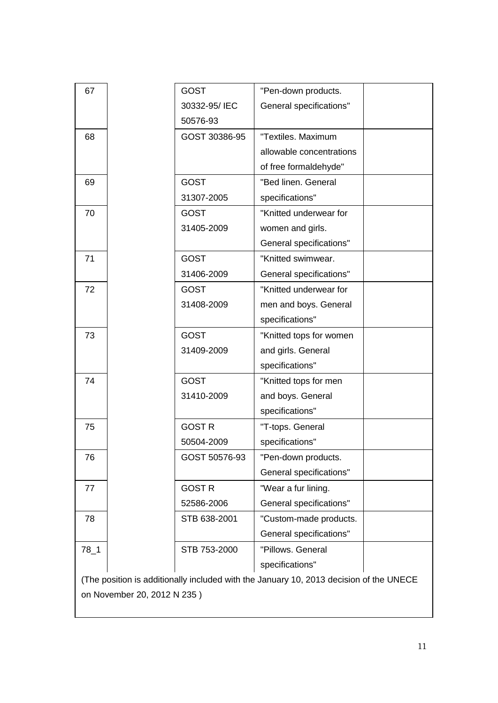| 67       |                             | <b>GOST</b>   | "Pen-down products.                                                                    |  |
|----------|-----------------------------|---------------|----------------------------------------------------------------------------------------|--|
|          |                             | 30332-95/IEC  | General specifications"                                                                |  |
|          |                             | 50576-93      |                                                                                        |  |
| 68       |                             | GOST 30386-95 | "Textiles. Maximum                                                                     |  |
|          |                             |               | allowable concentrations                                                               |  |
|          |                             |               | of free formaldehyde"                                                                  |  |
| 69       |                             | <b>GOST</b>   | "Bed linen. General                                                                    |  |
|          |                             | 31307-2005    | specifications"                                                                        |  |
| 70       |                             | <b>GOST</b>   | "Knitted underwear for                                                                 |  |
|          |                             | 31405-2009    | women and girls.                                                                       |  |
|          |                             |               | General specifications"                                                                |  |
| 71       |                             | <b>GOST</b>   | "Knitted swimwear.                                                                     |  |
|          |                             | 31406-2009    | General specifications"                                                                |  |
| 72       |                             | <b>GOST</b>   | "Knitted underwear for                                                                 |  |
|          |                             | 31408-2009    | men and boys. General                                                                  |  |
|          |                             |               | specifications"                                                                        |  |
| 73       |                             | <b>GOST</b>   | "Knitted tops for women                                                                |  |
|          |                             | 31409-2009    | and girls. General                                                                     |  |
|          |                             |               | specifications"                                                                        |  |
| 74       |                             | <b>GOST</b>   | "Knitted tops for men                                                                  |  |
|          |                             | 31410-2009    | and boys. General                                                                      |  |
|          |                             |               | specifications"                                                                        |  |
| 75       |                             | <b>GOST R</b> | "T-tops. General                                                                       |  |
|          |                             | 50504-2009    | specifications"                                                                        |  |
| 76       |                             | GOST 50576-93 | "Pen-down products.                                                                    |  |
|          |                             |               | General specifications"                                                                |  |
| 77       |                             | <b>GOST R</b> | "Wear a fur lining.                                                                    |  |
|          |                             | 52586-2006    | General specifications"                                                                |  |
| 78       |                             | STB 638-2001  | "Custom-made products.                                                                 |  |
|          |                             |               | General specifications"                                                                |  |
| $78 - 1$ |                             | STB 753-2000  | "Pillows. General                                                                      |  |
|          |                             |               | specifications"                                                                        |  |
|          |                             |               | (The position is additionally included with the January 10, 2013 decision of the UNECE |  |
|          | on November 20, 2012 N 235) |               |                                                                                        |  |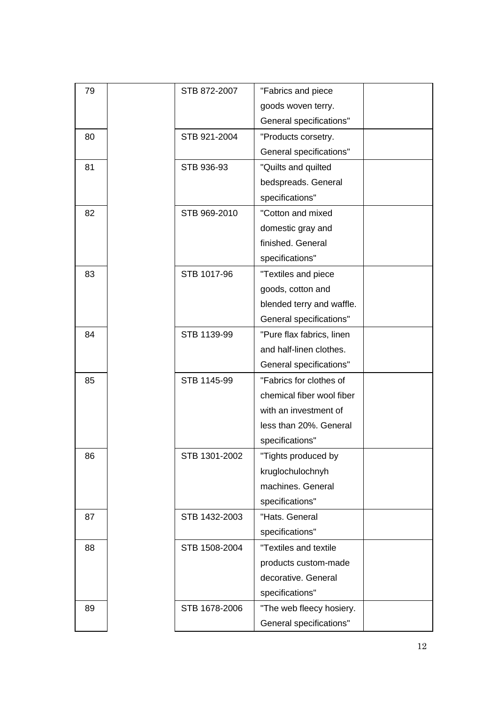| 79 | STB 872-2007  | "Fabrics and piece        |  |
|----|---------------|---------------------------|--|
|    |               | goods woven terry.        |  |
|    |               | General specifications"   |  |
| 80 | STB 921-2004  | "Products corsetry.       |  |
|    |               | General specifications"   |  |
| 81 | STB 936-93    | "Quilts and quilted       |  |
|    |               | bedspreads. General       |  |
|    |               | specifications"           |  |
| 82 | STB 969-2010  | "Cotton and mixed         |  |
|    |               | domestic gray and         |  |
|    |               | finished. General         |  |
|    |               | specifications"           |  |
| 83 | STB 1017-96   | "Textiles and piece       |  |
|    |               | goods, cotton and         |  |
|    |               | blended terry and waffle. |  |
|    |               | General specifications"   |  |
| 84 | STB 1139-99   | "Pure flax fabrics, linen |  |
|    |               | and half-linen clothes.   |  |
|    |               | General specifications"   |  |
| 85 | STB 1145-99   | "Fabrics for clothes of   |  |
|    |               | chemical fiber wool fiber |  |
|    |               | with an investment of     |  |
|    |               | less than 20%. General    |  |
|    |               | specifications"           |  |
| 86 | STB 1301-2002 | "Tights produced by       |  |
|    |               | kruglochulochnyh          |  |
|    |               | machines. General         |  |
|    |               | specifications"           |  |
| 87 | STB 1432-2003 | "Hats. General            |  |
|    |               | specifications"           |  |
| 88 | STB 1508-2004 | "Textiles and textile     |  |
|    |               | products custom-made      |  |
|    |               | decorative. General       |  |
|    |               | specifications"           |  |
| 89 | STB 1678-2006 | "The web fleecy hosiery.  |  |
|    |               | General specifications"   |  |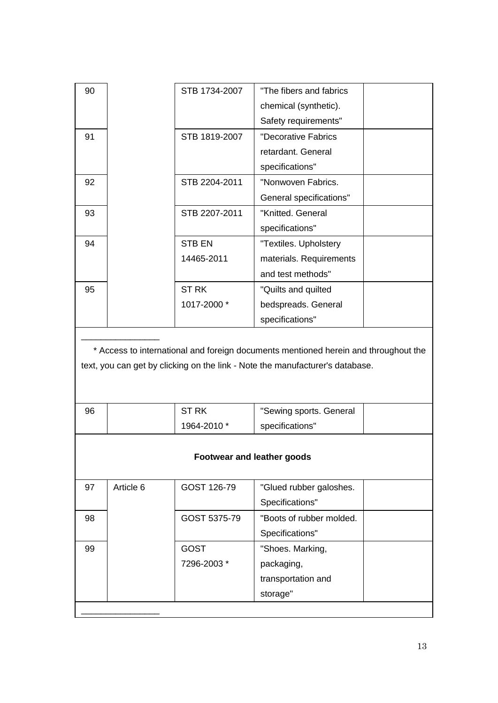| 90 | STB 1734-2007 | "The fibers and fabrics |  |
|----|---------------|-------------------------|--|
|    |               | chemical (synthetic).   |  |
|    |               | Safety requirements"    |  |
| 91 | STB 1819-2007 | "Decorative Fabrics     |  |
|    |               | retardant. General      |  |
|    |               | specifications"         |  |
| 92 | STB 2204-2011 | "Nonwoven Fabrics.      |  |
|    |               | General specifications" |  |
| 93 | STB 2207-2011 | "Knitted. General       |  |
|    |               | specifications"         |  |
| 94 | STB EN        | "Textiles. Upholstery   |  |
|    | 14465-2011    | materials. Requirements |  |
|    |               | and test methods"       |  |
| 95 | <b>STRK</b>   | "Quilts and quilted     |  |
|    | 1017-2000 *   | bedspreads. General     |  |
|    |               | specifications"         |  |
|    |               |                         |  |

\* Access to international and foreign documents mentioned herein and throughout the text, you can get by clicking on the link - Note the manufacturer's database.

| 96 | <b>ST RK</b> | "Sewing sports. General |  |
|----|--------------|-------------------------|--|
|    | 1964-2010 *  | specifications"         |  |

## **Footwear and leather goods**

| 97 | Article 6 | GOST 126-79  | "Glued rubber galoshes.  |
|----|-----------|--------------|--------------------------|
|    |           |              |                          |
|    |           |              | Specifications"          |
| 98 |           | GOST 5375-79 | "Boots of rubber molded. |
|    |           |              | Specifications"          |
| 99 |           | <b>GOST</b>  | "Shoes. Marking,         |
|    |           | 7296-2003 *  | packaging,               |
|    |           |              | transportation and       |
|    |           |              | storage"                 |
|    |           |              |                          |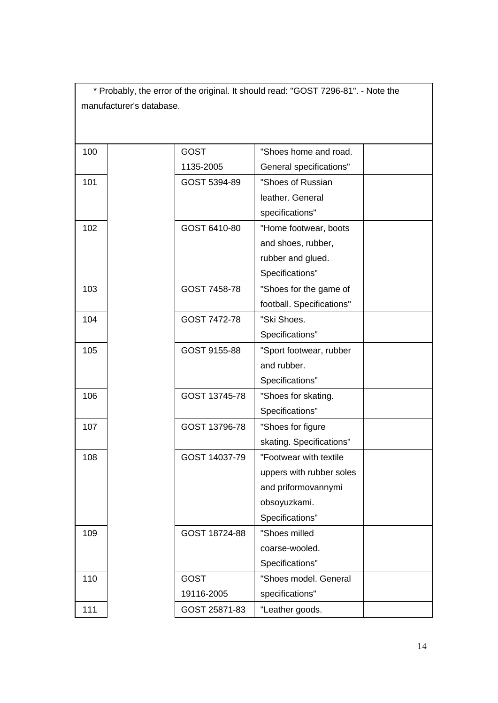| * Probably, the error of the original. It should read: "GOST 7296-81". - Note the |                          |               |                           |  |  |
|-----------------------------------------------------------------------------------|--------------------------|---------------|---------------------------|--|--|
|                                                                                   | manufacturer's database. |               |                           |  |  |
|                                                                                   |                          |               |                           |  |  |
|                                                                                   |                          |               |                           |  |  |
| 100                                                                               |                          | <b>GOST</b>   | "Shoes home and road.     |  |  |
|                                                                                   |                          | 1135-2005     | General specifications"   |  |  |
| 101                                                                               |                          | GOST 5394-89  | "Shoes of Russian         |  |  |
|                                                                                   |                          |               | leather, General          |  |  |
|                                                                                   |                          |               | specifications"           |  |  |
| 102                                                                               |                          | GOST 6410-80  | "Home footwear, boots     |  |  |
|                                                                                   |                          |               | and shoes, rubber,        |  |  |
|                                                                                   |                          |               | rubber and glued.         |  |  |
|                                                                                   |                          |               | Specifications"           |  |  |
| 103                                                                               |                          | GOST 7458-78  | "Shoes for the game of    |  |  |
|                                                                                   |                          |               | football. Specifications" |  |  |
| 104                                                                               |                          | GOST 7472-78  | "Ski Shoes.               |  |  |
|                                                                                   |                          |               | Specifications"           |  |  |
| 105                                                                               |                          | GOST 9155-88  | "Sport footwear, rubber   |  |  |
|                                                                                   |                          |               | and rubber.               |  |  |
|                                                                                   |                          |               | Specifications"           |  |  |
| 106                                                                               |                          | GOST 13745-78 | "Shoes for skating.       |  |  |
|                                                                                   |                          |               | Specifications"           |  |  |
| 107                                                                               |                          | GOST 13796-78 | "Shoes for figure         |  |  |
|                                                                                   |                          |               | skating. Specifications"  |  |  |
| 108                                                                               |                          | GOST 14037-79 | "Footwear with textile    |  |  |
|                                                                                   |                          |               | uppers with rubber soles  |  |  |
|                                                                                   |                          |               | and priformovannymi       |  |  |
|                                                                                   |                          |               | obsoyuzkami.              |  |  |
|                                                                                   |                          |               | Specifications"           |  |  |
| 109                                                                               |                          | GOST 18724-88 | "Shoes milled             |  |  |
|                                                                                   |                          |               | coarse-wooled.            |  |  |
|                                                                                   |                          |               | Specifications"           |  |  |
| 110                                                                               |                          | <b>GOST</b>   | "Shoes model. General     |  |  |
|                                                                                   |                          | 19116-2005    | specifications"           |  |  |
| 111                                                                               |                          | GOST 25871-83 | "Leather goods.           |  |  |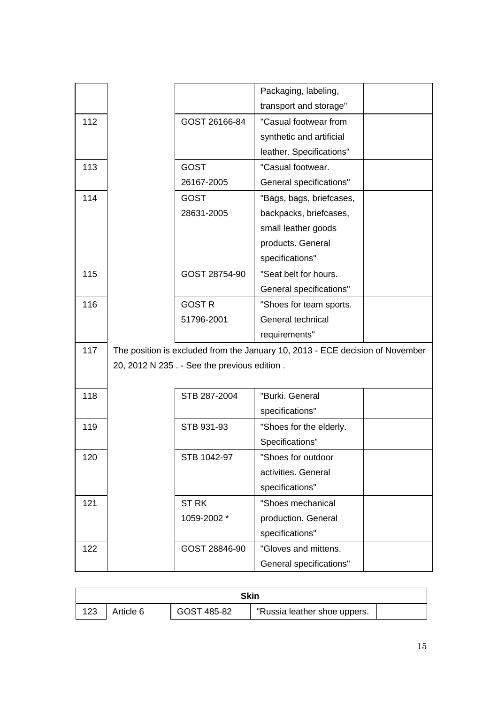|     |                                             | Packaging, labeling,                                                          |  |
|-----|---------------------------------------------|-------------------------------------------------------------------------------|--|
|     |                                             | transport and storage"                                                        |  |
| 112 | GOST 26166-84                               | "Casual footwear from                                                         |  |
|     |                                             | synthetic and artificial                                                      |  |
|     |                                             | leather. Specifications"                                                      |  |
| 113 | <b>GOST</b>                                 | "Casual footwear.                                                             |  |
|     | 26167-2005                                  | General specifications"                                                       |  |
| 114 | <b>GOST</b>                                 | "Bags, bags, briefcases,                                                      |  |
|     | 28631-2005                                  | backpacks, briefcases,                                                        |  |
|     |                                             | small leather goods                                                           |  |
|     |                                             | products. General                                                             |  |
|     |                                             | specifications"                                                               |  |
| 115 | GOST 28754-90                               | "Seat belt for hours.                                                         |  |
|     |                                             | General specifications"                                                       |  |
| 116 | <b>GOST R</b>                               | "Shoes for team sports.                                                       |  |
|     | 51796-2001                                  | General technical                                                             |  |
|     |                                             | requirements"                                                                 |  |
| 117 |                                             | The position is excluded from the January 10, 2013 - ECE decision of November |  |
|     | 20, 2012 N 235. - See the previous edition. |                                                                               |  |
|     |                                             |                                                                               |  |
| 118 | STB 287-2004                                | "Burki. General                                                               |  |
|     |                                             | specifications"                                                               |  |
| 119 | STB 931-93                                  | "Shoes for the elderly.                                                       |  |
|     |                                             | Specifications"                                                               |  |
| 120 | STB 1042-97                                 | "Shoes for outdoor                                                            |  |
|     |                                             | activities. General                                                           |  |
|     |                                             | specifications"                                                               |  |
| 121 | <b>ST RK</b>                                | "Shoes mechanical                                                             |  |
|     | 1059-2002 *                                 | production. General                                                           |  |
|     |                                             | specifications"                                                               |  |
| 122 | GOST 28846-90                               | "Gloves and mittens.                                                          |  |
|     |                                             | General specifications"                                                       |  |

| Skin |           |             |                              |  |
|------|-----------|-------------|------------------------------|--|
| 123  | Article 6 | GOST 485-82 | "Russia leather shoe uppers. |  |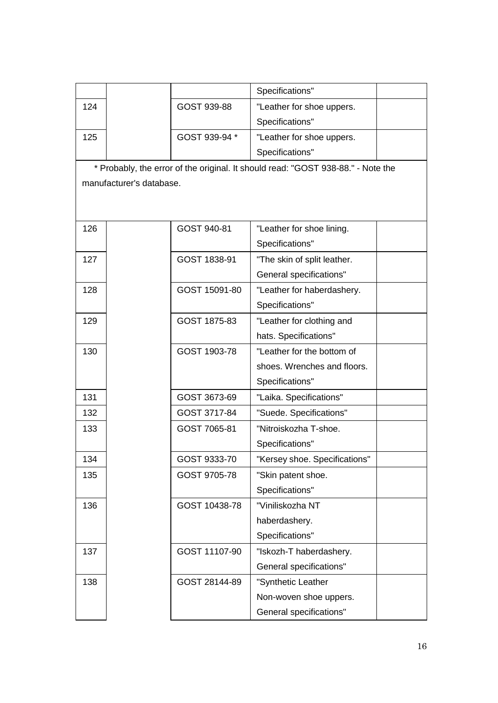|     |                          |               | Specifications"                                                                  |  |
|-----|--------------------------|---------------|----------------------------------------------------------------------------------|--|
| 124 |                          | GOST 939-88   | "Leather for shoe uppers.                                                        |  |
|     |                          |               | Specifications"                                                                  |  |
| 125 |                          | GOST 939-94 * | "Leather for shoe uppers.                                                        |  |
|     |                          |               | Specifications"                                                                  |  |
|     |                          |               | * Probably, the error of the original. It should read: "GOST 938-88." - Note the |  |
|     | manufacturer's database. |               |                                                                                  |  |
|     |                          |               |                                                                                  |  |
|     |                          |               |                                                                                  |  |
| 126 |                          | GOST 940-81   | "Leather for shoe lining.                                                        |  |
|     |                          |               | Specifications"                                                                  |  |
| 127 |                          | GOST 1838-91  | "The skin of split leather.                                                      |  |
|     |                          |               | General specifications"                                                          |  |
| 128 |                          | GOST 15091-80 | "Leather for haberdashery.                                                       |  |
|     |                          |               | Specifications"                                                                  |  |
| 129 |                          | GOST 1875-83  | "Leather for clothing and                                                        |  |
|     |                          |               | hats. Specifications"                                                            |  |
| 130 |                          | GOST 1903-78  | "Leather for the bottom of                                                       |  |
|     |                          |               | shoes. Wrenches and floors.                                                      |  |
|     |                          |               | Specifications"                                                                  |  |
| 131 |                          | GOST 3673-69  | "Laika. Specifications"                                                          |  |
| 132 |                          | GOST 3717-84  | "Suede. Specifications"                                                          |  |
| 133 |                          | GOST 7065-81  | "Nitroiskozha T-shoe.                                                            |  |
|     |                          |               | Specifications"                                                                  |  |
| 134 |                          | GOST 9333-70  | "Kersey shoe. Specifications"                                                    |  |
| 135 |                          | GOST 9705-78  | "Skin patent shoe.                                                               |  |
|     |                          |               | Specifications"                                                                  |  |
| 136 |                          | GOST 10438-78 | "Viniliskozha NT                                                                 |  |
|     |                          |               | haberdashery.                                                                    |  |

Specifications"

General specifications"

Non-woven shoe uppers. General specifications"

137 | GOST 11107-90 | "Iskozh-T haberdashery.

138 | GOST 28144-89 | "Synthetic Leather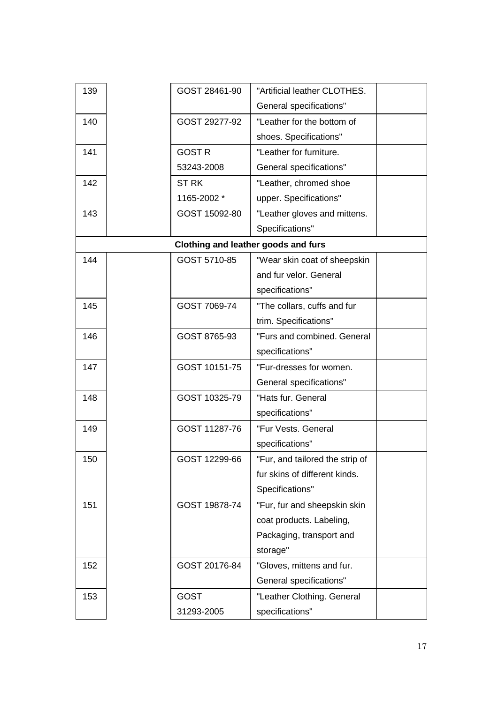| 139 | GOST 28461-90 | "Artificial leather CLOTHES.        |
|-----|---------------|-------------------------------------|
|     |               | General specifications"             |
| 140 | GOST 29277-92 | "Leather for the bottom of          |
|     |               | shoes. Specifications"              |
| 141 | <b>GOST R</b> | "Leather for furniture.             |
|     | 53243-2008    | General specifications"             |
| 142 | <b>ST RK</b>  | "Leather, chromed shoe              |
|     | 1165-2002 *   | upper. Specifications"              |
| 143 | GOST 15092-80 | "Leather gloves and mittens.        |
|     |               | Specifications"                     |
|     |               | Clothing and leather goods and furs |
| 144 | GOST 5710-85  | "Wear skin coat of sheepskin        |
|     |               | and fur velor. General              |
|     |               | specifications"                     |
| 145 | GOST 7069-74  | "The collars, cuffs and fur         |
|     |               | trim. Specifications"               |
| 146 | GOST 8765-93  | "Furs and combined. General         |
|     |               | specifications"                     |
| 147 | GOST 10151-75 | "Fur-dresses for women.             |
|     |               | General specifications"             |
| 148 | GOST 10325-79 | "Hats fur. General                  |
|     |               | specifications"                     |
| 149 | GOST 11287-76 | "Fur Vests. General                 |
|     |               | specifications"                     |
| 150 | GOST 12299-66 | "Fur, and tailored the strip of     |
|     |               | fur skins of different kinds.       |
|     |               | Specifications"                     |
| 151 | GOST 19878-74 | "Fur, fur and sheepskin skin        |
|     |               | coat products. Labeling,            |
|     |               | Packaging, transport and            |
|     |               | storage"                            |
| 152 | GOST 20176-84 | "Gloves, mittens and fur.           |
|     |               | General specifications"             |
| 153 | <b>GOST</b>   | "Leather Clothing. General          |
|     | 31293-2005    | specifications"                     |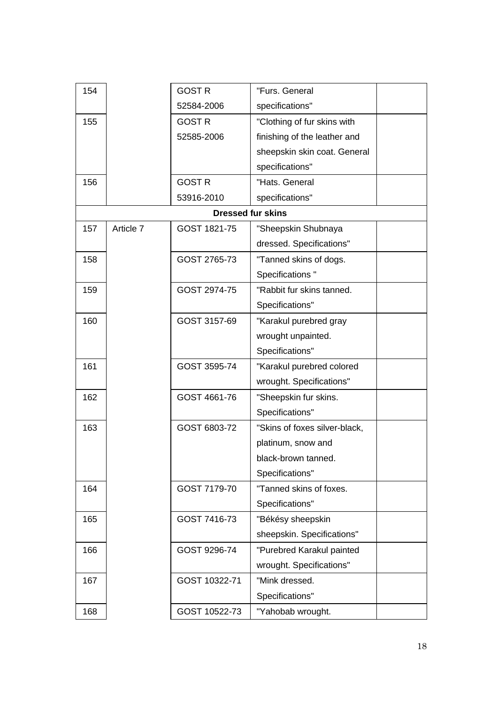| 154 |           | <b>GOST R</b> | "Furs. General                |
|-----|-----------|---------------|-------------------------------|
|     |           | 52584-2006    | specifications"               |
| 155 |           | <b>GOST R</b> | "Clothing of fur skins with   |
|     |           | 52585-2006    | finishing of the leather and  |
|     |           |               | sheepskin skin coat. General  |
|     |           |               | specifications"               |
| 156 |           | <b>GOST R</b> | "Hats. General                |
|     |           | 53916-2010    | specifications"               |
|     |           |               | <b>Dressed fur skins</b>      |
| 157 | Article 7 | GOST 1821-75  | "Sheepskin Shubnaya           |
|     |           |               | dressed. Specifications"      |
| 158 |           | GOST 2765-73  | "Tanned skins of dogs.        |
|     |           |               | Specifications"               |
| 159 |           | GOST 2974-75  | "Rabbit fur skins tanned.     |
|     |           |               | Specifications"               |
| 160 |           | GOST 3157-69  | "Karakul purebred gray        |
|     |           |               | wrought unpainted.            |
|     |           |               | Specifications"               |
| 161 |           | GOST 3595-74  | "Karakul purebred colored     |
|     |           |               | wrought. Specifications"      |
| 162 |           | GOST 4661-76  | "Sheepskin fur skins.         |
|     |           |               | Specifications"               |
| 163 |           | GOST 6803-72  | "Skins of foxes silver-black, |
|     |           |               | platinum, snow and            |
|     |           |               | black-brown tanned.           |
|     |           |               | Specifications"               |
| 164 |           | GOST 7179-70  | "Tanned skins of foxes.       |
|     |           |               | Specifications"               |
| 165 |           | GOST 7416-73  | "Békésy sheepskin             |
|     |           |               | sheepskin. Specifications"    |
| 166 |           | GOST 9296-74  | "Purebred Karakul painted     |
|     |           |               | wrought. Specifications"      |
| 167 |           | GOST 10322-71 | "Mink dressed.                |
|     |           |               | Specifications"               |
| 168 |           | GOST 10522-73 | "Yahobab wrought.             |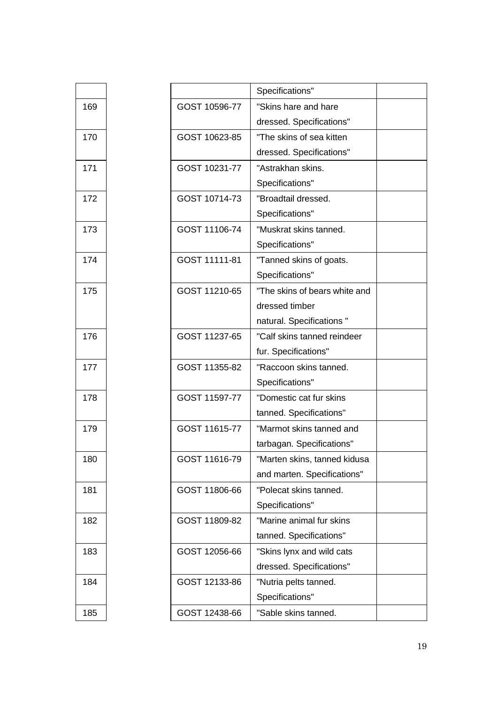|     |               | Specifications"               |  |
|-----|---------------|-------------------------------|--|
| 169 | GOST 10596-77 | "Skins hare and hare          |  |
|     |               | dressed. Specifications"      |  |
| 170 | GOST 10623-85 | "The skins of sea kitten      |  |
|     |               | dressed. Specifications"      |  |
| 171 | GOST 10231-77 | "Astrakhan skins.             |  |
|     |               | Specifications"               |  |
| 172 | GOST 10714-73 | "Broadtail dressed.           |  |
|     |               | Specifications"               |  |
| 173 | GOST 11106-74 | "Muskrat skins tanned.        |  |
|     |               | Specifications"               |  |
| 174 | GOST 11111-81 | "Tanned skins of goats.       |  |
|     |               | Specifications"               |  |
| 175 | GOST 11210-65 | "The skins of bears white and |  |
|     |               | dressed timber                |  |
|     |               | natural. Specifications "     |  |
| 176 | GOST 11237-65 | "Calf skins tanned reindeer   |  |
|     |               | fur. Specifications"          |  |
| 177 | GOST 11355-82 | "Raccoon skins tanned.        |  |
|     |               | Specifications"               |  |
| 178 | GOST 11597-77 | "Domestic cat fur skins       |  |
|     |               | tanned. Specifications"       |  |
| 179 | GOST 11615-77 | "Marmot skins tanned and      |  |
|     |               | tarbagan. Specifications"     |  |
| 180 | GOST 11616-79 | "Marten skins, tanned kidusa  |  |
|     |               | and marten. Specifications"   |  |
| 181 | GOST 11806-66 | "Polecat skins tanned.        |  |
|     |               | Specifications"               |  |
| 182 | GOST 11809-82 | "Marine animal fur skins      |  |
|     |               | tanned. Specifications"       |  |
| 183 | GOST 12056-66 | "Skins lynx and wild cats     |  |
|     |               | dressed. Specifications"      |  |
| 184 | GOST 12133-86 | "Nutria pelts tanned.         |  |
|     |               | Specifications"               |  |
| 185 | GOST 12438-66 | "Sable skins tanned.          |  |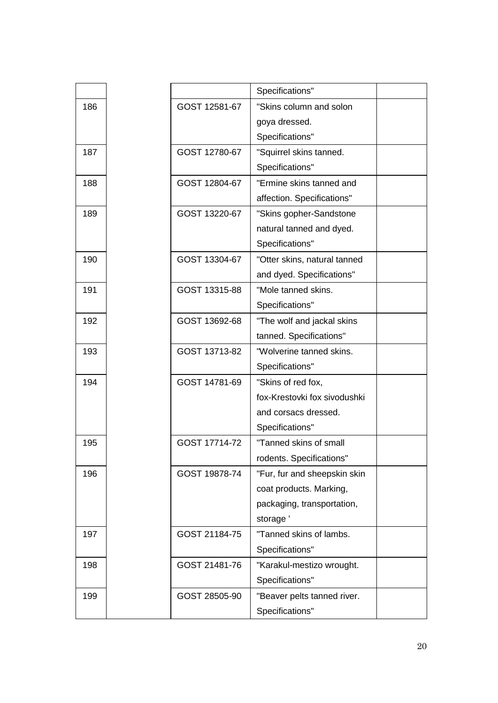|     |               | Specifications"              |  |
|-----|---------------|------------------------------|--|
| 186 | GOST 12581-67 | "Skins column and solon      |  |
|     |               | goya dressed.                |  |
|     |               | Specifications"              |  |
| 187 | GOST 12780-67 | "Squirrel skins tanned.      |  |
|     |               | Specifications"              |  |
| 188 | GOST 12804-67 | "Ermine skins tanned and     |  |
|     |               | affection. Specifications"   |  |
| 189 | GOST 13220-67 | "Skins gopher-Sandstone      |  |
|     |               | natural tanned and dyed.     |  |
|     |               | Specifications"              |  |
| 190 | GOST 13304-67 | "Otter skins, natural tanned |  |
|     |               | and dyed. Specifications"    |  |
| 191 | GOST 13315-88 | "Mole tanned skins.          |  |
|     |               | Specifications"              |  |
| 192 | GOST 13692-68 | "The wolf and jackal skins   |  |
|     |               | tanned. Specifications"      |  |
| 193 | GOST 13713-82 | "Wolverine tanned skins.     |  |
|     |               | Specifications"              |  |
| 194 | GOST 14781-69 | "Skins of red fox,           |  |
|     |               | fox-Krestovki fox sivodushki |  |
|     |               | and corsacs dressed.         |  |
|     |               | Specifications"              |  |
| 195 | GOST 17714-72 | "Tanned skins of small       |  |
|     |               | rodents. Specifications"     |  |
| 196 | GOST 19878-74 | "Fur, fur and sheepskin skin |  |
|     |               | coat products. Marking,      |  |
|     |               | packaging, transportation,   |  |
|     |               | storage'                     |  |
| 197 | GOST 21184-75 | "Tanned skins of lambs.      |  |
|     |               | Specifications"              |  |
| 198 | GOST 21481-76 | "Karakul-mestizo wrought.    |  |
|     |               | Specifications"              |  |
| 199 | GOST 28505-90 | "Beaver pelts tanned river.  |  |
|     |               | Specifications"              |  |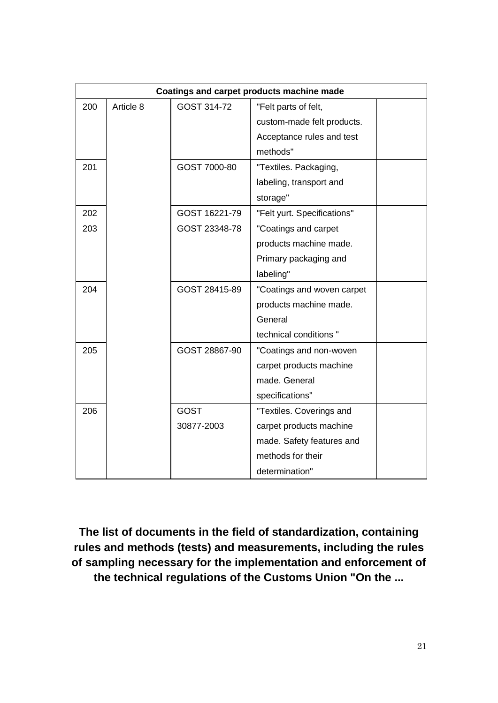|     |           |               | Coatings and carpet products machine made |  |
|-----|-----------|---------------|-------------------------------------------|--|
| 200 | Article 8 | GOST 314-72   | "Felt parts of felt,                      |  |
|     |           |               | custom-made felt products.                |  |
|     |           |               | Acceptance rules and test                 |  |
|     |           |               | methods"                                  |  |
| 201 |           | GOST 7000-80  | "Textiles. Packaging,                     |  |
|     |           |               | labeling, transport and                   |  |
|     |           |               | storage"                                  |  |
| 202 |           | GOST 16221-79 | "Felt yurt. Specifications"               |  |
| 203 |           | GOST 23348-78 | "Coatings and carpet                      |  |
|     |           |               | products machine made.                    |  |
|     |           |               | Primary packaging and                     |  |
|     |           |               | labeling"                                 |  |
| 204 |           | GOST 28415-89 | "Coatings and woven carpet                |  |
|     |           |               | products machine made.                    |  |
|     |           |               | General                                   |  |
|     |           |               | technical conditions "                    |  |
| 205 |           | GOST 28867-90 | "Coatings and non-woven                   |  |
|     |           |               | carpet products machine                   |  |
|     |           |               | made. General                             |  |
|     |           |               | specifications"                           |  |
| 206 |           | <b>GOST</b>   | "Textiles. Coverings and                  |  |
|     |           | 30877-2003    | carpet products machine                   |  |
|     |           |               | made. Safety features and                 |  |
|     |           |               | methods for their                         |  |
|     |           |               | determination"                            |  |

**The list of documents in the field of standardization, containing rules and methods (tests) and measurements, including the rules of sampling necessary for the implementation and enforcement of the technical regulations of the Customs Union "On the ...**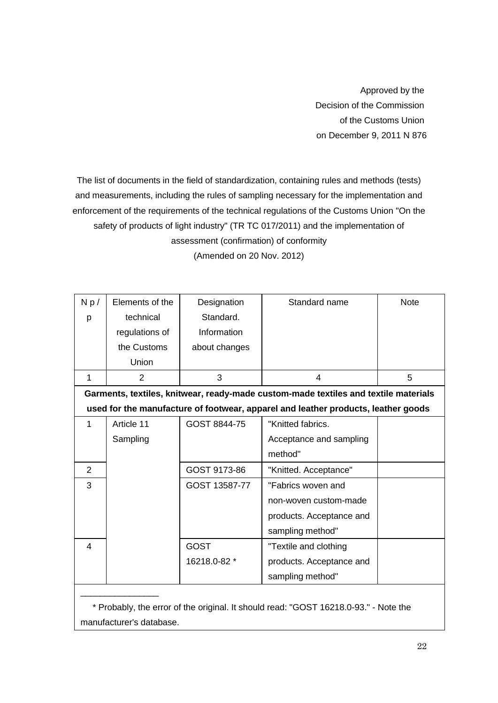Approved by the Decision of the Commission of the Customs Union on December 9, 2011 N 876

The list of documents in the field of standardization, containing rules and methods (tests) and measurements, including the rules of sampling necessary for the implementation and enforcement of the requirements of the technical regulations of the Customs Union "On the safety of products of light industry" (TR TC 017/2011) and the implementation of assessment (confirmation) of conformity

| Np/ | Elements of the | Designation   | Standard name                                                                       | <b>Note</b> |
|-----|-----------------|---------------|-------------------------------------------------------------------------------------|-------------|
| p   | technical       | Standard.     |                                                                                     |             |
|     | regulations of  | Information   |                                                                                     |             |
|     | the Customs     | about changes |                                                                                     |             |
|     | Union           |               |                                                                                     |             |
| 1   | $\overline{2}$  | 3             | $\overline{4}$                                                                      | 5           |
|     |                 |               | Garments, textiles, knitwear, ready-made custom-made textiles and textile materials |             |
|     |                 |               | used for the manufacture of footwear, apparel and leather products, leather goods   |             |
| 1   | Article 11      | GOST 8844-75  | "Knitted fabrics.                                                                   |             |
|     | Sampling        |               | Acceptance and sampling                                                             |             |
|     |                 |               | method"                                                                             |             |
| 2   |                 | GOST 9173-86  | "Knitted. Acceptance"                                                               |             |
| 3   |                 | GOST 13587-77 | "Fabrics woven and                                                                  |             |
|     |                 |               | non-woven custom-made                                                               |             |
|     |                 |               | products. Acceptance and                                                            |             |
|     |                 |               | sampling method"                                                                    |             |
| 4   |                 | <b>GOST</b>   | "Textile and clothing                                                               |             |
|     |                 | 16218.0-82 *  | products. Acceptance and                                                            |             |
|     |                 |               | sampling method"                                                                    |             |
|     |                 |               |                                                                                     |             |

(Amended on 20 Nov. 2012)

\* Probably, the error of the original. It should read: "GOST 16218.0-93." - Note the manufacturer's database.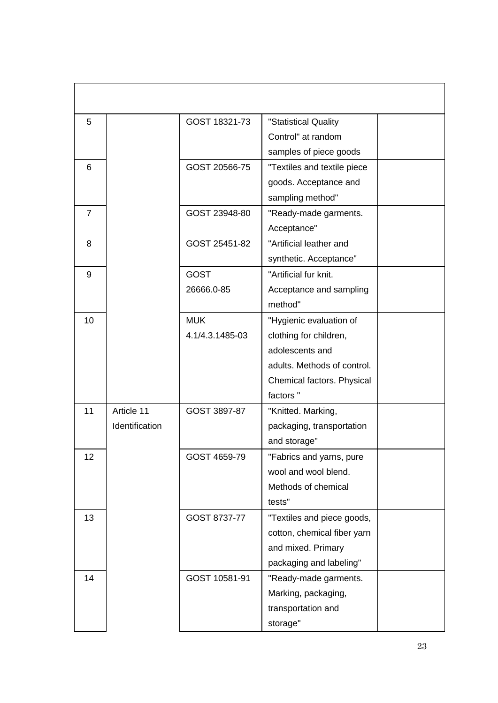| 5              |                | GOST 18321-73   | "Statistical Quality        |  |
|----------------|----------------|-----------------|-----------------------------|--|
|                |                |                 | Control" at random          |  |
|                |                |                 | samples of piece goods      |  |
| 6              |                | GOST 20566-75   | "Textiles and textile piece |  |
|                |                |                 | goods. Acceptance and       |  |
|                |                |                 | sampling method"            |  |
| $\overline{7}$ |                | GOST 23948-80   | "Ready-made garments.       |  |
|                |                |                 | Acceptance"                 |  |
| 8              |                | GOST 25451-82   | "Artificial leather and     |  |
|                |                |                 | synthetic. Acceptance"      |  |
| 9              |                | <b>GOST</b>     | "Artificial fur knit.       |  |
|                |                | 26666.0-85      | Acceptance and sampling     |  |
|                |                |                 | method"                     |  |
| 10             |                | <b>MUK</b>      | "Hygienic evaluation of     |  |
|                |                | 4.1/4.3.1485-03 | clothing for children,      |  |
|                |                |                 | adolescents and             |  |
|                |                |                 | adults. Methods of control. |  |
|                |                |                 | Chemical factors. Physical  |  |
|                |                |                 | factors "                   |  |
| 11             | Article 11     | GOST 3897-87    | "Knitted. Marking,          |  |
|                | Identification |                 | packaging, transportation   |  |
|                |                |                 | and storage"                |  |
| 12             |                | GOST 4659-79    | "Fabrics and yarns, pure    |  |
|                |                |                 | wool and wool blend.        |  |
|                |                |                 | Methods of chemical         |  |
|                |                |                 | tests"                      |  |
| 13             |                | GOST 8737-77    | "Textiles and piece goods,  |  |
|                |                |                 | cotton, chemical fiber yarn |  |
|                |                |                 | and mixed. Primary          |  |
|                |                |                 | packaging and labeling"     |  |
| 14             |                | GOST 10581-91   | "Ready-made garments.       |  |
|                |                |                 | Marking, packaging,         |  |
|                |                |                 | transportation and          |  |
|                |                |                 | storage"                    |  |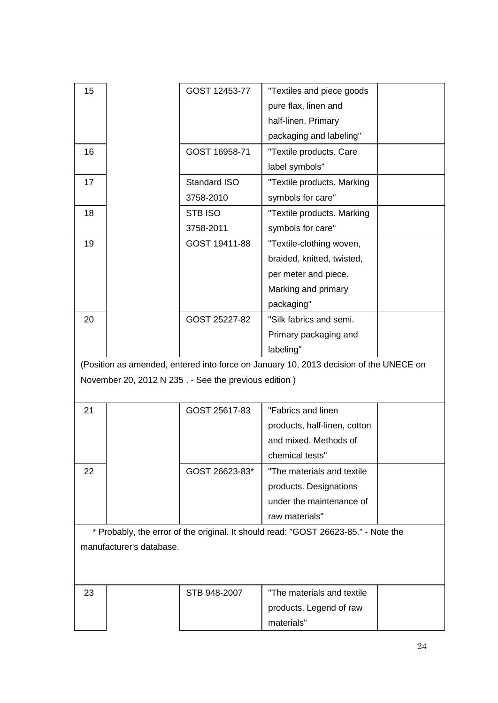| 15 |                          | GOST 12453-77                                        | "Textiles and piece goods                                                             |  |
|----|--------------------------|------------------------------------------------------|---------------------------------------------------------------------------------------|--|
|    |                          |                                                      | pure flax, linen and                                                                  |  |
|    |                          |                                                      | half-linen. Primary                                                                   |  |
|    |                          |                                                      | packaging and labeling"                                                               |  |
| 16 |                          | GOST 16958-71                                        | "Textile products. Care                                                               |  |
|    |                          |                                                      | label symbols"                                                                        |  |
| 17 |                          | Standard ISO                                         | "Textile products. Marking                                                            |  |
|    |                          | 3758-2010                                            | symbols for care"                                                                     |  |
| 18 |                          | STB ISO                                              | "Textile products. Marking                                                            |  |
|    |                          | 3758-2011                                            | symbols for care"                                                                     |  |
| 19 |                          | GOST 19411-88                                        | "Textile-clothing woven,                                                              |  |
|    |                          |                                                      | braided, knitted, twisted,                                                            |  |
|    |                          |                                                      | per meter and piece.                                                                  |  |
|    |                          |                                                      | Marking and primary                                                                   |  |
|    |                          |                                                      | packaging"                                                                            |  |
| 20 |                          | GOST 25227-82                                        | "Silk fabrics and semi.                                                               |  |
|    |                          |                                                      | Primary packaging and                                                                 |  |
|    |                          |                                                      | labeling"                                                                             |  |
|    |                          |                                                      | (Position as amended, entered into force on January 10, 2013 decision of the UNECE on |  |
|    |                          | November 20, 2012 N 235. - See the previous edition) |                                                                                       |  |
|    |                          |                                                      |                                                                                       |  |
| 21 |                          | GOST 25617-83                                        | "Fabrics and linen                                                                    |  |
|    |                          |                                                      | products, half-linen, cotton                                                          |  |
|    |                          |                                                      | and mixed. Methods of                                                                 |  |
|    |                          |                                                      | chemical tests"                                                                       |  |
| 22 |                          | GOST 26623-83*                                       | "The materials and textile                                                            |  |
|    |                          |                                                      | products. Designations                                                                |  |
|    |                          |                                                      | under the maintenance of                                                              |  |
|    |                          |                                                      | raw materials"                                                                        |  |
|    |                          |                                                      | * Probably, the error of the original. It should read: "GOST 26623-85." - Note the    |  |
|    | manufacturer's database. |                                                      |                                                                                       |  |
|    |                          |                                                      |                                                                                       |  |
|    |                          |                                                      |                                                                                       |  |
| 23 |                          | STB 948-2007                                         | "The materials and textile                                                            |  |
|    |                          |                                                      | products. Legend of raw                                                               |  |
|    |                          |                                                      |                                                                                       |  |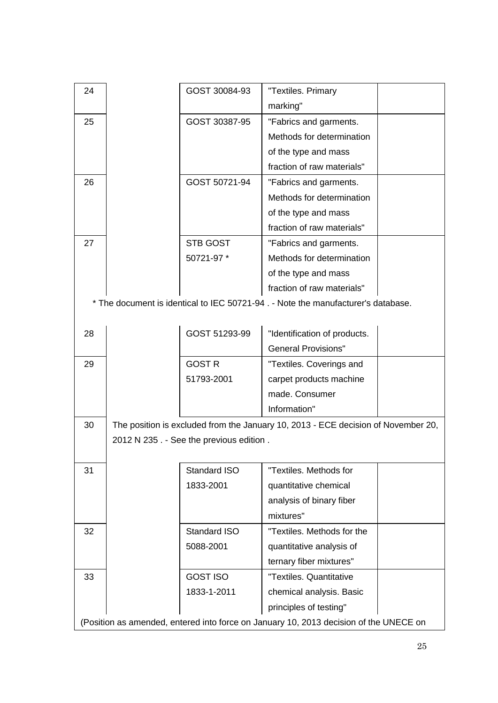| 24 | GOST 30084-93                           | "Textiles. Primary                                                                    |  |
|----|-----------------------------------------|---------------------------------------------------------------------------------------|--|
|    |                                         | marking"                                                                              |  |
| 25 | GOST 30387-95                           | "Fabrics and garments.                                                                |  |
|    |                                         | Methods for determination                                                             |  |
|    |                                         | of the type and mass                                                                  |  |
|    |                                         | fraction of raw materials"                                                            |  |
| 26 | GOST 50721-94                           | "Fabrics and garments.                                                                |  |
|    |                                         | Methods for determination                                                             |  |
|    |                                         | of the type and mass                                                                  |  |
|    |                                         | fraction of raw materials"                                                            |  |
| 27 | <b>STB GOST</b>                         | "Fabrics and garments.                                                                |  |
|    | 50721-97 *                              | Methods for determination                                                             |  |
|    |                                         | of the type and mass                                                                  |  |
|    |                                         | fraction of raw materials"                                                            |  |
|    |                                         | * The document is identical to IEC 50721-94. - Note the manufacturer's database.      |  |
|    |                                         |                                                                                       |  |
| 28 | GOST 51293-99                           | "Identification of products.                                                          |  |
|    |                                         | <b>General Provisions"</b>                                                            |  |
| 29 | <b>GOST R</b>                           | "Textiles. Coverings and                                                              |  |
|    | 51793-2001                              | carpet products machine                                                               |  |
|    |                                         | made. Consumer                                                                        |  |
|    |                                         | Information"                                                                          |  |
| 30 |                                         | The position is excluded from the January 10, 2013 - ECE decision of November 20,     |  |
|    | 2012 N 235. - See the previous edition. |                                                                                       |  |
|    |                                         |                                                                                       |  |
| 31 | Standard ISO                            | "Textiles. Methods for                                                                |  |
|    | 1833-2001                               | quantitative chemical                                                                 |  |
|    |                                         | analysis of binary fiber                                                              |  |
|    |                                         | mixtures"                                                                             |  |
| 32 | Standard ISO                            | "Textiles. Methods for the                                                            |  |
|    | 5088-2001                               | quantitative analysis of                                                              |  |
|    |                                         | ternary fiber mixtures"                                                               |  |
| 33 | <b>GOST ISO</b>                         | "Textiles. Quantitative                                                               |  |
|    | 1833-1-2011                             | chemical analysis. Basic                                                              |  |
|    |                                         |                                                                                       |  |
|    |                                         | (Position as amended, entered into force on January 10, 2013 decision of the UNECE on |  |
|    |                                         | principles of testing"                                                                |  |
|    |                                         |                                                                                       |  |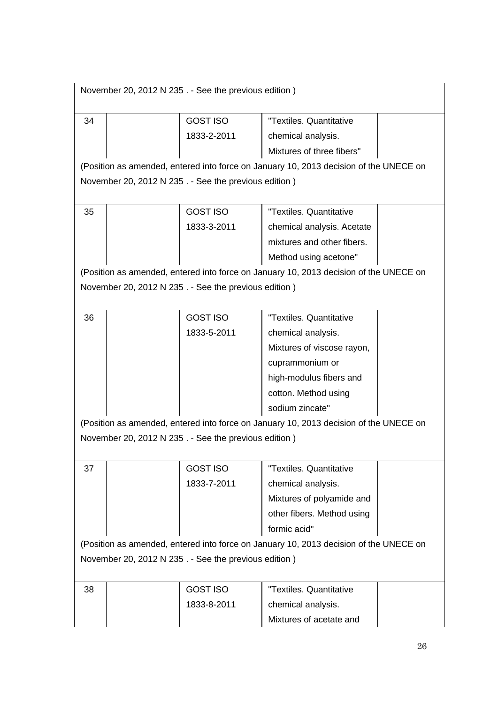| <b>GOST ISO</b><br>"Textiles, Quantitative<br>34<br>1833-2-2011<br>chemical analysis.<br>Mixtures of three fibers"<br>(Position as amended, entered into force on January 10, 2013 decision of the UNECE on<br>November 20, 2012 N 235. - See the previous edition)<br>35<br>"Textiles, Quantitative<br><b>GOST ISO</b><br>1833-3-2011<br>chemical analysis. Acetate<br>mixtures and other fibers.<br>Method using acetone"<br>(Position as amended, entered into force on January 10, 2013 decision of the UNECE on<br>November 20, 2012 N 235. - See the previous edition)<br>36<br><b>GOST ISO</b><br>"Textiles. Quantitative<br>1833-5-2011<br>chemical analysis.<br>Mixtures of viscose rayon,<br>cuprammonium or<br>high-modulus fibers and<br>cotton. Method using<br>sodium zincate"<br>(Position as amended, entered into force on January 10, 2013 decision of the UNECE on<br>November 20, 2012 N 235. - See the previous edition)<br>"Textiles, Quantitative<br>37<br><b>GOST ISO</b><br>1833-7-2011<br>chemical analysis.<br>Mixtures of polyamide and<br>other fibers. Method using<br>formic acid"<br>(Position as amended, entered into force on January 10, 2013 decision of the UNECE on<br>November 20, 2012 N 235. - See the previous edition)<br>"Textiles, Quantitative<br>38<br><b>GOST ISO</b><br>1833-8-2011<br>chemical analysis.<br>Mixtures of acetate and | November 20, 2012 N 235. - See the previous edition) |  |  |  |  |
|----------------------------------------------------------------------------------------------------------------------------------------------------------------------------------------------------------------------------------------------------------------------------------------------------------------------------------------------------------------------------------------------------------------------------------------------------------------------------------------------------------------------------------------------------------------------------------------------------------------------------------------------------------------------------------------------------------------------------------------------------------------------------------------------------------------------------------------------------------------------------------------------------------------------------------------------------------------------------------------------------------------------------------------------------------------------------------------------------------------------------------------------------------------------------------------------------------------------------------------------------------------------------------------------------------------------------------------------------------------------------------------|------------------------------------------------------|--|--|--|--|
|                                                                                                                                                                                                                                                                                                                                                                                                                                                                                                                                                                                                                                                                                                                                                                                                                                                                                                                                                                                                                                                                                                                                                                                                                                                                                                                                                                                        |                                                      |  |  |  |  |
|                                                                                                                                                                                                                                                                                                                                                                                                                                                                                                                                                                                                                                                                                                                                                                                                                                                                                                                                                                                                                                                                                                                                                                                                                                                                                                                                                                                        |                                                      |  |  |  |  |
|                                                                                                                                                                                                                                                                                                                                                                                                                                                                                                                                                                                                                                                                                                                                                                                                                                                                                                                                                                                                                                                                                                                                                                                                                                                                                                                                                                                        |                                                      |  |  |  |  |
|                                                                                                                                                                                                                                                                                                                                                                                                                                                                                                                                                                                                                                                                                                                                                                                                                                                                                                                                                                                                                                                                                                                                                                                                                                                                                                                                                                                        |                                                      |  |  |  |  |
|                                                                                                                                                                                                                                                                                                                                                                                                                                                                                                                                                                                                                                                                                                                                                                                                                                                                                                                                                                                                                                                                                                                                                                                                                                                                                                                                                                                        |                                                      |  |  |  |  |
|                                                                                                                                                                                                                                                                                                                                                                                                                                                                                                                                                                                                                                                                                                                                                                                                                                                                                                                                                                                                                                                                                                                                                                                                                                                                                                                                                                                        |                                                      |  |  |  |  |
|                                                                                                                                                                                                                                                                                                                                                                                                                                                                                                                                                                                                                                                                                                                                                                                                                                                                                                                                                                                                                                                                                                                                                                                                                                                                                                                                                                                        |                                                      |  |  |  |  |
|                                                                                                                                                                                                                                                                                                                                                                                                                                                                                                                                                                                                                                                                                                                                                                                                                                                                                                                                                                                                                                                                                                                                                                                                                                                                                                                                                                                        |                                                      |  |  |  |  |
|                                                                                                                                                                                                                                                                                                                                                                                                                                                                                                                                                                                                                                                                                                                                                                                                                                                                                                                                                                                                                                                                                                                                                                                                                                                                                                                                                                                        |                                                      |  |  |  |  |
|                                                                                                                                                                                                                                                                                                                                                                                                                                                                                                                                                                                                                                                                                                                                                                                                                                                                                                                                                                                                                                                                                                                                                                                                                                                                                                                                                                                        |                                                      |  |  |  |  |
|                                                                                                                                                                                                                                                                                                                                                                                                                                                                                                                                                                                                                                                                                                                                                                                                                                                                                                                                                                                                                                                                                                                                                                                                                                                                                                                                                                                        |                                                      |  |  |  |  |
|                                                                                                                                                                                                                                                                                                                                                                                                                                                                                                                                                                                                                                                                                                                                                                                                                                                                                                                                                                                                                                                                                                                                                                                                                                                                                                                                                                                        |                                                      |  |  |  |  |
|                                                                                                                                                                                                                                                                                                                                                                                                                                                                                                                                                                                                                                                                                                                                                                                                                                                                                                                                                                                                                                                                                                                                                                                                                                                                                                                                                                                        |                                                      |  |  |  |  |
|                                                                                                                                                                                                                                                                                                                                                                                                                                                                                                                                                                                                                                                                                                                                                                                                                                                                                                                                                                                                                                                                                                                                                                                                                                                                                                                                                                                        |                                                      |  |  |  |  |
|                                                                                                                                                                                                                                                                                                                                                                                                                                                                                                                                                                                                                                                                                                                                                                                                                                                                                                                                                                                                                                                                                                                                                                                                                                                                                                                                                                                        |                                                      |  |  |  |  |
|                                                                                                                                                                                                                                                                                                                                                                                                                                                                                                                                                                                                                                                                                                                                                                                                                                                                                                                                                                                                                                                                                                                                                                                                                                                                                                                                                                                        |                                                      |  |  |  |  |
|                                                                                                                                                                                                                                                                                                                                                                                                                                                                                                                                                                                                                                                                                                                                                                                                                                                                                                                                                                                                                                                                                                                                                                                                                                                                                                                                                                                        |                                                      |  |  |  |  |
|                                                                                                                                                                                                                                                                                                                                                                                                                                                                                                                                                                                                                                                                                                                                                                                                                                                                                                                                                                                                                                                                                                                                                                                                                                                                                                                                                                                        |                                                      |  |  |  |  |
|                                                                                                                                                                                                                                                                                                                                                                                                                                                                                                                                                                                                                                                                                                                                                                                                                                                                                                                                                                                                                                                                                                                                                                                                                                                                                                                                                                                        |                                                      |  |  |  |  |
|                                                                                                                                                                                                                                                                                                                                                                                                                                                                                                                                                                                                                                                                                                                                                                                                                                                                                                                                                                                                                                                                                                                                                                                                                                                                                                                                                                                        |                                                      |  |  |  |  |
|                                                                                                                                                                                                                                                                                                                                                                                                                                                                                                                                                                                                                                                                                                                                                                                                                                                                                                                                                                                                                                                                                                                                                                                                                                                                                                                                                                                        |                                                      |  |  |  |  |
|                                                                                                                                                                                                                                                                                                                                                                                                                                                                                                                                                                                                                                                                                                                                                                                                                                                                                                                                                                                                                                                                                                                                                                                                                                                                                                                                                                                        |                                                      |  |  |  |  |
|                                                                                                                                                                                                                                                                                                                                                                                                                                                                                                                                                                                                                                                                                                                                                                                                                                                                                                                                                                                                                                                                                                                                                                                                                                                                                                                                                                                        |                                                      |  |  |  |  |
|                                                                                                                                                                                                                                                                                                                                                                                                                                                                                                                                                                                                                                                                                                                                                                                                                                                                                                                                                                                                                                                                                                                                                                                                                                                                                                                                                                                        |                                                      |  |  |  |  |
|                                                                                                                                                                                                                                                                                                                                                                                                                                                                                                                                                                                                                                                                                                                                                                                                                                                                                                                                                                                                                                                                                                                                                                                                                                                                                                                                                                                        |                                                      |  |  |  |  |
|                                                                                                                                                                                                                                                                                                                                                                                                                                                                                                                                                                                                                                                                                                                                                                                                                                                                                                                                                                                                                                                                                                                                                                                                                                                                                                                                                                                        |                                                      |  |  |  |  |
|                                                                                                                                                                                                                                                                                                                                                                                                                                                                                                                                                                                                                                                                                                                                                                                                                                                                                                                                                                                                                                                                                                                                                                                                                                                                                                                                                                                        |                                                      |  |  |  |  |
|                                                                                                                                                                                                                                                                                                                                                                                                                                                                                                                                                                                                                                                                                                                                                                                                                                                                                                                                                                                                                                                                                                                                                                                                                                                                                                                                                                                        |                                                      |  |  |  |  |
|                                                                                                                                                                                                                                                                                                                                                                                                                                                                                                                                                                                                                                                                                                                                                                                                                                                                                                                                                                                                                                                                                                                                                                                                                                                                                                                                                                                        |                                                      |  |  |  |  |
|                                                                                                                                                                                                                                                                                                                                                                                                                                                                                                                                                                                                                                                                                                                                                                                                                                                                                                                                                                                                                                                                                                                                                                                                                                                                                                                                                                                        |                                                      |  |  |  |  |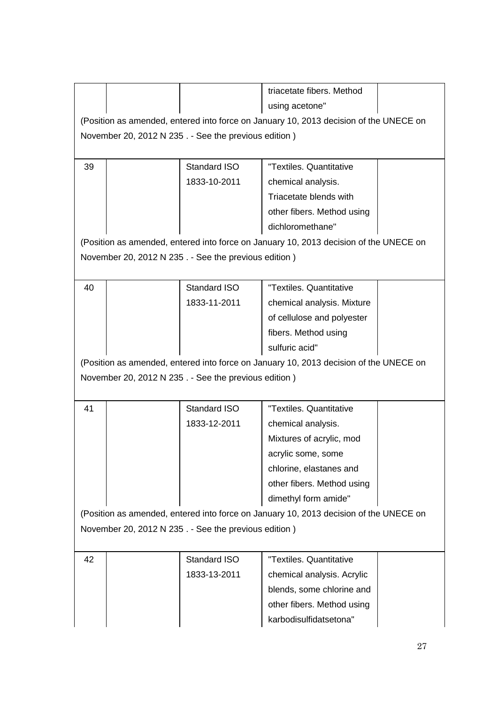|                                                      |  |                                                      | triacetate fibers. Method<br>using acetone"                                           |  |
|------------------------------------------------------|--|------------------------------------------------------|---------------------------------------------------------------------------------------|--|
|                                                      |  |                                                      | (Position as amended, entered into force on January 10, 2013 decision of the UNECE on |  |
|                                                      |  | November 20, 2012 N 235. - See the previous edition) |                                                                                       |  |
|                                                      |  |                                                      |                                                                                       |  |
| 39                                                   |  | Standard ISO                                         | "Textiles. Quantitative                                                               |  |
|                                                      |  | 1833-10-2011                                         | chemical analysis.                                                                    |  |
|                                                      |  |                                                      | Triacetate blends with                                                                |  |
|                                                      |  |                                                      | other fibers. Method using                                                            |  |
|                                                      |  |                                                      | dichloromethane"                                                                      |  |
|                                                      |  |                                                      | (Position as amended, entered into force on January 10, 2013 decision of the UNECE on |  |
|                                                      |  | November 20, 2012 N 235. - See the previous edition) |                                                                                       |  |
|                                                      |  |                                                      |                                                                                       |  |
| 40                                                   |  | Standard ISO                                         | "Textiles. Quantitative                                                               |  |
|                                                      |  | 1833-11-2011                                         | chemical analysis. Mixture                                                            |  |
|                                                      |  |                                                      | of cellulose and polyester                                                            |  |
|                                                      |  |                                                      | fibers. Method using                                                                  |  |
|                                                      |  |                                                      | sulfuric acid"                                                                        |  |
|                                                      |  |                                                      | (Position as amended, entered into force on January 10, 2013 decision of the UNECE on |  |
|                                                      |  | November 20, 2012 N 235. - See the previous edition) |                                                                                       |  |
|                                                      |  |                                                      |                                                                                       |  |
| 41                                                   |  | Standard ISO                                         | "Textiles, Quantitative                                                               |  |
|                                                      |  | 1833-12-2011                                         | chemical analysis.                                                                    |  |
|                                                      |  |                                                      | Mixtures of acrylic, mod                                                              |  |
|                                                      |  |                                                      | acrylic some, some                                                                    |  |
|                                                      |  |                                                      | chlorine, elastanes and                                                               |  |
|                                                      |  |                                                      | other fibers. Method using                                                            |  |
|                                                      |  |                                                      | dimethyl form amide"                                                                  |  |
|                                                      |  |                                                      | (Position as amended, entered into force on January 10, 2013 decision of the UNECE on |  |
| November 20, 2012 N 235. - See the previous edition) |  |                                                      |                                                                                       |  |
| 42                                                   |  | Standard ISO                                         | "Textiles. Quantitative                                                               |  |
|                                                      |  | 1833-13-2011                                         | chemical analysis. Acrylic                                                            |  |
|                                                      |  |                                                      | blends, some chlorine and                                                             |  |
|                                                      |  |                                                      | other fibers. Method using                                                            |  |
|                                                      |  |                                                      | karbodisulfidatsetona"                                                                |  |
|                                                      |  |                                                      |                                                                                       |  |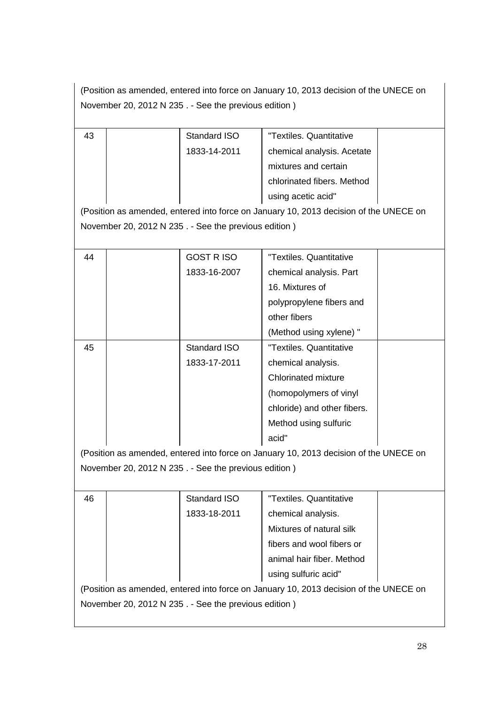(Position as amended, entered into force on January 10, 2013 decision of the UNECE on November 20, 2012 N 235 . - See the previous edition )

| 43                                                   |  | Standard ISO                                         | "Textiles. Quantitative                                                               |  |
|------------------------------------------------------|--|------------------------------------------------------|---------------------------------------------------------------------------------------|--|
|                                                      |  | 1833-14-2011                                         | chemical analysis. Acetate                                                            |  |
|                                                      |  |                                                      | mixtures and certain                                                                  |  |
|                                                      |  |                                                      | chlorinated fibers. Method                                                            |  |
|                                                      |  |                                                      | using acetic acid"                                                                    |  |
|                                                      |  |                                                      | (Position as amended, entered into force on January 10, 2013 decision of the UNECE on |  |
|                                                      |  | November 20, 2012 N 235. - See the previous edition) |                                                                                       |  |
|                                                      |  |                                                      |                                                                                       |  |
| 44                                                   |  | <b>GOST RISO</b>                                     | "Textiles, Quantitative                                                               |  |
|                                                      |  | 1833-16-2007                                         | chemical analysis. Part                                                               |  |
|                                                      |  |                                                      | 16. Mixtures of                                                                       |  |
|                                                      |  |                                                      | polypropylene fibers and                                                              |  |
|                                                      |  |                                                      | other fibers                                                                          |  |
|                                                      |  |                                                      | (Method using xylene) "                                                               |  |
| 45                                                   |  | Standard ISO                                         | "Textiles. Quantitative                                                               |  |
|                                                      |  | 1833-17-2011                                         | chemical analysis.                                                                    |  |
|                                                      |  |                                                      | <b>Chlorinated mixture</b>                                                            |  |
|                                                      |  |                                                      | (homopolymers of vinyl                                                                |  |
|                                                      |  |                                                      | chloride) and other fibers.                                                           |  |
|                                                      |  |                                                      | Method using sulfuric                                                                 |  |
|                                                      |  |                                                      | acid"                                                                                 |  |
|                                                      |  |                                                      | (Position as amended, entered into force on January 10, 2013 decision of the UNECE on |  |
|                                                      |  | November 20, 2012 N 235. - See the previous edition) |                                                                                       |  |
|                                                      |  |                                                      |                                                                                       |  |
| 46                                                   |  | Standard ISO                                         | "Textiles. Quantitative                                                               |  |
|                                                      |  | 1833-18-2011                                         | chemical analysis.                                                                    |  |
|                                                      |  |                                                      | Mixtures of natural silk                                                              |  |
|                                                      |  |                                                      | fibers and wool fibers or                                                             |  |
|                                                      |  |                                                      | animal hair fiber. Method                                                             |  |
|                                                      |  |                                                      | using sulfuric acid"                                                                  |  |
|                                                      |  |                                                      | (Position as amended, entered into force on January 10, 2013 decision of the UNECE on |  |
| November 20, 2012 N 235. - See the previous edition) |  |                                                      |                                                                                       |  |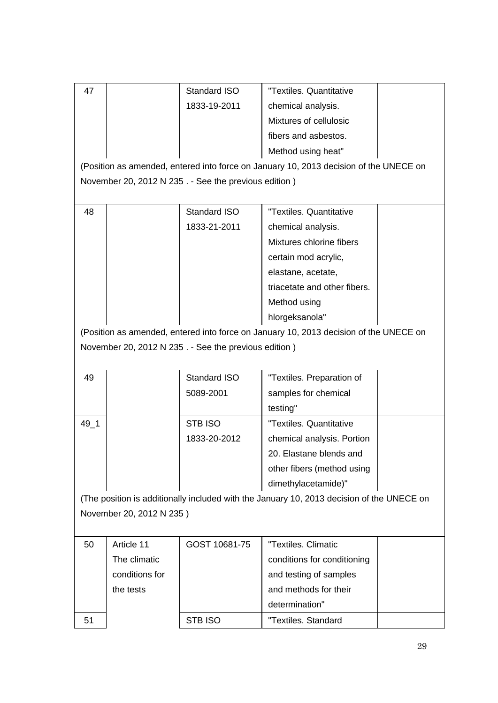| 47                                                                                        |                | Standard ISO                                         | "Textiles, Quantitative                                                               |  |  |
|-------------------------------------------------------------------------------------------|----------------|------------------------------------------------------|---------------------------------------------------------------------------------------|--|--|
|                                                                                           |                | 1833-19-2011                                         | chemical analysis.                                                                    |  |  |
|                                                                                           |                |                                                      | Mixtures of cellulosic                                                                |  |  |
|                                                                                           |                |                                                      | fibers and asbestos.                                                                  |  |  |
|                                                                                           |                |                                                      | Method using heat"                                                                    |  |  |
|                                                                                           |                |                                                      | (Position as amended, entered into force on January 10, 2013 decision of the UNECE on |  |  |
|                                                                                           |                | November 20, 2012 N 235. - See the previous edition) |                                                                                       |  |  |
|                                                                                           |                |                                                      |                                                                                       |  |  |
| 48                                                                                        |                | Standard ISO                                         | "Textiles, Quantitative                                                               |  |  |
|                                                                                           |                | 1833-21-2011                                         | chemical analysis.                                                                    |  |  |
|                                                                                           |                |                                                      | Mixtures chlorine fibers                                                              |  |  |
|                                                                                           |                |                                                      | certain mod acrylic,                                                                  |  |  |
|                                                                                           |                |                                                      | elastane, acetate,                                                                    |  |  |
|                                                                                           |                |                                                      | triacetate and other fibers.                                                          |  |  |
|                                                                                           |                |                                                      | Method using                                                                          |  |  |
|                                                                                           |                |                                                      | hlorgeksanola"                                                                        |  |  |
|                                                                                           |                |                                                      | (Position as amended, entered into force on January 10, 2013 decision of the UNECE on |  |  |
|                                                                                           |                | November 20, 2012 N 235. - See the previous edition) |                                                                                       |  |  |
|                                                                                           |                |                                                      |                                                                                       |  |  |
| 49                                                                                        |                | Standard ISO                                         | "Textiles. Preparation of                                                             |  |  |
|                                                                                           |                | 5089-2001                                            | samples for chemical                                                                  |  |  |
|                                                                                           |                |                                                      | testing"                                                                              |  |  |
| $49 - 1$                                                                                  |                | STB ISO                                              | "Textiles, Quantitative                                                               |  |  |
|                                                                                           |                | 1833-20-2012                                         | chemical analysis. Portion                                                            |  |  |
|                                                                                           |                |                                                      | 20. Elastane blends and                                                               |  |  |
|                                                                                           |                |                                                      | other fibers (method using                                                            |  |  |
|                                                                                           |                |                                                      | dimethylacetamide)"                                                                   |  |  |
| (The position is additionally included with the January 10, 2013 decision of the UNECE on |                |                                                      |                                                                                       |  |  |
| November 20, 2012 N 235)                                                                  |                |                                                      |                                                                                       |  |  |
|                                                                                           |                |                                                      |                                                                                       |  |  |
| 50                                                                                        | Article 11     | GOST 10681-75                                        | "Textiles, Climatic                                                                   |  |  |
|                                                                                           | The climatic   |                                                      | conditions for conditioning                                                           |  |  |
|                                                                                           | conditions for |                                                      | and testing of samples                                                                |  |  |
|                                                                                           | the tests      |                                                      | and methods for their                                                                 |  |  |
|                                                                                           |                |                                                      | determination"                                                                        |  |  |
| 51                                                                                        |                | STB ISO                                              | "Textiles. Standard                                                                   |  |  |
|                                                                                           |                |                                                      |                                                                                       |  |  |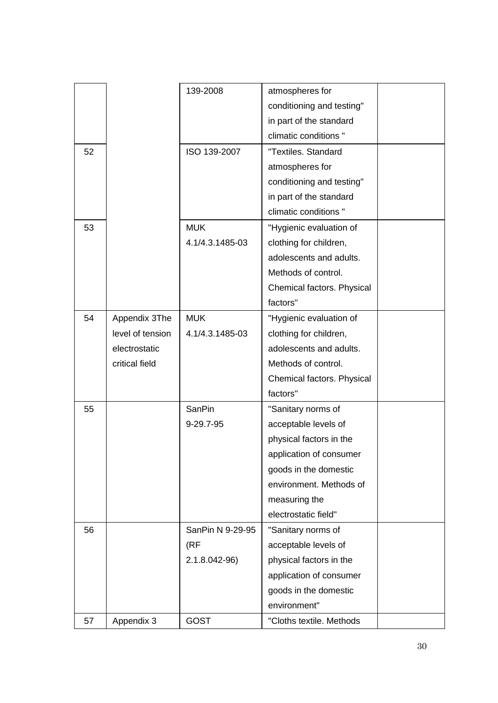|    |                  | 139-2008         | atmospheres for            |  |
|----|------------------|------------------|----------------------------|--|
|    |                  |                  | conditioning and testing"  |  |
|    |                  |                  | in part of the standard    |  |
|    |                  |                  | climatic conditions "      |  |
| 52 |                  | ISO 139-2007     | "Textiles. Standard        |  |
|    |                  |                  | atmospheres for            |  |
|    |                  |                  | conditioning and testing"  |  |
|    |                  |                  | in part of the standard    |  |
|    |                  |                  | climatic conditions "      |  |
| 53 |                  | <b>MUK</b>       | "Hygienic evaluation of    |  |
|    |                  | 4.1/4.3.1485-03  | clothing for children,     |  |
|    |                  |                  | adolescents and adults.    |  |
|    |                  |                  | Methods of control.        |  |
|    |                  |                  | Chemical factors. Physical |  |
|    |                  |                  | factors"                   |  |
| 54 | Appendix 3The    | <b>MUK</b>       | "Hygienic evaluation of    |  |
|    | level of tension | 4.1/4.3.1485-03  | clothing for children,     |  |
|    | electrostatic    |                  | adolescents and adults.    |  |
|    | critical field   |                  | Methods of control.        |  |
|    |                  |                  | Chemical factors. Physical |  |
|    |                  |                  | factors"                   |  |
| 55 |                  | SanPin           | "Sanitary norms of         |  |
|    |                  | 9-29.7-95        | acceptable levels of       |  |
|    |                  |                  | physical factors in the    |  |
|    |                  |                  | application of consumer    |  |
|    |                  |                  | goods in the domestic      |  |
|    |                  |                  | environment. Methods of    |  |
|    |                  |                  | measuring the              |  |
|    |                  |                  | electrostatic field"       |  |
| 56 |                  | SanPin N 9-29-95 | "Sanitary norms of         |  |
|    |                  | (RF              | acceptable levels of       |  |
|    |                  | 2.1.8.042-96)    | physical factors in the    |  |
|    |                  |                  | application of consumer    |  |
|    |                  |                  | goods in the domestic      |  |
|    |                  |                  | environment"               |  |
| 57 | Appendix 3       | <b>GOST</b>      | "Cloths textile. Methods   |  |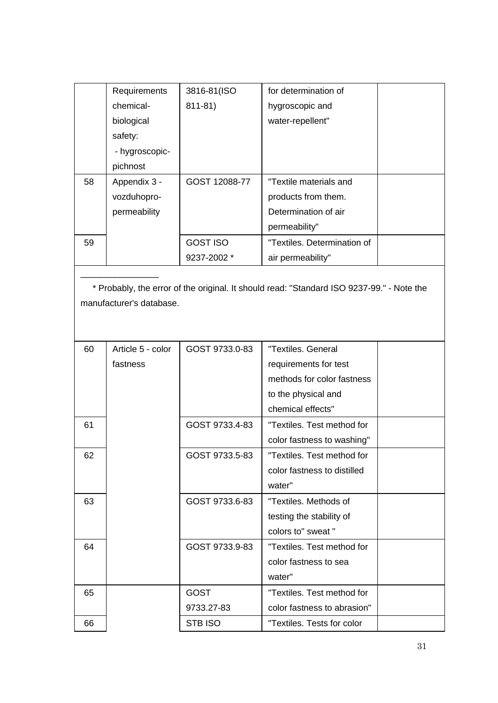|    | Requirements             | 3816-81(ISO     | for determination of                                                                      |  |
|----|--------------------------|-----------------|-------------------------------------------------------------------------------------------|--|
|    | chemical-                | 811-81)         | hygroscopic and                                                                           |  |
|    | biological               |                 | water-repellent"                                                                          |  |
|    | safety:                  |                 |                                                                                           |  |
|    | - hygroscopic-           |                 |                                                                                           |  |
|    | pichnost                 |                 |                                                                                           |  |
| 58 | Appendix 3 -             | GOST 12088-77   | "Textile materials and                                                                    |  |
|    | vozduhopro-              |                 | products from them.                                                                       |  |
|    | permeability             |                 | Determination of air                                                                      |  |
|    |                          |                 | permeability"                                                                             |  |
| 59 |                          | <b>GOST ISO</b> | "Textiles. Determination of                                                               |  |
|    |                          | 9237-2002 *     | air permeability"                                                                         |  |
|    |                          |                 |                                                                                           |  |
|    |                          |                 | * Probably, the error of the original. It should read: "Standard ISO 9237-99." - Note the |  |
|    | manufacturer's database. |                 |                                                                                           |  |
|    |                          |                 |                                                                                           |  |
|    |                          |                 |                                                                                           |  |
| 60 | Article 5 - color        | GOST 9733.0-83  | "Textiles. General                                                                        |  |
|    | fastness                 |                 | requirements for test                                                                     |  |
|    |                          |                 | methods for color fastness                                                                |  |
|    |                          |                 | to the physical and                                                                       |  |
|    |                          |                 | chemical effects"                                                                         |  |
| 61 |                          | GOST 9733.4-83  | "Textiles. Test method for                                                                |  |
|    |                          |                 | color fastness to washing"                                                                |  |
| 62 |                          | GOST 9733.5-83  | "Textiles. Test method for                                                                |  |
|    |                          |                 | color fastness to distilled                                                               |  |
|    |                          |                 | water"                                                                                    |  |
| 63 |                          | GOST 9733.6-83  | "Textiles. Methods of                                                                     |  |
|    |                          |                 | testing the stability of                                                                  |  |
|    |                          |                 | colors to" sweat "                                                                        |  |
| 64 |                          | GOST 9733.9-83  | "Textiles. Test method for                                                                |  |
|    |                          |                 |                                                                                           |  |
|    |                          |                 | color fastness to sea                                                                     |  |
|    |                          |                 | water"                                                                                    |  |

9733.27-83

66 | STB ISO | "Textiles. Tests for color

color fastness to abrasion"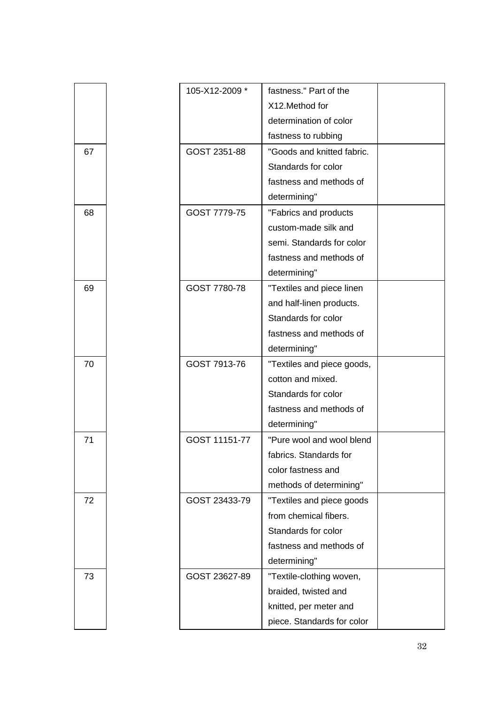|    | 105-X12-2009 * | fastness." Part of the     |  |
|----|----------------|----------------------------|--|
|    |                | X12. Method for            |  |
|    |                | determination of color     |  |
|    |                | fastness to rubbing        |  |
| 67 | GOST 2351-88   | "Goods and knitted fabric. |  |
|    |                | Standards for color        |  |
|    |                | fastness and methods of    |  |
|    |                | determining"               |  |
| 68 | GOST 7779-75   | "Fabrics and products      |  |
|    |                | custom-made silk and       |  |
|    |                | semi. Standards for color  |  |
|    |                | fastness and methods of    |  |
|    |                | determining"               |  |
| 69 | GOST 7780-78   | "Textiles and piece linen  |  |
|    |                | and half-linen products.   |  |
|    |                | Standards for color        |  |
|    |                | fastness and methods of    |  |
|    |                | determining"               |  |
| 70 | GOST 7913-76   | "Textiles and piece goods, |  |
|    |                | cotton and mixed.          |  |
|    |                | Standards for color        |  |
|    |                | fastness and methods of    |  |
|    |                | determining"               |  |
| 71 | GOST 11151-77  | "Pure wool and wool blend  |  |
|    |                | fabrics. Standards for     |  |
|    |                | color fastness and         |  |
|    |                | methods of determining"    |  |
| 72 | GOST 23433-79  | "Textiles and piece goods  |  |
|    |                | from chemical fibers.      |  |
|    |                | Standards for color        |  |
|    |                | fastness and methods of    |  |
|    |                | determining"               |  |
| 73 | GOST 23627-89  | "Textile-clothing woven,   |  |
|    |                | braided, twisted and       |  |
|    |                | knitted, per meter and     |  |
|    |                | piece. Standards for color |  |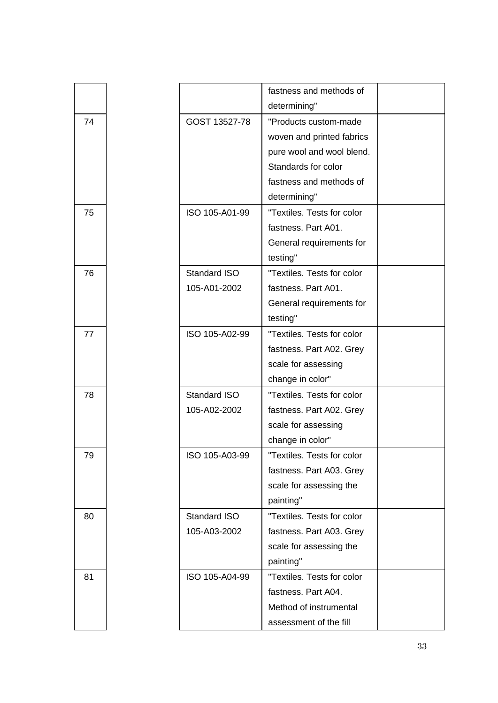|    |                | fastness and methods of    |  |
|----|----------------|----------------------------|--|
|    |                | determining"               |  |
| 74 | GOST 13527-78  | "Products custom-made      |  |
|    |                | woven and printed fabrics  |  |
|    |                | pure wool and wool blend.  |  |
|    |                | Standards for color        |  |
|    |                | fastness and methods of    |  |
|    |                | determining"               |  |
| 75 | ISO 105-A01-99 | "Textiles. Tests for color |  |
|    |                | fastness. Part A01.        |  |
|    |                | General requirements for   |  |
|    |                | testing"                   |  |
| 76 | Standard ISO   | "Textiles. Tests for color |  |
|    | 105-A01-2002   | fastness. Part A01.        |  |
|    |                | General requirements for   |  |
|    |                | testing"                   |  |
| 77 | ISO 105-A02-99 | "Textiles. Tests for color |  |
|    |                | fastness. Part A02. Grey   |  |
|    |                | scale for assessing        |  |
|    |                | change in color"           |  |
| 78 | Standard ISO   | "Textiles. Tests for color |  |
|    | 105-A02-2002   | fastness. Part A02. Grey   |  |
|    |                | scale for assessing        |  |
|    |                | change in color"           |  |
| 79 | ISO 105-A03-99 | "Textiles. Tests for color |  |
|    |                | fastness. Part A03. Grey   |  |
|    |                | scale for assessing the    |  |
|    |                | painting"                  |  |
| 80 | Standard ISO   | "Textiles. Tests for color |  |
|    | 105-A03-2002   | fastness. Part A03. Grey   |  |
|    |                | scale for assessing the    |  |
|    |                | painting"                  |  |
| 81 | ISO 105-A04-99 | "Textiles. Tests for color |  |
|    |                | fastness. Part A04.        |  |
|    |                | Method of instrumental     |  |
|    |                | assessment of the fill     |  |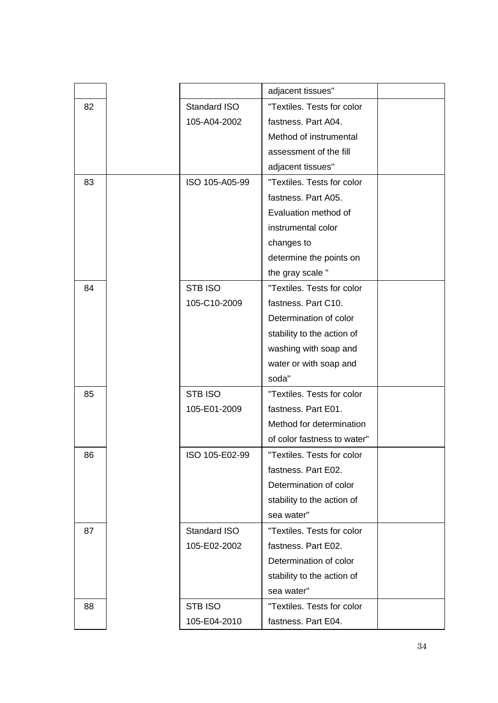|    |                | adjacent tissues"           |  |
|----|----------------|-----------------------------|--|
| 82 | Standard ISO   | "Textiles. Tests for color  |  |
|    | 105-A04-2002   | fastness. Part A04.         |  |
|    |                | Method of instrumental      |  |
|    |                | assessment of the fill      |  |
|    |                | adjacent tissues"           |  |
| 83 | ISO 105-A05-99 | "Textiles. Tests for color  |  |
|    |                | fastness. Part A05.         |  |
|    |                | Evaluation method of        |  |
|    |                | instrumental color          |  |
|    |                | changes to                  |  |
|    |                | determine the points on     |  |
|    |                | the gray scale "            |  |
| 84 | STB ISO        | "Textiles. Tests for color  |  |
|    | 105-C10-2009   | fastness. Part C10.         |  |
|    |                | Determination of color      |  |
|    |                | stability to the action of  |  |
|    |                | washing with soap and       |  |
|    |                | water or with soap and      |  |
|    |                | soda"                       |  |
| 85 | STB ISO        | "Textiles. Tests for color  |  |
|    | 105-E01-2009   | fastness. Part E01.         |  |
|    |                | Method for determination    |  |
|    |                | of color fastness to water" |  |
| 86 | ISO 105-E02-99 | "Textiles. Tests for color  |  |
|    |                | fastness. Part E02.         |  |
|    |                | Determination of color      |  |
|    |                | stability to the action of  |  |
|    |                | sea water"                  |  |
| 87 | Standard ISO   | "Textiles. Tests for color  |  |
|    | 105-E02-2002   | fastness. Part E02.         |  |
|    |                | Determination of color      |  |
|    |                | stability to the action of  |  |
|    |                | sea water"                  |  |
| 88 | <b>STB ISO</b> | "Textiles. Tests for color  |  |
|    | 105-E04-2010   | fastness. Part E04.         |  |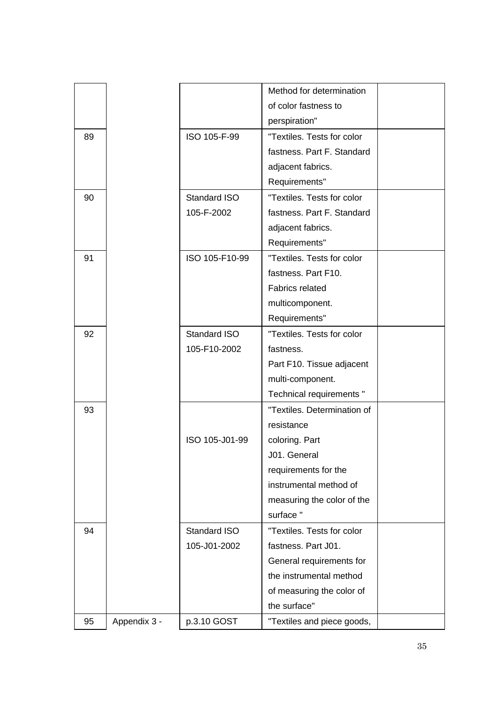|    |              |                | Method for determination    |  |
|----|--------------|----------------|-----------------------------|--|
|    |              |                | of color fastness to        |  |
|    |              |                | perspiration"               |  |
| 89 |              | ISO 105-F-99   | "Textiles. Tests for color  |  |
|    |              |                | fastness. Part F. Standard  |  |
|    |              |                | adjacent fabrics.           |  |
|    |              |                | Requirements"               |  |
| 90 |              | Standard ISO   | "Textiles. Tests for color  |  |
|    |              | 105-F-2002     | fastness. Part F. Standard  |  |
|    |              |                | adjacent fabrics.           |  |
|    |              |                | Requirements"               |  |
| 91 |              | ISO 105-F10-99 | "Textiles. Tests for color  |  |
|    |              |                | fastness. Part F10.         |  |
|    |              |                | <b>Fabrics related</b>      |  |
|    |              |                | multicomponent.             |  |
|    |              |                | Requirements"               |  |
| 92 |              | Standard ISO   | "Textiles. Tests for color  |  |
|    |              | 105-F10-2002   | fastness.                   |  |
|    |              |                | Part F10. Tissue adjacent   |  |
|    |              |                | multi-component.            |  |
|    |              |                | Technical requirements "    |  |
| 93 |              |                | "Textiles. Determination of |  |
|    |              |                | resistance                  |  |
|    |              | ISO 105-J01-99 | coloring. Part              |  |
|    |              |                | J01. General                |  |
|    |              |                | requirements for the        |  |
|    |              |                | instrumental method of      |  |
|    |              |                | measuring the color of the  |  |
|    |              |                | surface"                    |  |
| 94 |              | Standard ISO   | "Textiles. Tests for color  |  |
|    |              | 105-J01-2002   | fastness. Part J01.         |  |
|    |              |                | General requirements for    |  |
|    |              |                | the instrumental method     |  |
|    |              |                | of measuring the color of   |  |
|    |              |                | the surface"                |  |
| 95 | Appendix 3 - | p.3.10 GOST    | "Textiles and piece goods,  |  |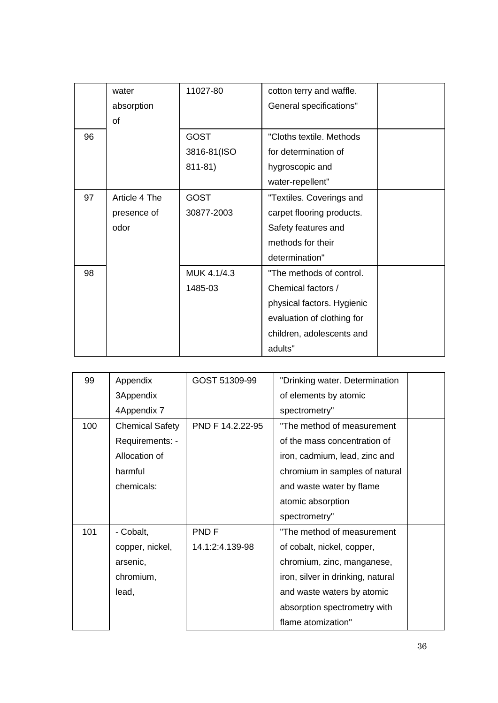|    | water         | 11027-80    | cotton terry and waffle.   |  |
|----|---------------|-------------|----------------------------|--|
|    | absorption    |             | General specifications"    |  |
|    | <sub>of</sub> |             |                            |  |
| 96 |               | <b>GOST</b> | "Cloths textile. Methods   |  |
|    |               | 3816-81(ISO | for determination of       |  |
|    |               | $811 - 81$  | hygroscopic and            |  |
|    |               |             | water-repellent"           |  |
| 97 | Article 4 The | <b>GOST</b> | "Textiles. Coverings and   |  |
|    | presence of   | 30877-2003  | carpet flooring products.  |  |
|    | odor          |             | Safety features and        |  |
|    |               |             | methods for their          |  |
|    |               |             | determination"             |  |
| 98 |               | MUK 4.1/4.3 | "The methods of control.   |  |
|    |               | 1485-03     | Chemical factors /         |  |
|    |               |             | physical factors. Hygienic |  |
|    |               |             | evaluation of clothing for |  |
|    |               |             | children, adolescents and  |  |
|    |               |             | adults"                    |  |

| 99  | Appendix               | GOST 51309-99    | "Drinking water. Determination    |  |
|-----|------------------------|------------------|-----------------------------------|--|
|     | 3Appendix              |                  | of elements by atomic             |  |
|     | 4Appendix 7            |                  | spectrometry"                     |  |
| 100 | <b>Chemical Safety</b> | PND F 14.2.22-95 | "The method of measurement        |  |
|     | Requirements: -        |                  | of the mass concentration of      |  |
|     | Allocation of          |                  | iron, cadmium, lead, zinc and     |  |
|     | harmful                |                  | chromium in samples of natural    |  |
|     | chemicals:             |                  | and waste water by flame          |  |
|     |                        |                  | atomic absorption                 |  |
|     |                        |                  | spectrometry"                     |  |
| 101 | - Cobalt,              | PND F            | "The method of measurement        |  |
|     | copper, nickel,        | 14.1:2:4.139-98  | of cobalt, nickel, copper,        |  |
|     | arsenic,               |                  | chromium, zinc, manganese,        |  |
|     | chromium,              |                  | iron, silver in drinking, natural |  |
|     | lead,                  |                  | and waste waters by atomic        |  |
|     |                        |                  | absorption spectrometry with      |  |
|     |                        |                  | flame atomization"                |  |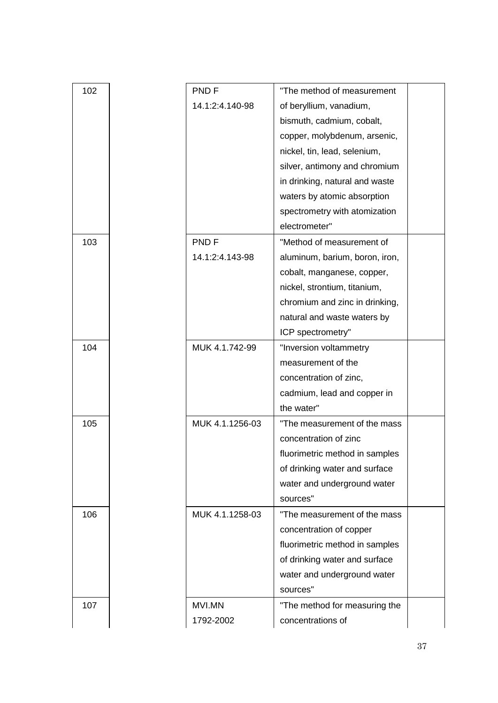| 102 | PND <sub>F</sub> | "The method of measurement     |  |
|-----|------------------|--------------------------------|--|
|     | 14.1:2:4.140-98  | of beryllium, vanadium,        |  |
|     |                  | bismuth, cadmium, cobalt,      |  |
|     |                  | copper, molybdenum, arsenic,   |  |
|     |                  | nickel, tin, lead, selenium,   |  |
|     |                  | silver, antimony and chromium  |  |
|     |                  | in drinking, natural and waste |  |
|     |                  | waters by atomic absorption    |  |
|     |                  | spectrometry with atomization  |  |
|     |                  | electrometer"                  |  |
| 103 | PND <sub>F</sub> | "Method of measurement of      |  |
|     | 14.1:2:4.143-98  | aluminum, barium, boron, iron, |  |
|     |                  | cobalt, manganese, copper,     |  |
|     |                  | nickel, strontium, titanium,   |  |
|     |                  | chromium and zinc in drinking, |  |
|     |                  | natural and waste waters by    |  |
|     |                  | ICP spectrometry"              |  |
| 104 | MUK 4.1.742-99   | "Inversion voltammetry         |  |
|     |                  | measurement of the             |  |
|     |                  | concentration of zinc,         |  |
|     |                  | cadmium, lead and copper in    |  |
|     |                  | the water"                     |  |
| 105 | MUK 4.1.1256-03  | "The measurement of the mass   |  |
|     |                  | concentration of zinc          |  |
|     |                  | fluorimetric method in samples |  |
|     |                  | of drinking water and surface  |  |
|     |                  | water and underground water    |  |
|     |                  | sources"                       |  |
| 106 | MUK 4.1.1258-03  | "The measurement of the mass   |  |
|     |                  | concentration of copper        |  |
|     |                  | fluorimetric method in samples |  |
|     |                  | of drinking water and surface  |  |
|     |                  | water and underground water    |  |
|     |                  | sources"                       |  |
| 107 | MVI.MN           | "The method for measuring the  |  |
|     | 1792-2002        | concentrations of              |  |
|     |                  |                                |  |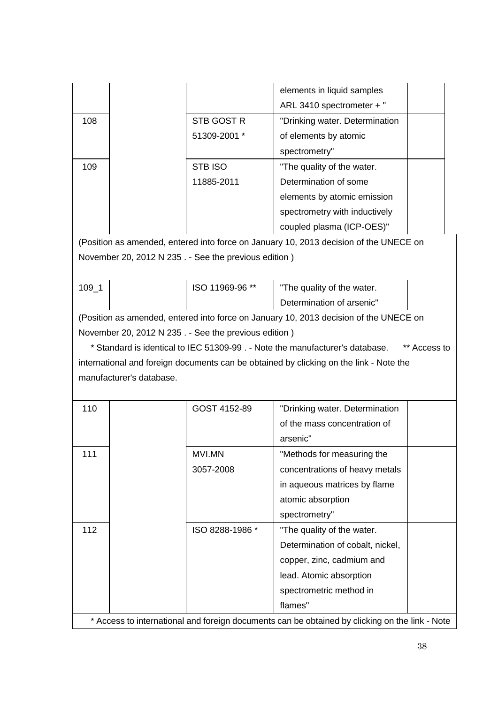|           |                          |                                                      | elements in liquid samples                                                                     |              |
|-----------|--------------------------|------------------------------------------------------|------------------------------------------------------------------------------------------------|--------------|
|           |                          |                                                      | ARL 3410 spectrometer + "                                                                      |              |
| 108       |                          | STB GOST R                                           | "Drinking water. Determination                                                                 |              |
|           |                          | 51309-2001 *                                         | of elements by atomic                                                                          |              |
|           |                          |                                                      | spectrometry"                                                                                  |              |
| 109       |                          | <b>STB ISO</b>                                       | "The quality of the water.                                                                     |              |
|           |                          | 11885-2011                                           | Determination of some                                                                          |              |
|           |                          |                                                      | elements by atomic emission                                                                    |              |
|           |                          |                                                      | spectrometry with inductively                                                                  |              |
|           |                          |                                                      | coupled plasma (ICP-OES)"                                                                      |              |
|           |                          |                                                      | (Position as amended, entered into force on January 10, 2013 decision of the UNECE on          |              |
|           |                          | November 20, 2012 N 235. - See the previous edition) |                                                                                                |              |
|           |                          |                                                      |                                                                                                |              |
| $109 - 1$ |                          | ISO 11969-96 **                                      | "The quality of the water.                                                                     |              |
|           |                          |                                                      | Determination of arsenic"                                                                      |              |
|           |                          |                                                      | (Position as amended, entered into force on January 10, 2013 decision of the UNECE on          |              |
|           |                          | November 20, 2012 N 235. - See the previous edition) |                                                                                                |              |
|           |                          |                                                      | * Standard is identical to IEC 51309-99. - Note the manufacturer's database.                   | ** Access to |
|           |                          |                                                      | international and foreign documents can be obtained by clicking on the link - Note the         |              |
|           | manufacturer's database. |                                                      |                                                                                                |              |
|           |                          |                                                      |                                                                                                |              |
| 110       |                          | GOST 4152-89                                         | "Drinking water. Determination                                                                 |              |
|           |                          |                                                      | of the mass concentration of                                                                   |              |
|           |                          |                                                      | arsenic"                                                                                       |              |
| 111       |                          | MVI.MN                                               | "Methods for measuring the                                                                     |              |
|           |                          |                                                      |                                                                                                |              |
|           |                          | 3057-2008                                            | concentrations of heavy metals                                                                 |              |
|           |                          |                                                      | in aqueous matrices by flame                                                                   |              |
|           |                          |                                                      | atomic absorption                                                                              |              |
|           |                          |                                                      | spectrometry"                                                                                  |              |
| 112       |                          | ISO 8288-1986 *                                      | "The quality of the water.                                                                     |              |
|           |                          |                                                      | Determination of cobalt, nickel,                                                               |              |
|           |                          |                                                      | copper, zinc, cadmium and                                                                      |              |
|           |                          |                                                      | lead. Atomic absorption                                                                        |              |
|           |                          |                                                      | spectrometric method in                                                                        |              |
|           |                          |                                                      | flames"                                                                                        |              |
|           |                          |                                                      | * Access to international and foreign documents can be obtained by clicking on the link - Note |              |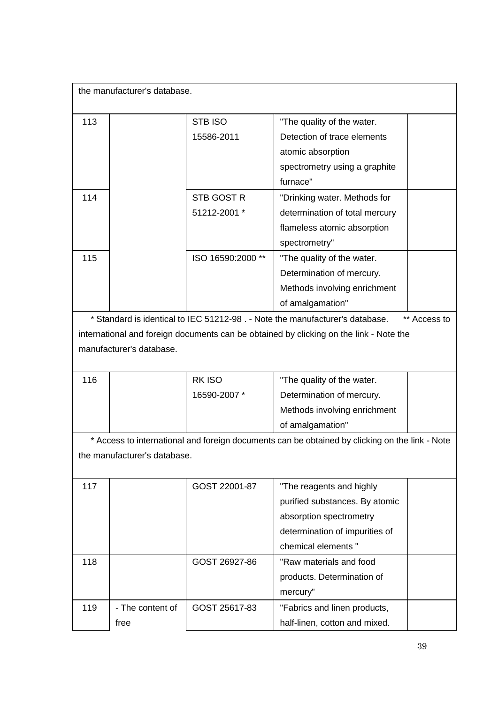| the manufacturer's database. |                   |                                                                                               |
|------------------------------|-------------------|-----------------------------------------------------------------------------------------------|
| 113                          | STB ISO           | "The quality of the water.                                                                    |
|                              | 15586-2011        | Detection of trace elements                                                                   |
|                              |                   | atomic absorption                                                                             |
|                              |                   | spectrometry using a graphite                                                                 |
|                              |                   | furnace"                                                                                      |
| 114                          | STB GOST R        | "Drinking water. Methods for                                                                  |
|                              | 51212-2001 *      | determination of total mercury                                                                |
|                              |                   | flameless atomic absorption                                                                   |
|                              |                   | spectrometry"                                                                                 |
| 115                          | ISO 16590:2000 ** | "The quality of the water.                                                                    |
|                              |                   | Determination of mercury.                                                                     |
|                              |                   | Methods involving enrichment                                                                  |
|                              |                   | of amalgamation"                                                                              |
|                              |                   | * Standard is identical to IEC 51212-98 . - Note the manufacturer's database.<br>** Access to |

international and foreign documents can be obtained by clicking on the link - Note the manufacturer's database.

| 116 | RK ISO       | "The quality of the water.   |  |
|-----|--------------|------------------------------|--|
|     | 16590-2007 * | Determination of mercury.    |  |
|     |              | Methods involving enrichment |  |
|     |              | of amalgamation"             |  |

\* Access to international and foreign documents can be obtained by clicking on the link - Note the manufacturer's database.

| 117 |                  | GOST 22001-87 | "The reagents and highly       |  |
|-----|------------------|---------------|--------------------------------|--|
|     |                  |               | purified substances. By atomic |  |
|     |                  |               | absorption spectrometry        |  |
|     |                  |               | determination of impurities of |  |
|     |                  |               | chemical elements "            |  |
| 118 |                  | GOST 26927-86 | "Raw materials and food        |  |
|     |                  |               | products. Determination of     |  |
|     |                  |               | mercury"                       |  |
| 119 | - The content of | GOST 25617-83 | "Fabrics and linen products,   |  |
|     | free             |               | half-linen, cotton and mixed.  |  |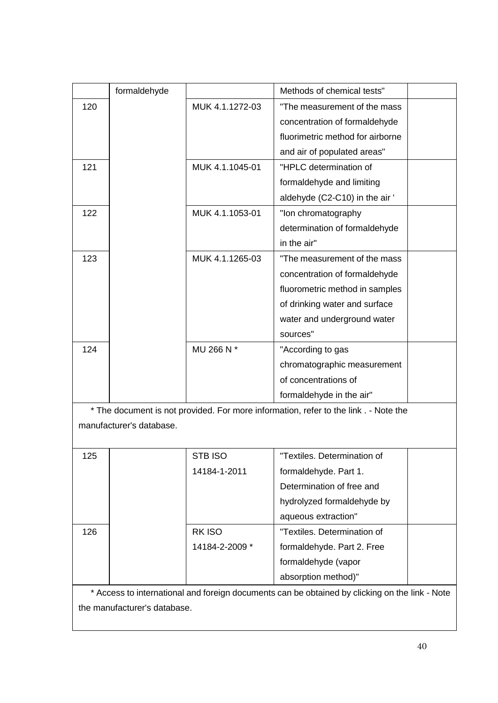|     | formaldehyde |                 | Methods of chemical tests"       |  |
|-----|--------------|-----------------|----------------------------------|--|
| 120 |              | MUK 4.1.1272-03 | "The measurement of the mass     |  |
|     |              |                 | concentration of formaldehyde    |  |
|     |              |                 | fluorimetric method for airborne |  |
|     |              |                 | and air of populated areas"      |  |
| 121 |              | MUK 4.1.1045-01 | "HPLC determination of           |  |
|     |              |                 | formaldehyde and limiting        |  |
|     |              |                 | aldehyde (C2-C10) in the air '   |  |
| 122 |              | MUK 4.1.1053-01 | "Ion chromatography              |  |
|     |              |                 | determination of formaldehyde    |  |
|     |              |                 | in the air"                      |  |
| 123 |              | MUK 4.1.1265-03 | "The measurement of the mass     |  |
|     |              |                 | concentration of formaldehyde    |  |
|     |              |                 | fluorometric method in samples   |  |
|     |              |                 | of drinking water and surface    |  |
|     |              |                 | water and underground water      |  |
|     |              |                 | sources"                         |  |
| 124 |              | MU 266 N *      | "According to gas                |  |
|     |              |                 | chromatographic measurement      |  |
|     |              |                 | of concentrations of             |  |
|     |              |                 | formaldehyde in the air"         |  |
|     |              |                 |                                  |  |

\* The document is not provided. For more information, refer to the link . - Note the manufacturer's database.

| 125 | STB ISO        | "Textiles. Determination of |  |
|-----|----------------|-----------------------------|--|
|     | 14184-1-2011   | formaldehyde. Part 1.       |  |
|     |                | Determination of free and   |  |
|     |                | hydrolyzed formaldehyde by  |  |
|     |                | aqueous extraction"         |  |
| 126 | RK ISO         | "Textiles. Determination of |  |
|     | 14184-2-2009 * | formaldehyde. Part 2. Free  |  |
|     |                | formaldehyde (vapor         |  |
|     |                | absorption method)"         |  |

\* Access to international and foreign documents can be obtained by clicking on the link - Note the manufacturer's database.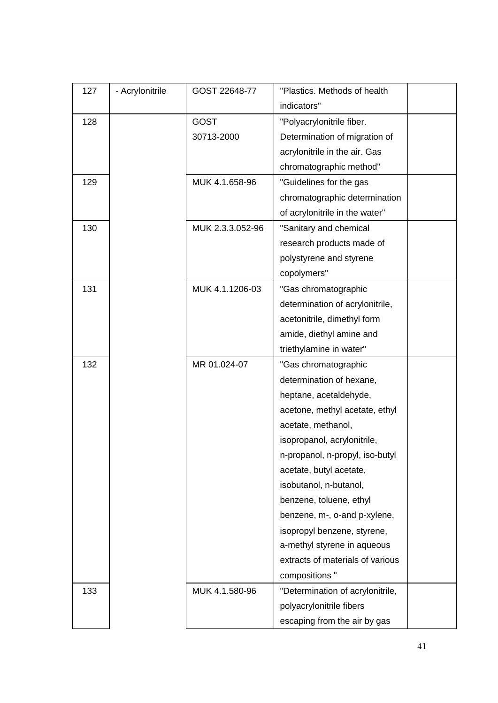| 127 | - Acrylonitrile | GOST 22648-77    | "Plastics. Methods of health     |  |
|-----|-----------------|------------------|----------------------------------|--|
|     |                 |                  | indicators"                      |  |
| 128 |                 | <b>GOST</b>      | "Polyacrylonitrile fiber.        |  |
|     |                 | 30713-2000       | Determination of migration of    |  |
|     |                 |                  | acrylonitrile in the air. Gas    |  |
|     |                 |                  | chromatographic method"          |  |
| 129 |                 | MUK 4.1.658-96   | "Guidelines for the gas          |  |
|     |                 |                  | chromatographic determination    |  |
|     |                 |                  | of acrylonitrile in the water"   |  |
| 130 |                 | MUK 2.3.3.052-96 | "Sanitary and chemical           |  |
|     |                 |                  | research products made of        |  |
|     |                 |                  | polystyrene and styrene          |  |
|     |                 |                  | copolymers"                      |  |
| 131 |                 | MUK 4.1.1206-03  | "Gas chromatographic             |  |
|     |                 |                  | determination of acrylonitrile,  |  |
|     |                 |                  | acetonitrile, dimethyl form      |  |
|     |                 |                  | amide, diethyl amine and         |  |
|     |                 |                  | triethylamine in water"          |  |
| 132 |                 | MR 01.024-07     | "Gas chromatographic             |  |
|     |                 |                  | determination of hexane,         |  |
|     |                 |                  | heptane, acetaldehyde,           |  |
|     |                 |                  | acetone, methyl acetate, ethyl   |  |
|     |                 |                  | acetate, methanol,               |  |
|     |                 |                  | isopropanol, acrylonitrile,      |  |
|     |                 |                  | n-propanol, n-propyl, iso-butyl  |  |
|     |                 |                  | acetate, butyl acetate,          |  |
|     |                 |                  | isobutanol, n-butanol,           |  |
|     |                 |                  | benzene, toluene, ethyl          |  |
|     |                 |                  | benzene, m-, o-and p-xylene,     |  |
|     |                 |                  | isopropyl benzene, styrene,      |  |
|     |                 |                  | a-methyl styrene in aqueous      |  |
|     |                 |                  | extracts of materials of various |  |
|     |                 |                  | compositions "                   |  |
| 133 |                 | MUK 4.1.580-96   | "Determination of acrylonitrile, |  |
|     |                 |                  | polyacrylonitrile fibers         |  |
|     |                 |                  | escaping from the air by gas     |  |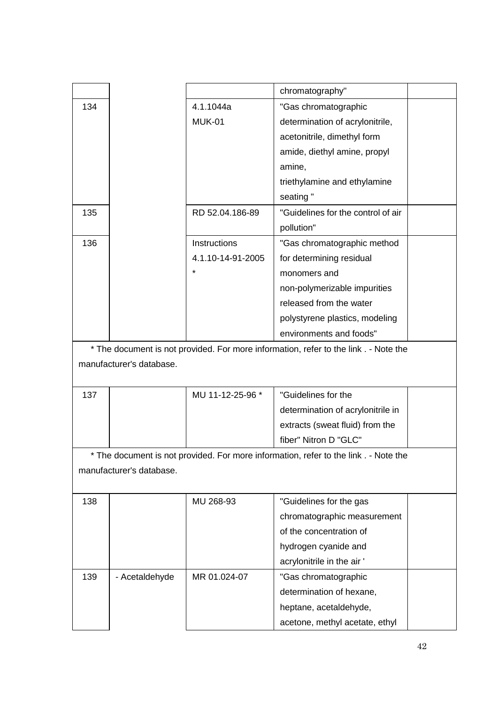|     |                          |                   | chromatography"                                                                      |  |
|-----|--------------------------|-------------------|--------------------------------------------------------------------------------------|--|
| 134 |                          | 4.1.1044a         | "Gas chromatographic                                                                 |  |
|     |                          | <b>MUK-01</b>     | determination of acrylonitrile,                                                      |  |
|     |                          |                   | acetonitrile, dimethyl form                                                          |  |
|     |                          |                   | amide, diethyl amine, propyl                                                         |  |
|     |                          |                   | amine,                                                                               |  |
|     |                          |                   | triethylamine and ethylamine                                                         |  |
|     |                          |                   | seating"                                                                             |  |
| 135 |                          | RD 52.04.186-89   | "Guidelines for the control of air                                                   |  |
|     |                          |                   | pollution"                                                                           |  |
| 136 |                          | Instructions      | "Gas chromatographic method                                                          |  |
|     |                          | 4.1.10-14-91-2005 | for determining residual                                                             |  |
|     |                          | $\star$           | monomers and                                                                         |  |
|     |                          |                   | non-polymerizable impurities                                                         |  |
|     |                          |                   | released from the water                                                              |  |
|     |                          |                   | polystyrene plastics, modeling                                                       |  |
|     |                          |                   | environments and foods"                                                              |  |
|     | manufacturer's database. |                   | * The document is not provided. For more information, refer to the link . - Note the |  |
| 137 |                          | MU 11-12-25-96 *  | "Guidelines for the                                                                  |  |
|     |                          |                   | determination of acrylonitrile in                                                    |  |
|     |                          |                   | extracts (sweat fluid) from the                                                      |  |
|     |                          |                   | fiber" Nitron D "GLC"                                                                |  |
|     |                          |                   | The document is not provided. For more information, refer to the link . - Note the   |  |
|     | manufacturer's database. |                   |                                                                                      |  |
| 138 |                          | MU 268-93         | "Guidelines for the gas                                                              |  |
|     |                          |                   | chromatographic measurement                                                          |  |
|     |                          |                   | of the concentration of                                                              |  |
|     |                          |                   | hydrogen cyanide and                                                                 |  |
|     |                          |                   | acrylonitrile in the air '                                                           |  |
| 139 | - Acetaldehyde           | MR 01.024-07      | "Gas chromatographic                                                                 |  |
|     |                          |                   | determination of hexane,                                                             |  |
|     |                          |                   | heptane, acetaldehyde,                                                               |  |
|     |                          |                   | acetone, methyl acetate, ethyl                                                       |  |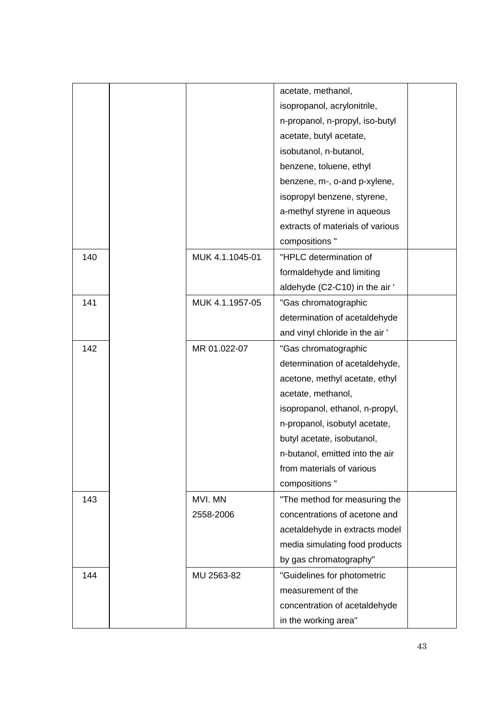|     |                 | acetate, methanol,               |  |
|-----|-----------------|----------------------------------|--|
|     |                 | isopropanol, acrylonitrile,      |  |
|     |                 | n-propanol, n-propyl, iso-butyl  |  |
|     |                 | acetate, butyl acetate,          |  |
|     |                 | isobutanol, n-butanol,           |  |
|     |                 | benzene, toluene, ethyl          |  |
|     |                 | benzene, m-, o-and p-xylene,     |  |
|     |                 | isopropyl benzene, styrene,      |  |
|     |                 | a-methyl styrene in aqueous      |  |
|     |                 | extracts of materials of various |  |
|     |                 | compositions "                   |  |
| 140 | MUK 4.1.1045-01 | "HPLC determination of           |  |
|     |                 | formaldehyde and limiting        |  |
|     |                 | aldehyde (C2-C10) in the air '   |  |
| 141 | MUK 4.1.1957-05 | "Gas chromatographic             |  |
|     |                 | determination of acetaldehyde    |  |
|     |                 | and vinyl chloride in the air '  |  |
| 142 | MR 01.022-07    | "Gas chromatographic             |  |
|     |                 | determination of acetaldehyde,   |  |
|     |                 | acetone, methyl acetate, ethyl   |  |
|     |                 | acetate, methanol,               |  |
|     |                 | isopropanol, ethanol, n-propyl,  |  |
|     |                 | n-propanol, isobutyl acetate,    |  |
|     |                 | butyl acetate, isobutanol,       |  |
|     |                 | n-butanol, emitted into the air  |  |
|     |                 | from materials of various        |  |
|     |                 | compositions "                   |  |
| 143 | MVI. MN         | "The method for measuring the    |  |
|     | 2558-2006       | concentrations of acetone and    |  |
|     |                 | acetaldehyde in extracts model   |  |
|     |                 | media simulating food products   |  |
|     |                 | by gas chromatography"           |  |
| 144 | MU 2563-82      | "Guidelines for photometric      |  |
|     |                 | measurement of the               |  |
|     |                 | concentration of acetaldehyde    |  |
|     |                 | in the working area"             |  |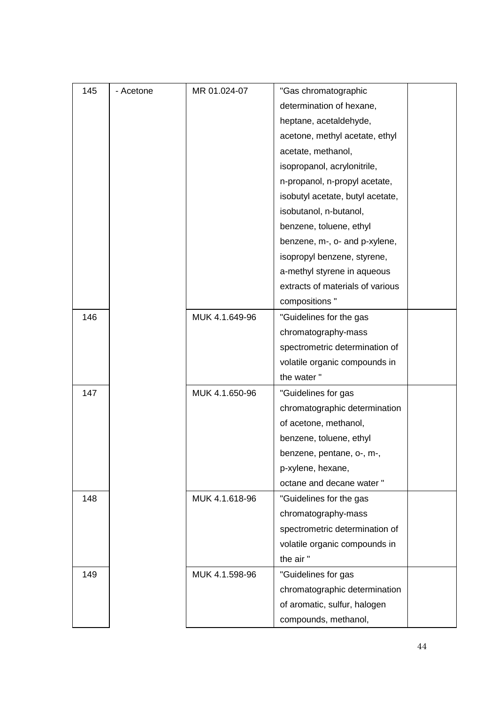| 145 | - Acetone | MR 01.024-07   | "Gas chromatographic             |  |
|-----|-----------|----------------|----------------------------------|--|
|     |           |                | determination of hexane,         |  |
|     |           |                | heptane, acetaldehyde,           |  |
|     |           |                | acetone, methyl acetate, ethyl   |  |
|     |           |                | acetate, methanol,               |  |
|     |           |                | isopropanol, acrylonitrile,      |  |
|     |           |                | n-propanol, n-propyl acetate,    |  |
|     |           |                | isobutyl acetate, butyl acetate, |  |
|     |           |                | isobutanol, n-butanol,           |  |
|     |           |                | benzene, toluene, ethyl          |  |
|     |           |                | benzene, m-, o- and p-xylene,    |  |
|     |           |                | isopropyl benzene, styrene,      |  |
|     |           |                | a-methyl styrene in aqueous      |  |
|     |           |                | extracts of materials of various |  |
|     |           |                | compositions "                   |  |
| 146 |           | MUK 4.1.649-96 | "Guidelines for the gas          |  |
|     |           |                | chromatography-mass              |  |
|     |           |                | spectrometric determination of   |  |
|     |           |                | volatile organic compounds in    |  |
|     |           |                | the water"                       |  |
| 147 |           | MUK 4.1.650-96 | "Guidelines for gas              |  |
|     |           |                | chromatographic determination    |  |
|     |           |                | of acetone, methanol,            |  |
|     |           |                | benzene, toluene, ethyl          |  |
|     |           |                | benzene, pentane, o-, m-,        |  |
|     |           |                | p-xylene, hexane,                |  |
|     |           |                | octane and decane water "        |  |
| 148 |           | MUK 4.1.618-96 | "Guidelines for the gas          |  |
|     |           |                | chromatography-mass              |  |
|     |           |                | spectrometric determination of   |  |
|     |           |                | volatile organic compounds in    |  |
|     |           |                | the air"                         |  |
| 149 |           | MUK 4.1.598-96 | "Guidelines for gas              |  |
|     |           |                | chromatographic determination    |  |
|     |           |                | of aromatic, sulfur, halogen     |  |
|     |           |                | compounds, methanol,             |  |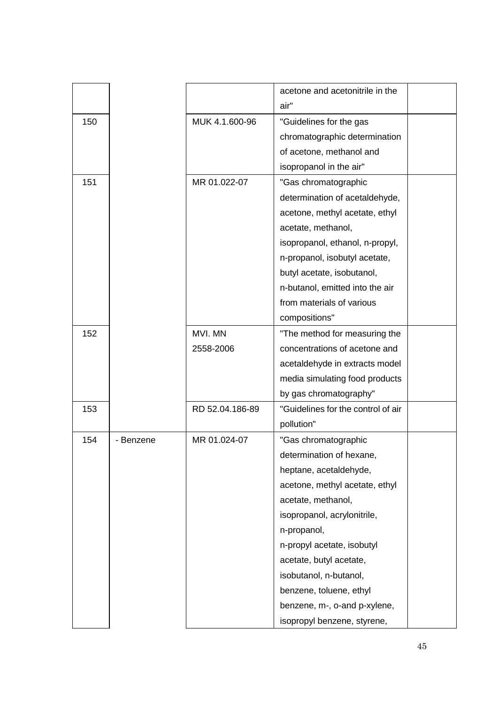|     |           |                 | acetone and acetonitrile in the    |  |
|-----|-----------|-----------------|------------------------------------|--|
|     |           |                 | air"                               |  |
| 150 |           | MUK 4.1.600-96  | "Guidelines for the gas            |  |
|     |           |                 | chromatographic determination      |  |
|     |           |                 | of acetone, methanol and           |  |
|     |           |                 | isopropanol in the air"            |  |
| 151 |           | MR 01.022-07    | "Gas chromatographic               |  |
|     |           |                 | determination of acetaldehyde,     |  |
|     |           |                 | acetone, methyl acetate, ethyl     |  |
|     |           |                 | acetate, methanol,                 |  |
|     |           |                 | isopropanol, ethanol, n-propyl,    |  |
|     |           |                 | n-propanol, isobutyl acetate,      |  |
|     |           |                 | butyl acetate, isobutanol,         |  |
|     |           |                 | n-butanol, emitted into the air    |  |
|     |           |                 | from materials of various          |  |
|     |           |                 | compositions"                      |  |
| 152 |           | MVI. MN         | "The method for measuring the      |  |
|     |           | 2558-2006       | concentrations of acetone and      |  |
|     |           |                 | acetaldehyde in extracts model     |  |
|     |           |                 | media simulating food products     |  |
|     |           |                 | by gas chromatography"             |  |
| 153 |           | RD 52.04.186-89 | "Guidelines for the control of air |  |
|     |           |                 | pollution"                         |  |
| 154 | - Benzene | MR 01.024-07    | "Gas chromatographic               |  |
|     |           |                 | determination of hexane,           |  |
|     |           |                 | heptane, acetaldehyde,             |  |
|     |           |                 | acetone, methyl acetate, ethyl     |  |
|     |           |                 | acetate, methanol,                 |  |
|     |           |                 | isopropanol, acrylonitrile,        |  |
|     |           |                 | n-propanol,                        |  |
|     |           |                 | n-propyl acetate, isobutyl         |  |
|     |           |                 | acetate, butyl acetate,            |  |
|     |           |                 | isobutanol, n-butanol,             |  |
|     |           |                 | benzene, toluene, ethyl            |  |
|     |           |                 | benzene, m-, o-and p-xylene,       |  |
|     |           |                 | isopropyl benzene, styrene,        |  |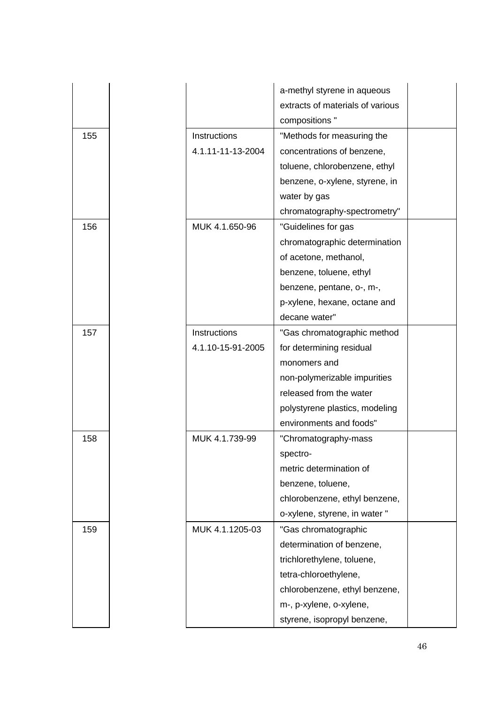|     |                   | a-methyl styrene in aqueous<br>extracts of materials of various<br>compositions " |  |
|-----|-------------------|-----------------------------------------------------------------------------------|--|
| 155 | Instructions      | "Methods for measuring the                                                        |  |
|     | 4.1.11-11-13-2004 | concentrations of benzene,                                                        |  |
|     |                   | toluene, chlorobenzene, ethyl                                                     |  |
|     |                   | benzene, o-xylene, styrene, in                                                    |  |
|     |                   | water by gas                                                                      |  |
|     |                   | chromatography-spectrometry"                                                      |  |
| 156 | MUK 4.1.650-96    | "Guidelines for gas                                                               |  |
|     |                   | chromatographic determination                                                     |  |
|     |                   | of acetone, methanol,                                                             |  |
|     |                   | benzene, toluene, ethyl                                                           |  |
|     |                   | benzene, pentane, o-, m-,                                                         |  |
|     |                   | p-xylene, hexane, octane and                                                      |  |
|     |                   | decane water"                                                                     |  |
| 157 | Instructions      | "Gas chromatographic method                                                       |  |
|     | 4.1.10-15-91-2005 | for determining residual                                                          |  |
|     |                   | monomers and                                                                      |  |
|     |                   | non-polymerizable impurities                                                      |  |
|     |                   | released from the water                                                           |  |
|     |                   | polystyrene plastics, modeling                                                    |  |
|     |                   | environments and foods"                                                           |  |
| 158 | MUK 4.1.739-99    | "Chromatography-mass                                                              |  |
|     |                   | spectro-                                                                          |  |
|     |                   | metric determination of                                                           |  |
|     |                   | benzene, toluene,                                                                 |  |
|     |                   | chlorobenzene, ethyl benzene,                                                     |  |
|     |                   | o-xylene, styrene, in water "                                                     |  |
| 159 | MUK 4.1.1205-03   | "Gas chromatographic                                                              |  |
|     |                   | determination of benzene,                                                         |  |
|     |                   | trichlorethylene, toluene,                                                        |  |
|     |                   | tetra-chloroethylene,                                                             |  |
|     |                   | chlorobenzene, ethyl benzene,                                                     |  |
|     |                   | m-, p-xylene, o-xylene,                                                           |  |
|     |                   | styrene, isopropyl benzene,                                                       |  |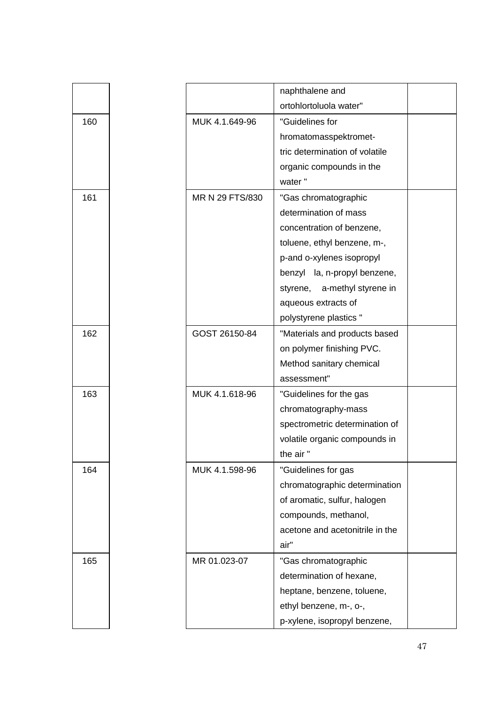|     |                 | naphthalene and                 |  |
|-----|-----------------|---------------------------------|--|
|     |                 | ortohlortoluola water"          |  |
| 160 | MUK 4.1.649-96  | "Guidelines for                 |  |
|     |                 | hromatomasspektromet-           |  |
|     |                 | tric determination of volatile  |  |
|     |                 | organic compounds in the        |  |
|     |                 | water"                          |  |
| 161 | MR N 29 FTS/830 | "Gas chromatographic            |  |
|     |                 | determination of mass           |  |
|     |                 | concentration of benzene,       |  |
|     |                 | toluene, ethyl benzene, m-,     |  |
|     |                 | p-and o-xylenes isopropyl       |  |
|     |                 | benzyl la, n-propyl benzene,    |  |
|     |                 | a-methyl styrene in<br>styrene, |  |
|     |                 | aqueous extracts of             |  |
|     |                 | polystyrene plastics "          |  |
| 162 | GOST 26150-84   | "Materials and products based   |  |
|     |                 | on polymer finishing PVC.       |  |
|     |                 | Method sanitary chemical        |  |
|     |                 | assessment"                     |  |
| 163 | MUK 4.1.618-96  | "Guidelines for the gas         |  |
|     |                 | chromatography-mass             |  |
|     |                 | spectrometric determination of  |  |
|     |                 | volatile organic compounds in   |  |
|     |                 | the air"                        |  |
| 164 | MUK 4.1.598-96  | "Guidelines for gas             |  |
|     |                 | chromatographic determination   |  |
|     |                 | of aromatic, sulfur, halogen    |  |
|     |                 | compounds, methanol,            |  |
|     |                 | acetone and acetonitrile in the |  |
|     |                 | air"                            |  |
| 165 | MR 01.023-07    | "Gas chromatographic            |  |
|     |                 | determination of hexane,        |  |
|     |                 | heptane, benzene, toluene,      |  |
|     |                 | ethyl benzene, m-, o-,          |  |
|     |                 | p-xylene, isopropyl benzene,    |  |
|     |                 |                                 |  |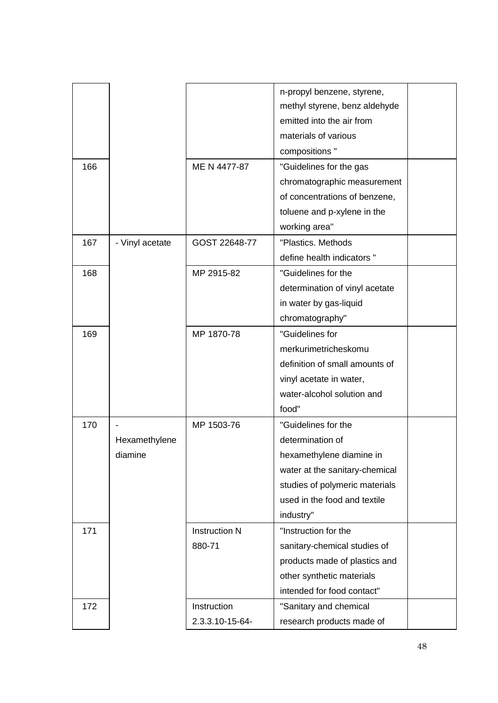|     |                 |                      | n-propyl benzene, styrene,     |  |
|-----|-----------------|----------------------|--------------------------------|--|
|     |                 |                      | methyl styrene, benz aldehyde  |  |
|     |                 |                      | emitted into the air from      |  |
|     |                 |                      | materials of various           |  |
|     |                 |                      | compositions "                 |  |
| 166 |                 | ME N 4477-87         | "Guidelines for the gas        |  |
|     |                 |                      | chromatographic measurement    |  |
|     |                 |                      | of concentrations of benzene,  |  |
|     |                 |                      | toluene and p-xylene in the    |  |
|     |                 |                      | working area"                  |  |
| 167 | - Vinyl acetate | GOST 22648-77        | "Plastics. Methods             |  |
|     |                 |                      | define health indicators "     |  |
| 168 |                 | MP 2915-82           | "Guidelines for the            |  |
|     |                 |                      | determination of vinyl acetate |  |
|     |                 |                      | in water by gas-liquid         |  |
|     |                 |                      | chromatography"                |  |
| 169 |                 | MP 1870-78           | "Guidelines for                |  |
|     |                 |                      | merkurimetricheskomu           |  |
|     |                 |                      | definition of small amounts of |  |
|     |                 |                      | vinyl acetate in water,        |  |
|     |                 |                      | water-alcohol solution and     |  |
|     |                 |                      | food"                          |  |
| 170 |                 | MP 1503-76           | "Guidelines for the            |  |
|     | Hexamethylene   |                      | determination of               |  |
|     | diamine         |                      | hexamethylene diamine in       |  |
|     |                 |                      | water at the sanitary-chemical |  |
|     |                 |                      | studies of polymeric materials |  |
|     |                 |                      | used in the food and textile   |  |
|     |                 |                      | industry"                      |  |
| 171 |                 | <b>Instruction N</b> | "Instruction for the           |  |
|     |                 | 880-71               | sanitary-chemical studies of   |  |
|     |                 |                      | products made of plastics and  |  |
|     |                 |                      | other synthetic materials      |  |
|     |                 |                      | intended for food contact"     |  |
| 172 |                 | Instruction          | "Sanitary and chemical         |  |
|     |                 | 2.3.3.10-15-64-      | research products made of      |  |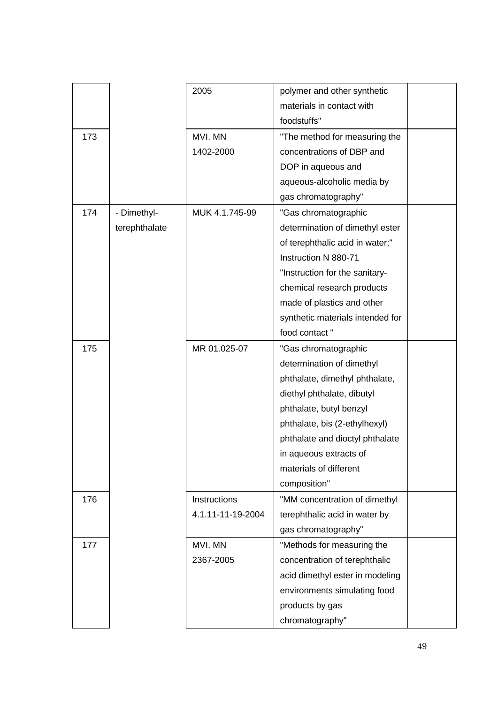|     |               | 2005              | polymer and other synthetic      |
|-----|---------------|-------------------|----------------------------------|
|     |               |                   | materials in contact with        |
|     |               |                   | foodstuffs"                      |
| 173 |               | MVI. MN           | "The method for measuring the    |
|     |               | 1402-2000         | concentrations of DBP and        |
|     |               |                   | DOP in aqueous and               |
|     |               |                   | aqueous-alcoholic media by       |
|     |               |                   | gas chromatography"              |
| 174 | - Dimethyl-   | MUK 4.1.745-99    | "Gas chromatographic             |
|     | terephthalate |                   | determination of dimethyl ester  |
|     |               |                   | of terephthalic acid in water;"  |
|     |               |                   | Instruction N 880-71             |
|     |               |                   | "Instruction for the sanitary-   |
|     |               |                   | chemical research products       |
|     |               |                   | made of plastics and other       |
|     |               |                   | synthetic materials intended for |
|     |               |                   | food contact"                    |
| 175 |               | MR 01.025-07      | "Gas chromatographic             |
|     |               |                   | determination of dimethyl        |
|     |               |                   | phthalate, dimethyl phthalate,   |
|     |               |                   | diethyl phthalate, dibutyl       |
|     |               |                   | phthalate, butyl benzyl          |
|     |               |                   | phthalate, bis (2-ethylhexyl)    |
|     |               |                   | phthalate and dioctyl phthalate  |
|     |               |                   | in aqueous extracts of           |
|     |               |                   | materials of different           |
|     |               |                   | composition"                     |
| 176 |               | Instructions      | "MM concentration of dimethyl    |
|     |               | 4.1.11-11-19-2004 | terephthalic acid in water by    |
|     |               |                   | gas chromatography"              |
| 177 |               | MVI. MN           | "Methods for measuring the       |
|     |               | 2367-2005         | concentration of terephthalic    |
|     |               |                   | acid dimethyl ester in modeling  |
|     |               |                   | environments simulating food     |
|     |               |                   | products by gas                  |
|     |               |                   | chromatography"                  |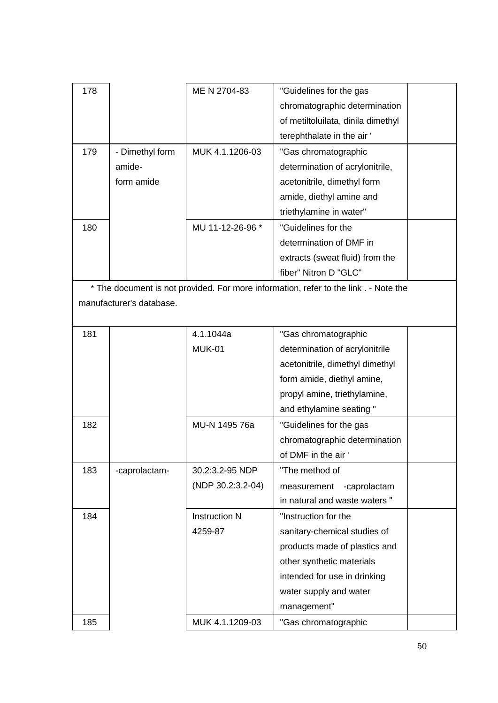| 178 |                 | ME N 2704-83     | "Guidelines for the gas            |  |
|-----|-----------------|------------------|------------------------------------|--|
|     |                 |                  | chromatographic determination      |  |
|     |                 |                  | of metiltoluilata, dinila dimethyl |  |
|     |                 |                  | terephthalate in the air'          |  |
| 179 | - Dimethyl form | MUK 4.1.1206-03  | "Gas chromatographic               |  |
|     | amide-          |                  | determination of acrylonitrile,    |  |
|     | form amide      |                  | acetonitrile, dimethyl form        |  |
|     |                 |                  | amide, diethyl amine and           |  |
|     |                 |                  | triethylamine in water"            |  |
| 180 |                 | MU 11-12-26-96 * | "Guidelines for the                |  |
|     |                 |                  | determination of DMF in            |  |
|     |                 |                  | extracts (sweat fluid) from the    |  |
|     |                 |                  | fiber" Nitron D "GLC"              |  |
|     |                 |                  |                                    |  |

\* The document is not provided. For more information, refer to the link . - Note the manufacturer's database.

| 181 |               | 4.1.1044a            | "Gas chromatographic            |  |
|-----|---------------|----------------------|---------------------------------|--|
|     |               | <b>MUK-01</b>        | determination of acrylonitrile  |  |
|     |               |                      | acetonitrile, dimethyl dimethyl |  |
|     |               |                      | form amide, diethyl amine,      |  |
|     |               |                      | propyl amine, triethylamine,    |  |
|     |               |                      | and ethylamine seating "        |  |
| 182 |               | MU-N 1495 76a        | "Guidelines for the gas         |  |
|     |               |                      | chromatographic determination   |  |
|     |               |                      | of DMF in the air '             |  |
| 183 | -caprolactam- | 30.2:3.2-95 NDP      | "The method of                  |  |
|     |               | (NDP 30.2:3.2-04)    | -caprolactam<br>measurement     |  |
|     |               |                      | in natural and waste waters "   |  |
| 184 |               | <b>Instruction N</b> | "Instruction for the            |  |
|     |               | 4259-87              | sanitary-chemical studies of    |  |
|     |               |                      | products made of plastics and   |  |
|     |               |                      | other synthetic materials       |  |
|     |               |                      | intended for use in drinking    |  |
|     |               |                      | water supply and water          |  |
|     |               |                      | management"                     |  |
| 185 |               | MUK 4.1.1209-03      | "Gas chromatographic            |  |
|     |               |                      |                                 |  |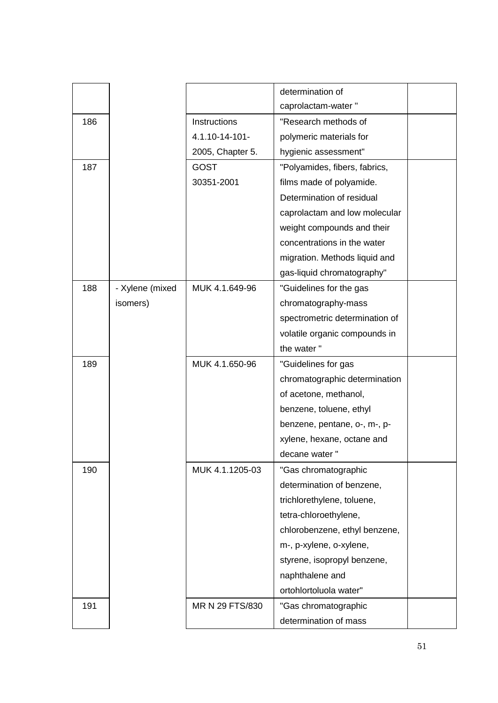|     |                 |                  | determination of               |  |
|-----|-----------------|------------------|--------------------------------|--|
|     |                 |                  | caprolactam-water"             |  |
| 186 |                 | Instructions     | "Research methods of           |  |
|     |                 | 4.1.10-14-101-   | polymeric materials for        |  |
|     |                 | 2005, Chapter 5. | hygienic assessment"           |  |
| 187 |                 | <b>GOST</b>      | "Polyamides, fibers, fabrics,  |  |
|     |                 | 30351-2001       | films made of polyamide.       |  |
|     |                 |                  | Determination of residual      |  |
|     |                 |                  | caprolactam and low molecular  |  |
|     |                 |                  | weight compounds and their     |  |
|     |                 |                  | concentrations in the water    |  |
|     |                 |                  | migration. Methods liquid and  |  |
|     |                 |                  | gas-liquid chromatography"     |  |
| 188 | - Xylene (mixed | MUK 4.1.649-96   | "Guidelines for the gas        |  |
|     | isomers)        |                  | chromatography-mass            |  |
|     |                 |                  | spectrometric determination of |  |
|     |                 |                  | volatile organic compounds in  |  |
|     |                 |                  | the water"                     |  |
| 189 |                 | MUK 4.1.650-96   | "Guidelines for gas            |  |
|     |                 |                  | chromatographic determination  |  |
|     |                 |                  | of acetone, methanol,          |  |
|     |                 |                  | benzene, toluene, ethyl        |  |
|     |                 |                  | benzene, pentane, o-, m-, p-   |  |
|     |                 |                  | xylene, hexane, octane and     |  |
|     |                 |                  | decane water"                  |  |
| 190 |                 | MUK 4.1.1205-03  | "Gas chromatographic           |  |
|     |                 |                  | determination of benzene,      |  |
|     |                 |                  | trichlorethylene, toluene,     |  |
|     |                 |                  | tetra-chloroethylene,          |  |
|     |                 |                  | chlorobenzene, ethyl benzene,  |  |
|     |                 |                  | m-, p-xylene, o-xylene,        |  |
|     |                 |                  | styrene, isopropyl benzene,    |  |
|     |                 |                  | naphthalene and                |  |
|     |                 |                  | ortohlortoluola water"         |  |
| 191 |                 | MR N 29 FTS/830  | "Gas chromatographic           |  |
|     |                 |                  | determination of mass          |  |
|     |                 |                  |                                |  |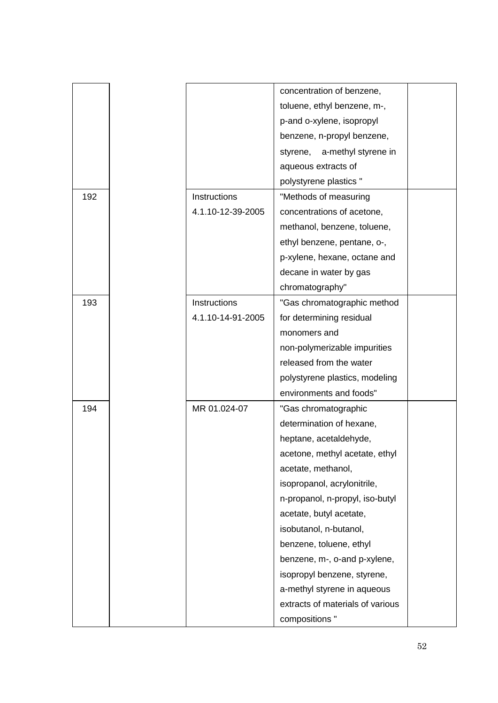|     |                   | concentration of benzene,        |  |
|-----|-------------------|----------------------------------|--|
|     |                   | toluene, ethyl benzene, m-,      |  |
|     |                   | p-and o-xylene, isopropyl        |  |
|     |                   | benzene, n-propyl benzene,       |  |
|     |                   | a-methyl styrene in<br>styrene,  |  |
|     |                   | aqueous extracts of              |  |
|     |                   | polystyrene plastics "           |  |
| 192 | Instructions      | "Methods of measuring            |  |
|     | 4.1.10-12-39-2005 | concentrations of acetone,       |  |
|     |                   | methanol, benzene, toluene,      |  |
|     |                   | ethyl benzene, pentane, o-,      |  |
|     |                   | p-xylene, hexane, octane and     |  |
|     |                   | decane in water by gas           |  |
|     |                   | chromatography"                  |  |
| 193 | Instructions      | "Gas chromatographic method      |  |
|     | 4.1.10-14-91-2005 | for determining residual         |  |
|     |                   | monomers and                     |  |
|     |                   | non-polymerizable impurities     |  |
|     |                   | released from the water          |  |
|     |                   | polystyrene plastics, modeling   |  |
|     |                   | environments and foods"          |  |
| 194 | MR 01.024-07      | "Gas chromatographic             |  |
|     |                   | determination of hexane,         |  |
|     |                   | heptane, acetaldehyde,           |  |
|     |                   | acetone, methyl acetate, ethyl   |  |
|     |                   | acetate, methanol,               |  |
|     |                   | isopropanol, acrylonitrile,      |  |
|     |                   | n-propanol, n-propyl, iso-butyl  |  |
|     |                   | acetate, butyl acetate,          |  |
|     |                   | isobutanol, n-butanol,           |  |
|     |                   | benzene, toluene, ethyl          |  |
|     |                   | benzene, m-, o-and p-xylene,     |  |
|     |                   | isopropyl benzene, styrene,      |  |
|     |                   | a-methyl styrene in aqueous      |  |
|     |                   | extracts of materials of various |  |
|     |                   | compositions "                   |  |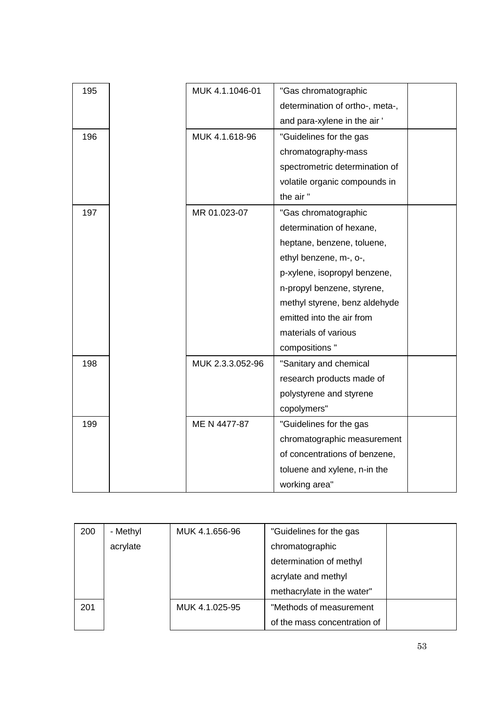| 195 | MUK 4.1.1046-01  | "Gas chromatographic            |  |
|-----|------------------|---------------------------------|--|
|     |                  | determination of ortho-, meta-, |  |
|     |                  | and para-xylene in the air'     |  |
| 196 | MUK 4.1.618-96   | "Guidelines for the gas         |  |
|     |                  | chromatography-mass             |  |
|     |                  | spectrometric determination of  |  |
|     |                  | volatile organic compounds in   |  |
|     |                  | the air"                        |  |
| 197 | MR 01.023-07     | "Gas chromatographic            |  |
|     |                  | determination of hexane,        |  |
|     |                  | heptane, benzene, toluene,      |  |
|     |                  | ethyl benzene, m-, o-,          |  |
|     |                  | p-xylene, isopropyl benzene,    |  |
|     |                  | n-propyl benzene, styrene,      |  |
|     |                  | methyl styrene, benz aldehyde   |  |
|     |                  | emitted into the air from       |  |
|     |                  | materials of various            |  |
|     |                  | compositions "                  |  |
| 198 | MUK 2.3.3.052-96 | "Sanitary and chemical          |  |
|     |                  | research products made of       |  |
|     |                  | polystyrene and styrene         |  |
|     |                  | copolymers"                     |  |
| 199 | ME N 4477-87     | "Guidelines for the gas         |  |
|     |                  | chromatographic measurement     |  |
|     |                  | of concentrations of benzene,   |  |
|     |                  | toluene and xylene, n-in the    |  |
|     |                  | working area"                   |  |
|     |                  |                                 |  |

| 200 | - Methyl | MUK 4.1.656-96 | "Guidelines for the gas      |  |
|-----|----------|----------------|------------------------------|--|
|     | acrylate |                | chromatographic              |  |
|     |          |                | determination of methyl      |  |
|     |          |                | acrylate and methyl          |  |
|     |          |                | methacrylate in the water"   |  |
| 201 |          | MUK 4.1.025-95 | "Methods of measurement      |  |
|     |          |                | of the mass concentration of |  |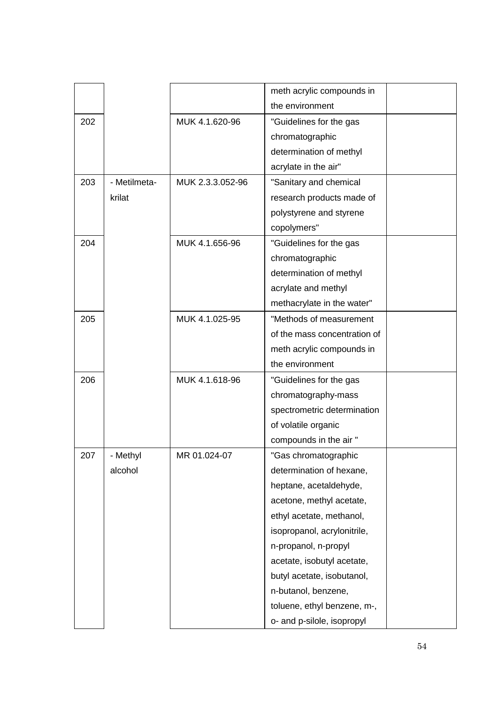|     |              |                  | meth acrylic compounds in    |  |
|-----|--------------|------------------|------------------------------|--|
|     |              |                  | the environment              |  |
| 202 |              | MUK 4.1.620-96   | "Guidelines for the gas      |  |
|     |              |                  | chromatographic              |  |
|     |              |                  | determination of methyl      |  |
|     |              |                  | acrylate in the air"         |  |
| 203 | - Metilmeta- | MUK 2.3.3.052-96 | "Sanitary and chemical       |  |
|     | krilat       |                  | research products made of    |  |
|     |              |                  | polystyrene and styrene      |  |
|     |              |                  | copolymers"                  |  |
| 204 |              | MUK 4.1.656-96   | "Guidelines for the gas      |  |
|     |              |                  | chromatographic              |  |
|     |              |                  | determination of methyl      |  |
|     |              |                  | acrylate and methyl          |  |
|     |              |                  | methacrylate in the water"   |  |
| 205 |              | MUK 4.1.025-95   | "Methods of measurement      |  |
|     |              |                  | of the mass concentration of |  |
|     |              |                  | meth acrylic compounds in    |  |
|     |              |                  | the environment              |  |
| 206 |              | MUK 4.1.618-96   | "Guidelines for the gas      |  |
|     |              |                  | chromatography-mass          |  |
|     |              |                  | spectrometric determination  |  |
|     |              |                  | of volatile organic          |  |
|     |              |                  | compounds in the air "       |  |
| 207 | - Methyl     | MR 01.024-07     | "Gas chromatographic         |  |
|     | alcohol      |                  | determination of hexane,     |  |
|     |              |                  | heptane, acetaldehyde,       |  |
|     |              |                  | acetone, methyl acetate,     |  |
|     |              |                  | ethyl acetate, methanol,     |  |
|     |              |                  | isopropanol, acrylonitrile,  |  |
|     |              |                  | n-propanol, n-propyl         |  |
|     |              |                  | acetate, isobutyl acetate,   |  |
|     |              |                  | butyl acetate, isobutanol,   |  |
|     |              |                  | n-butanol, benzene,          |  |
|     |              |                  | toluene, ethyl benzene, m-,  |  |
|     |              |                  | o- and p-silole, isopropyl   |  |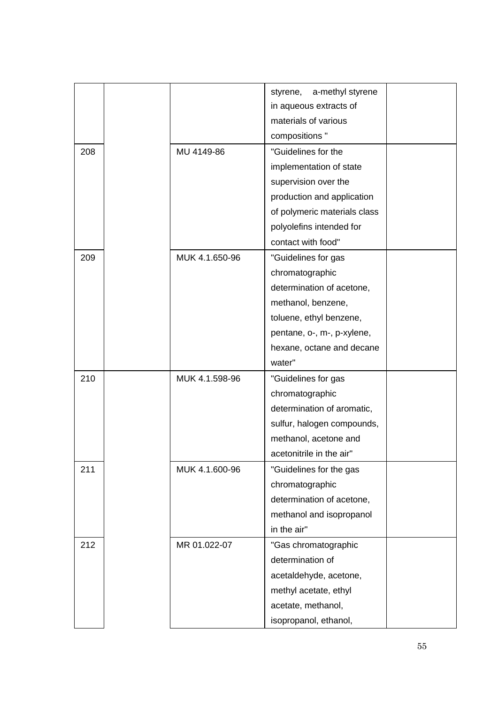|     |                | a-methyl styrene<br>styrene, |  |
|-----|----------------|------------------------------|--|
|     |                | in aqueous extracts of       |  |
|     |                | materials of various         |  |
|     |                | compositions "               |  |
| 208 | MU 4149-86     | "Guidelines for the          |  |
|     |                | implementation of state      |  |
|     |                | supervision over the         |  |
|     |                | production and application   |  |
|     |                | of polymeric materials class |  |
|     |                | polyolefins intended for     |  |
|     |                | contact with food"           |  |
| 209 | MUK 4.1.650-96 | "Guidelines for gas          |  |
|     |                | chromatographic              |  |
|     |                | determination of acetone,    |  |
|     |                | methanol, benzene,           |  |
|     |                | toluene, ethyl benzene,      |  |
|     |                | pentane, o-, m-, p-xylene,   |  |
|     |                | hexane, octane and decane    |  |
|     |                | water"                       |  |
| 210 | MUK 4.1.598-96 | "Guidelines for gas          |  |
|     |                | chromatographic              |  |
|     |                | determination of aromatic,   |  |
|     |                | sulfur, halogen compounds,   |  |
|     |                | methanol, acetone and        |  |
|     |                | acetonitrile in the air"     |  |
| 211 | MUK 4.1.600-96 | "Guidelines for the gas      |  |
|     |                | chromatographic              |  |
|     |                | determination of acetone,    |  |
|     |                | methanol and isopropanol     |  |
|     |                | in the air"                  |  |
| 212 | MR 01.022-07   | "Gas chromatographic         |  |
|     |                | determination of             |  |
|     |                | acetaldehyde, acetone,       |  |
|     |                | methyl acetate, ethyl        |  |
|     |                | acetate, methanol,           |  |
|     |                | isopropanol, ethanol,        |  |
|     |                |                              |  |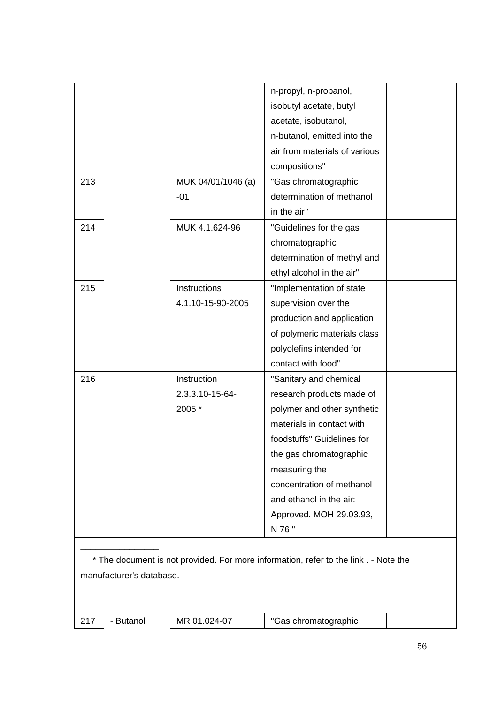|     |                          |                    | n-propyl, n-propanol,                                                                |  |
|-----|--------------------------|--------------------|--------------------------------------------------------------------------------------|--|
|     |                          |                    | isobutyl acetate, butyl                                                              |  |
|     |                          |                    | acetate, isobutanol,                                                                 |  |
|     |                          |                    | n-butanol, emitted into the                                                          |  |
|     |                          |                    | air from materials of various                                                        |  |
|     |                          |                    | compositions"                                                                        |  |
| 213 |                          | MUK 04/01/1046 (a) | "Gas chromatographic                                                                 |  |
|     |                          | $-01$              | determination of methanol                                                            |  |
|     |                          |                    | in the air'                                                                          |  |
| 214 |                          | MUK 4.1.624-96     | "Guidelines for the gas                                                              |  |
|     |                          |                    | chromatographic                                                                      |  |
|     |                          |                    | determination of methyl and                                                          |  |
|     |                          |                    | ethyl alcohol in the air"                                                            |  |
| 215 |                          | Instructions       | "Implementation of state                                                             |  |
|     |                          | 4.1.10-15-90-2005  | supervision over the                                                                 |  |
|     |                          |                    | production and application                                                           |  |
|     |                          |                    | of polymeric materials class                                                         |  |
|     |                          |                    | polyolefins intended for                                                             |  |
|     |                          |                    | contact with food"                                                                   |  |
| 216 |                          | Instruction        | "Sanitary and chemical                                                               |  |
|     |                          | 2.3.3.10-15-64-    | research products made of                                                            |  |
|     |                          | 2005 *             | polymer and other synthetic                                                          |  |
|     |                          |                    | materials in contact with                                                            |  |
|     |                          |                    | foodstuffs" Guidelines for                                                           |  |
|     |                          |                    | the gas chromatographic                                                              |  |
|     |                          |                    | measuring the                                                                        |  |
|     |                          |                    | concentration of methanol                                                            |  |
|     |                          |                    | and ethanol in the air:                                                              |  |
|     |                          |                    | Approved. MOH 29.03.93,                                                              |  |
|     |                          |                    | N 76 "                                                                               |  |
|     |                          |                    |                                                                                      |  |
|     |                          |                    | * The document is not provided. For more information, refer to the link . - Note the |  |
|     | manufacturer's database. |                    |                                                                                      |  |
|     |                          |                    |                                                                                      |  |
|     |                          |                    |                                                                                      |  |
| 217 | - Butanol                | MR 01.024-07       | "Gas chromatographic                                                                 |  |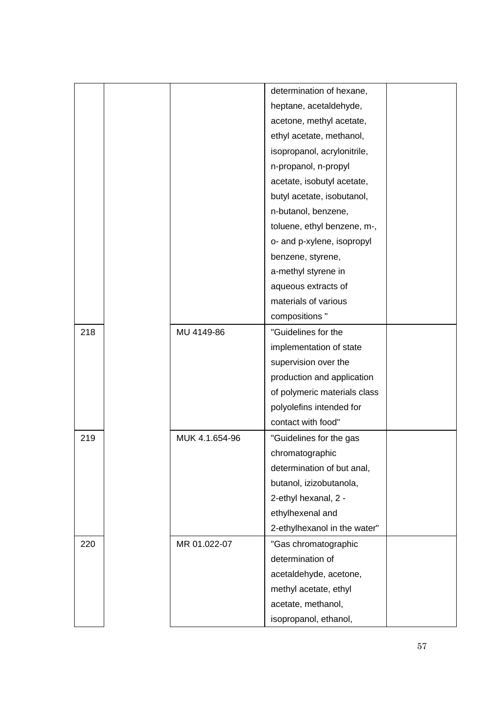|     |                | determination of hexane,     |  |
|-----|----------------|------------------------------|--|
|     |                | heptane, acetaldehyde,       |  |
|     |                | acetone, methyl acetate,     |  |
|     |                | ethyl acetate, methanol,     |  |
|     |                | isopropanol, acrylonitrile,  |  |
|     |                | n-propanol, n-propyl         |  |
|     |                | acetate, isobutyl acetate,   |  |
|     |                | butyl acetate, isobutanol,   |  |
|     |                | n-butanol, benzene,          |  |
|     |                | toluene, ethyl benzene, m-,  |  |
|     |                | o- and p-xylene, isopropyl   |  |
|     |                | benzene, styrene,            |  |
|     |                | a-methyl styrene in          |  |
|     |                | aqueous extracts of          |  |
|     |                | materials of various         |  |
|     |                | compositions "               |  |
| 218 | MU 4149-86     | "Guidelines for the          |  |
|     |                | implementation of state      |  |
|     |                | supervision over the         |  |
|     |                | production and application   |  |
|     |                | of polymeric materials class |  |
|     |                | polyolefins intended for     |  |
|     |                | contact with food"           |  |
| 219 | MUK 4.1.654-96 | "Guidelines for the gas      |  |
|     |                | chromatographic              |  |
|     |                | determination of but anal,   |  |
|     |                | butanol, izizobutanola,      |  |
|     |                | 2-ethyl hexanal, 2 -         |  |
|     |                | ethylhexenal and             |  |
|     |                | 2-ethylhexanol in the water" |  |
| 220 | MR 01.022-07   | "Gas chromatographic         |  |
|     |                | determination of             |  |
|     |                | acetaldehyde, acetone,       |  |
|     |                | methyl acetate, ethyl        |  |
|     |                | acetate, methanol,           |  |
|     |                | isopropanol, ethanol,        |  |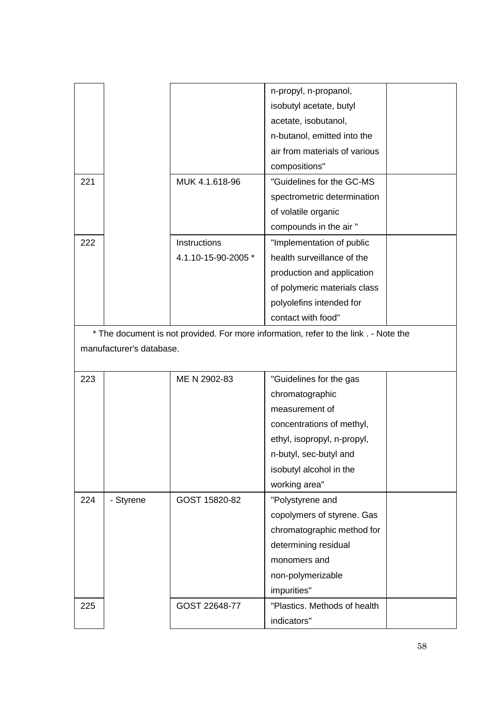|     |                          |                     | n-propyl, n-propanol,                                                                |  |
|-----|--------------------------|---------------------|--------------------------------------------------------------------------------------|--|
|     |                          |                     | isobutyl acetate, butyl                                                              |  |
|     |                          |                     | acetate, isobutanol,                                                                 |  |
|     |                          |                     | n-butanol, emitted into the                                                          |  |
|     |                          |                     | air from materials of various                                                        |  |
|     |                          |                     | compositions"                                                                        |  |
| 221 |                          | MUK 4.1.618-96      | "Guidelines for the GC-MS                                                            |  |
|     |                          |                     | spectrometric determination                                                          |  |
|     |                          |                     | of volatile organic                                                                  |  |
|     |                          |                     | compounds in the air "                                                               |  |
| 222 |                          | Instructions        | "Implementation of public                                                            |  |
|     |                          | 4.1.10-15-90-2005 * | health surveillance of the                                                           |  |
|     |                          |                     | production and application                                                           |  |
|     |                          |                     | of polymeric materials class                                                         |  |
|     |                          |                     | polyolefins intended for                                                             |  |
|     |                          |                     | contact with food"                                                                   |  |
|     |                          |                     | * The document is not provided. For more information, refer to the link . - Note the |  |
|     | manufacturer's database. |                     |                                                                                      |  |
|     |                          |                     |                                                                                      |  |
| 223 |                          | ME N 2902-83        | "Guidelines for the gas                                                              |  |
|     |                          |                     | chromatographic                                                                      |  |
|     |                          |                     | measurement of                                                                       |  |
|     |                          |                     | concentrations of methyl,                                                            |  |
|     |                          |                     | ethyl, isopropyl, n-propyl,                                                          |  |
|     |                          |                     | n-butyl, sec-butyl and                                                               |  |
|     |                          |                     | isobutyl alcohol in the                                                              |  |
|     |                          |                     | working area"                                                                        |  |
| 224 | - Styrene                | GOST 15820-82       | "Polystyrene and                                                                     |  |
|     |                          |                     | copolymers of styrene. Gas                                                           |  |
|     |                          |                     | chromatographic method for                                                           |  |
|     |                          |                     | determining residual                                                                 |  |
|     |                          |                     | monomers and                                                                         |  |
|     |                          |                     | non-polymerizable                                                                    |  |
|     |                          |                     |                                                                                      |  |
|     |                          |                     | impurities"                                                                          |  |
| 225 |                          | GOST 22648-77       | "Plastics. Methods of health                                                         |  |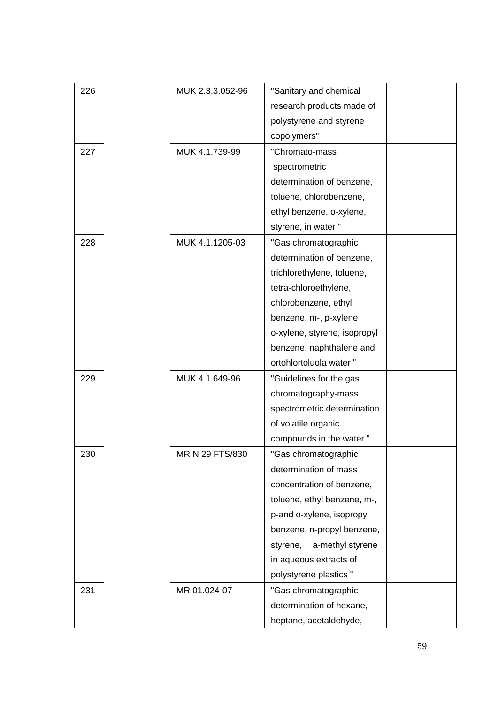| 226 | MUK 2.3.3.052-96 | "Sanitary and chemical       |  |
|-----|------------------|------------------------------|--|
|     |                  | research products made of    |  |
|     |                  | polystyrene and styrene      |  |
|     |                  | copolymers"                  |  |
| 227 | MUK 4.1.739-99   | "Chromato-mass               |  |
|     |                  | spectrometric                |  |
|     |                  | determination of benzene,    |  |
|     |                  | toluene, chlorobenzene,      |  |
|     |                  | ethyl benzene, o-xylene,     |  |
|     |                  | styrene, in water "          |  |
| 228 | MUK 4.1.1205-03  | "Gas chromatographic         |  |
|     |                  | determination of benzene,    |  |
|     |                  | trichlorethylene, toluene,   |  |
|     |                  | tetra-chloroethylene,        |  |
|     |                  | chlorobenzene, ethyl         |  |
|     |                  | benzene, m-, p-xylene        |  |
|     |                  | o-xylene, styrene, isopropyl |  |
|     |                  | benzene, naphthalene and     |  |
|     |                  | ortohlortoluola water "      |  |
| 229 | MUK 4.1.649-96   | "Guidelines for the gas      |  |
|     |                  | chromatography-mass          |  |
|     |                  | spectrometric determination  |  |
|     |                  | of volatile organic          |  |
|     |                  | compounds in the water "     |  |
| 230 | MR N 29 FTS/830  | "Gas chromatographic         |  |
|     |                  | determination of mass        |  |
|     |                  | concentration of benzene,    |  |
|     |                  | toluene, ethyl benzene, m-,  |  |
|     |                  | p-and o-xylene, isopropyl    |  |
|     |                  | benzene, n-propyl benzene,   |  |
|     |                  | styrene,<br>a-methyl styrene |  |
|     |                  | in aqueous extracts of       |  |
|     |                  | polystyrene plastics "       |  |
| 231 | MR 01.024-07     | "Gas chromatographic         |  |
|     |                  | determination of hexane,     |  |
|     |                  | heptane, acetaldehyde,       |  |
|     |                  |                              |  |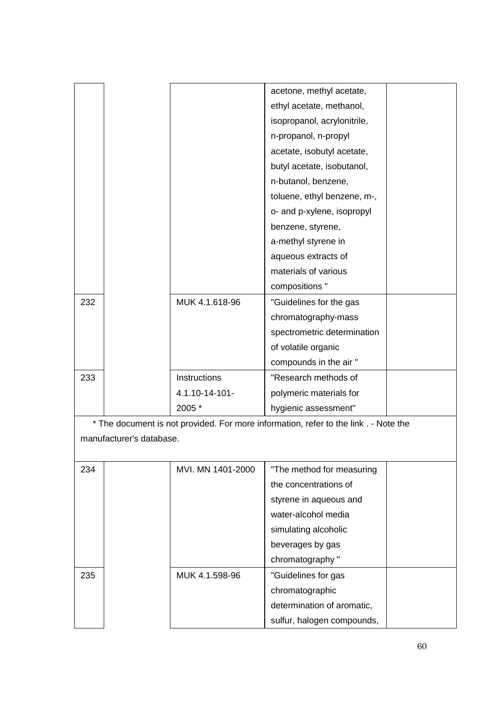|     |                          |                   | acetone, methyl acetate,                                                             |  |
|-----|--------------------------|-------------------|--------------------------------------------------------------------------------------|--|
|     |                          |                   | ethyl acetate, methanol,                                                             |  |
|     |                          |                   | isopropanol, acrylonitrile,                                                          |  |
|     |                          |                   | n-propanol, n-propyl                                                                 |  |
|     |                          |                   | acetate, isobutyl acetate,                                                           |  |
|     |                          |                   | butyl acetate, isobutanol,                                                           |  |
|     |                          |                   | n-butanol, benzene,                                                                  |  |
|     |                          |                   | toluene, ethyl benzene, m-,                                                          |  |
|     |                          |                   | o- and p-xylene, isopropyl                                                           |  |
|     |                          |                   | benzene, styrene,                                                                    |  |
|     |                          |                   | a-methyl styrene in                                                                  |  |
|     |                          |                   | aqueous extracts of                                                                  |  |
|     |                          |                   | materials of various                                                                 |  |
|     |                          |                   | compositions "                                                                       |  |
| 232 |                          | MUK 4.1.618-96    | "Guidelines for the gas                                                              |  |
|     |                          |                   | chromatography-mass                                                                  |  |
|     |                          |                   | spectrometric determination                                                          |  |
|     |                          |                   | of volatile organic                                                                  |  |
|     |                          |                   | compounds in the air "                                                               |  |
| 233 |                          | Instructions      | "Research methods of                                                                 |  |
|     |                          | 4.1.10-14-101-    | polymeric materials for                                                              |  |
|     |                          | 2005 *            | hygienic assessment"                                                                 |  |
|     |                          |                   | * The document is not provided. For more information, refer to the link . - Note the |  |
|     | manufacturer's database. |                   |                                                                                      |  |
|     |                          |                   |                                                                                      |  |
| 234 |                          | MVI. MN 1401-2000 | "The method for measuring                                                            |  |
|     |                          |                   | the concentrations of                                                                |  |
|     |                          |                   | styrene in aqueous and                                                               |  |
|     |                          |                   | water-alcohol media                                                                  |  |
|     |                          |                   | simulating alcoholic                                                                 |  |
|     |                          |                   | beverages by gas                                                                     |  |

chromatography "

chromatographic

determination of aromatic, sulfur, halogen compounds,

235 | MUK 4.1.598-96 | "Guidelines for gas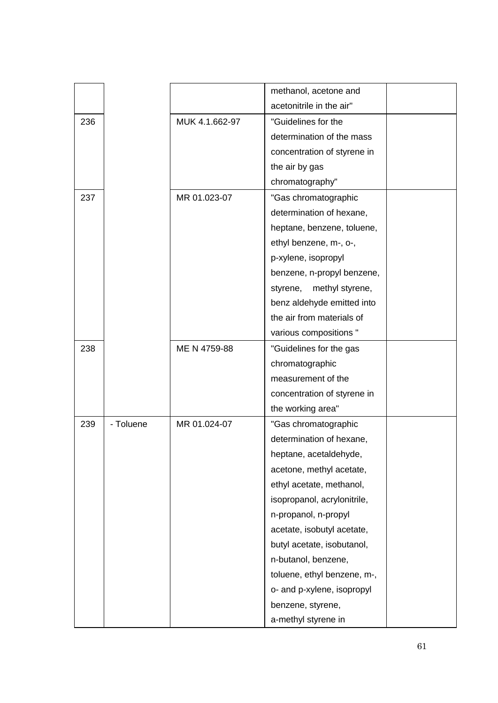|     |           |                | methanol, acetone and       |  |
|-----|-----------|----------------|-----------------------------|--|
|     |           |                | acetonitrile in the air"    |  |
| 236 |           | MUK 4.1.662-97 | "Guidelines for the         |  |
|     |           |                | determination of the mass   |  |
|     |           |                | concentration of styrene in |  |
|     |           |                | the air by gas              |  |
|     |           |                | chromatography"             |  |
| 237 |           | MR 01.023-07   | "Gas chromatographic        |  |
|     |           |                | determination of hexane,    |  |
|     |           |                | heptane, benzene, toluene,  |  |
|     |           |                | ethyl benzene, m-, o-,      |  |
|     |           |                | p-xylene, isopropyl         |  |
|     |           |                | benzene, n-propyl benzene,  |  |
|     |           |                | methyl styrene,<br>styrene, |  |
|     |           |                | benz aldehyde emitted into  |  |
|     |           |                | the air from materials of   |  |
|     |           |                | various compositions "      |  |
| 238 |           | ME N 4759-88   | "Guidelines for the gas     |  |
|     |           |                | chromatographic             |  |
|     |           |                | measurement of the          |  |
|     |           |                | concentration of styrene in |  |
|     |           |                | the working area"           |  |
| 239 | - Toluene | MR 01.024-07   | "Gas chromatographic        |  |
|     |           |                | determination of hexane,    |  |
|     |           |                | heptane, acetaldehyde,      |  |
|     |           |                | acetone, methyl acetate,    |  |
|     |           |                | ethyl acetate, methanol,    |  |
|     |           |                | isopropanol, acrylonitrile, |  |
|     |           |                | n-propanol, n-propyl        |  |
|     |           |                | acetate, isobutyl acetate,  |  |
|     |           |                | butyl acetate, isobutanol,  |  |
|     |           |                | n-butanol, benzene,         |  |
|     |           |                | toluene, ethyl benzene, m-, |  |
|     |           |                | o- and p-xylene, isopropyl  |  |
|     |           |                | benzene, styrene,           |  |
|     |           |                | a-methyl styrene in         |  |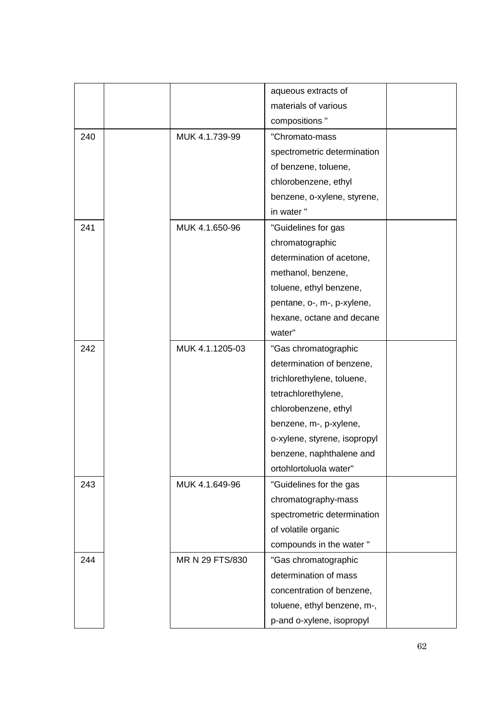|     |                 | aqueous extracts of          |  |
|-----|-----------------|------------------------------|--|
|     |                 | materials of various         |  |
|     |                 | compositions "               |  |
| 240 | MUK 4.1.739-99  | "Chromato-mass               |  |
|     |                 | spectrometric determination  |  |
|     |                 | of benzene, toluene,         |  |
|     |                 | chlorobenzene, ethyl         |  |
|     |                 | benzene, o-xylene, styrene,  |  |
|     |                 | in water"                    |  |
| 241 | MUK 4.1.650-96  | "Guidelines for gas          |  |
|     |                 | chromatographic              |  |
|     |                 | determination of acetone,    |  |
|     |                 | methanol, benzene,           |  |
|     |                 | toluene, ethyl benzene,      |  |
|     |                 | pentane, o-, m-, p-xylene,   |  |
|     |                 | hexane, octane and decane    |  |
|     |                 | water"                       |  |
| 242 | MUK 4.1.1205-03 | "Gas chromatographic         |  |
|     |                 | determination of benzene,    |  |
|     |                 | trichlorethylene, toluene,   |  |
|     |                 | tetrachlorethylene,          |  |
|     |                 | chlorobenzene, ethyl         |  |
|     |                 | benzene, m-, p-xylene,       |  |
|     |                 | o-xylene, styrene, isopropyl |  |
|     |                 | benzene, naphthalene and     |  |
|     |                 | ortohlortoluola water"       |  |
| 243 | MUK 4.1.649-96  | "Guidelines for the gas      |  |
|     |                 | chromatography-mass          |  |
|     |                 | spectrometric determination  |  |
|     |                 | of volatile organic          |  |
|     |                 | compounds in the water "     |  |
| 244 | MR N 29 FTS/830 | "Gas chromatographic         |  |
|     |                 | determination of mass        |  |
|     |                 | concentration of benzene,    |  |
|     |                 | toluene, ethyl benzene, m-,  |  |
|     |                 | p-and o-xylene, isopropyl    |  |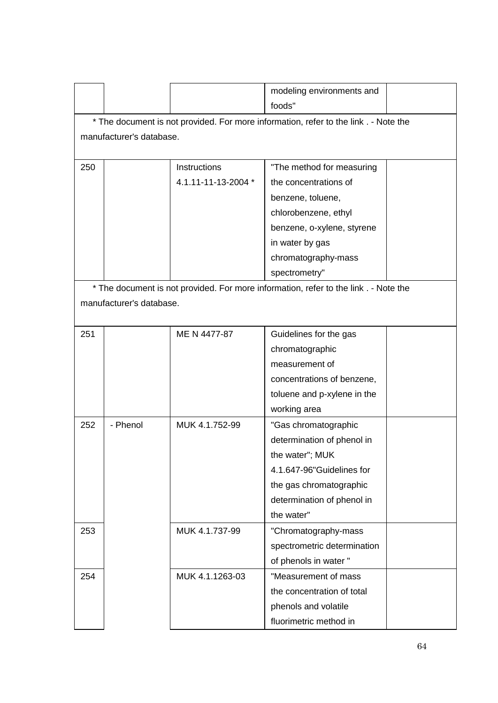| modeling environments and<br>foods"<br>* The document is not provided. For more information, refer to the link . - Note the<br>manufacturer's database.<br>Instructions<br>250<br>"The method for measuring<br>4.1.11-11-13-2004 *<br>the concentrations of<br>benzene, toluene,<br>chlorobenzene, ethyl<br>benzene, o-xylene, styrene<br>in water by gas<br>chromatography-mass<br>spectrometry"<br>* The document is not provided. For more information, refer to the link . - Note the<br>manufacturer's database.<br>ME N 4477-87<br>251<br>Guidelines for the gas<br>chromatographic<br>measurement of<br>concentrations of benzene,<br>toluene and p-xylene in the<br>working area<br>252<br>- Phenol<br>MUK 4.1.752-99<br>"Gas chromatographic<br>determination of phenol in<br>the water"; MUK<br>4.1.647-96" Guidelines for<br>the gas chromatographic<br>determination of phenol in<br>the water"<br>253<br>MUK 4.1.737-99<br>"Chromatography-mass<br>spectrometric determination<br>of phenols in water "<br>"Measurement of mass<br>254<br>MUK 4.1.1263-03<br>the concentration of total<br>phenols and volatile |  |                        |  |
|------------------------------------------------------------------------------------------------------------------------------------------------------------------------------------------------------------------------------------------------------------------------------------------------------------------------------------------------------------------------------------------------------------------------------------------------------------------------------------------------------------------------------------------------------------------------------------------------------------------------------------------------------------------------------------------------------------------------------------------------------------------------------------------------------------------------------------------------------------------------------------------------------------------------------------------------------------------------------------------------------------------------------------------------------------------------------------------------------------------------------|--|------------------------|--|
|                                                                                                                                                                                                                                                                                                                                                                                                                                                                                                                                                                                                                                                                                                                                                                                                                                                                                                                                                                                                                                                                                                                              |  |                        |  |
|                                                                                                                                                                                                                                                                                                                                                                                                                                                                                                                                                                                                                                                                                                                                                                                                                                                                                                                                                                                                                                                                                                                              |  |                        |  |
|                                                                                                                                                                                                                                                                                                                                                                                                                                                                                                                                                                                                                                                                                                                                                                                                                                                                                                                                                                                                                                                                                                                              |  |                        |  |
|                                                                                                                                                                                                                                                                                                                                                                                                                                                                                                                                                                                                                                                                                                                                                                                                                                                                                                                                                                                                                                                                                                                              |  |                        |  |
|                                                                                                                                                                                                                                                                                                                                                                                                                                                                                                                                                                                                                                                                                                                                                                                                                                                                                                                                                                                                                                                                                                                              |  |                        |  |
|                                                                                                                                                                                                                                                                                                                                                                                                                                                                                                                                                                                                                                                                                                                                                                                                                                                                                                                                                                                                                                                                                                                              |  |                        |  |
|                                                                                                                                                                                                                                                                                                                                                                                                                                                                                                                                                                                                                                                                                                                                                                                                                                                                                                                                                                                                                                                                                                                              |  |                        |  |
|                                                                                                                                                                                                                                                                                                                                                                                                                                                                                                                                                                                                                                                                                                                                                                                                                                                                                                                                                                                                                                                                                                                              |  |                        |  |
|                                                                                                                                                                                                                                                                                                                                                                                                                                                                                                                                                                                                                                                                                                                                                                                                                                                                                                                                                                                                                                                                                                                              |  |                        |  |
|                                                                                                                                                                                                                                                                                                                                                                                                                                                                                                                                                                                                                                                                                                                                                                                                                                                                                                                                                                                                                                                                                                                              |  |                        |  |
|                                                                                                                                                                                                                                                                                                                                                                                                                                                                                                                                                                                                                                                                                                                                                                                                                                                                                                                                                                                                                                                                                                                              |  |                        |  |
|                                                                                                                                                                                                                                                                                                                                                                                                                                                                                                                                                                                                                                                                                                                                                                                                                                                                                                                                                                                                                                                                                                                              |  |                        |  |
|                                                                                                                                                                                                                                                                                                                                                                                                                                                                                                                                                                                                                                                                                                                                                                                                                                                                                                                                                                                                                                                                                                                              |  |                        |  |
|                                                                                                                                                                                                                                                                                                                                                                                                                                                                                                                                                                                                                                                                                                                                                                                                                                                                                                                                                                                                                                                                                                                              |  |                        |  |
|                                                                                                                                                                                                                                                                                                                                                                                                                                                                                                                                                                                                                                                                                                                                                                                                                                                                                                                                                                                                                                                                                                                              |  |                        |  |
|                                                                                                                                                                                                                                                                                                                                                                                                                                                                                                                                                                                                                                                                                                                                                                                                                                                                                                                                                                                                                                                                                                                              |  |                        |  |
|                                                                                                                                                                                                                                                                                                                                                                                                                                                                                                                                                                                                                                                                                                                                                                                                                                                                                                                                                                                                                                                                                                                              |  |                        |  |
|                                                                                                                                                                                                                                                                                                                                                                                                                                                                                                                                                                                                                                                                                                                                                                                                                                                                                                                                                                                                                                                                                                                              |  |                        |  |
|                                                                                                                                                                                                                                                                                                                                                                                                                                                                                                                                                                                                                                                                                                                                                                                                                                                                                                                                                                                                                                                                                                                              |  |                        |  |
|                                                                                                                                                                                                                                                                                                                                                                                                                                                                                                                                                                                                                                                                                                                                                                                                                                                                                                                                                                                                                                                                                                                              |  |                        |  |
|                                                                                                                                                                                                                                                                                                                                                                                                                                                                                                                                                                                                                                                                                                                                                                                                                                                                                                                                                                                                                                                                                                                              |  |                        |  |
|                                                                                                                                                                                                                                                                                                                                                                                                                                                                                                                                                                                                                                                                                                                                                                                                                                                                                                                                                                                                                                                                                                                              |  |                        |  |
|                                                                                                                                                                                                                                                                                                                                                                                                                                                                                                                                                                                                                                                                                                                                                                                                                                                                                                                                                                                                                                                                                                                              |  |                        |  |
|                                                                                                                                                                                                                                                                                                                                                                                                                                                                                                                                                                                                                                                                                                                                                                                                                                                                                                                                                                                                                                                                                                                              |  |                        |  |
|                                                                                                                                                                                                                                                                                                                                                                                                                                                                                                                                                                                                                                                                                                                                                                                                                                                                                                                                                                                                                                                                                                                              |  |                        |  |
|                                                                                                                                                                                                                                                                                                                                                                                                                                                                                                                                                                                                                                                                                                                                                                                                                                                                                                                                                                                                                                                                                                                              |  |                        |  |
|                                                                                                                                                                                                                                                                                                                                                                                                                                                                                                                                                                                                                                                                                                                                                                                                                                                                                                                                                                                                                                                                                                                              |  |                        |  |
|                                                                                                                                                                                                                                                                                                                                                                                                                                                                                                                                                                                                                                                                                                                                                                                                                                                                                                                                                                                                                                                                                                                              |  |                        |  |
|                                                                                                                                                                                                                                                                                                                                                                                                                                                                                                                                                                                                                                                                                                                                                                                                                                                                                                                                                                                                                                                                                                                              |  |                        |  |
|                                                                                                                                                                                                                                                                                                                                                                                                                                                                                                                                                                                                                                                                                                                                                                                                                                                                                                                                                                                                                                                                                                                              |  |                        |  |
|                                                                                                                                                                                                                                                                                                                                                                                                                                                                                                                                                                                                                                                                                                                                                                                                                                                                                                                                                                                                                                                                                                                              |  |                        |  |
|                                                                                                                                                                                                                                                                                                                                                                                                                                                                                                                                                                                                                                                                                                                                                                                                                                                                                                                                                                                                                                                                                                                              |  |                        |  |
|                                                                                                                                                                                                                                                                                                                                                                                                                                                                                                                                                                                                                                                                                                                                                                                                                                                                                                                                                                                                                                                                                                                              |  |                        |  |
|                                                                                                                                                                                                                                                                                                                                                                                                                                                                                                                                                                                                                                                                                                                                                                                                                                                                                                                                                                                                                                                                                                                              |  |                        |  |
|                                                                                                                                                                                                                                                                                                                                                                                                                                                                                                                                                                                                                                                                                                                                                                                                                                                                                                                                                                                                                                                                                                                              |  |                        |  |
|                                                                                                                                                                                                                                                                                                                                                                                                                                                                                                                                                                                                                                                                                                                                                                                                                                                                                                                                                                                                                                                                                                                              |  | fluorimetric method in |  |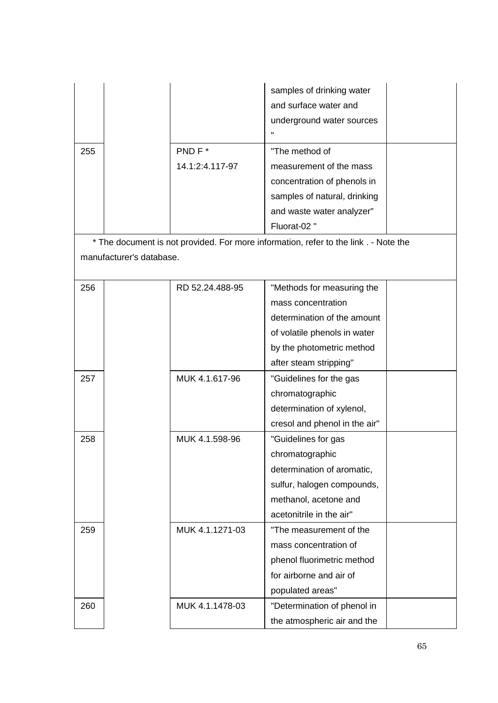|     |                          |                           | samples of drinking water<br>and surface water and<br>underground water sources<br>Π. |  |
|-----|--------------------------|---------------------------|---------------------------------------------------------------------------------------|--|
| 255 |                          | PND F*<br>14.1:2:4.117-97 | "The method of<br>measurement of the mass                                             |  |
|     |                          |                           | concentration of phenols in                                                           |  |
|     |                          |                           | samples of natural, drinking                                                          |  |
|     |                          |                           | and waste water analyzer"                                                             |  |
|     |                          |                           | Fluorat-02"                                                                           |  |
|     |                          |                           | * The document is not provided. For more information, refer to the link . - Note the  |  |
|     | manufacturer's database. |                           |                                                                                       |  |
| 256 |                          | RD 52.24.488-95           | "Methods for measuring the                                                            |  |
|     |                          |                           | mass concentration                                                                    |  |
|     |                          |                           | determination of the amount                                                           |  |
|     |                          |                           | of volatile phenols in water                                                          |  |
|     |                          |                           | by the photometric method                                                             |  |
|     |                          |                           | after steam stripping"                                                                |  |
| 257 |                          | MUK 4.1.617-96            | "Guidelines for the gas                                                               |  |
|     |                          |                           | chromatographic                                                                       |  |
|     |                          |                           | determination of xylenol,                                                             |  |
|     |                          |                           | cresol and phenol in the air"                                                         |  |
| 258 |                          | MUK 4.1.598-96            | "Guidelines for gas                                                                   |  |
|     |                          |                           | chromatographic                                                                       |  |
|     |                          |                           | determination of aromatic,                                                            |  |
|     |                          |                           | sulfur, halogen compounds,                                                            |  |
|     |                          |                           | methanol, acetone and                                                                 |  |
|     |                          |                           | acetonitrile in the air"                                                              |  |
| 259 |                          | MUK 4.1.1271-03           | "The measurement of the                                                               |  |
|     |                          |                           | mass concentration of                                                                 |  |
|     |                          |                           | phenol fluorimetric method                                                            |  |
|     |                          |                           | for airborne and air of                                                               |  |
|     |                          |                           | populated areas"                                                                      |  |
| 260 |                          | MUK 4.1.1478-03           | "Determination of phenol in                                                           |  |
|     |                          |                           | the atmospheric air and the                                                           |  |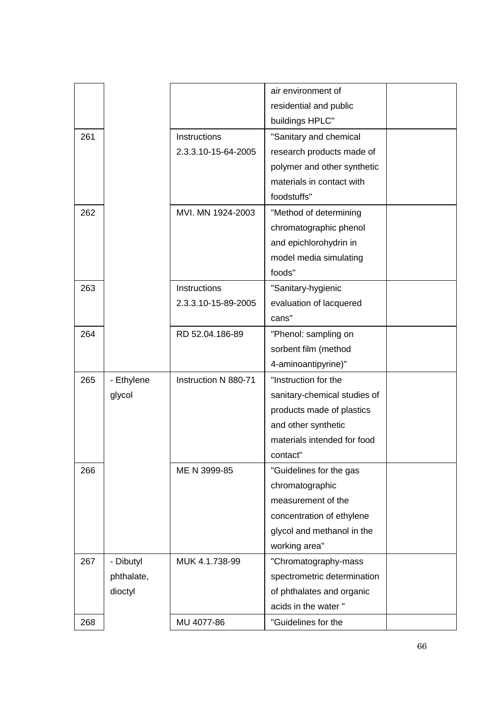|     |            |                      | air environment of           |  |
|-----|------------|----------------------|------------------------------|--|
|     |            |                      | residential and public       |  |
|     |            |                      | buildings HPLC"              |  |
| 261 |            | Instructions         | "Sanitary and chemical       |  |
|     |            | 2.3.3.10-15-64-2005  | research products made of    |  |
|     |            |                      | polymer and other synthetic  |  |
|     |            |                      | materials in contact with    |  |
|     |            |                      | foodstuffs"                  |  |
| 262 |            | MVI. MN 1924-2003    | "Method of determining       |  |
|     |            |                      | chromatographic phenol       |  |
|     |            |                      | and epichlorohydrin in       |  |
|     |            |                      | model media simulating       |  |
|     |            |                      | foods"                       |  |
| 263 |            | Instructions         | "Sanitary-hygienic           |  |
|     |            | 2.3.3.10-15-89-2005  | evaluation of lacquered      |  |
|     |            |                      | cans"                        |  |
| 264 |            | RD 52.04.186-89      | "Phenol: sampling on         |  |
|     |            |                      | sorbent film (method         |  |
|     |            |                      | 4-aminoantipyrine)"          |  |
| 265 | - Ethylene | Instruction N 880-71 | "Instruction for the         |  |
|     | glycol     |                      | sanitary-chemical studies of |  |
|     |            |                      | products made of plastics    |  |
|     |            |                      | and other synthetic          |  |
|     |            |                      | materials intended for food  |  |
|     |            |                      | contact"                     |  |
| 266 |            | ME N 3999-85         | "Guidelines for the gas      |  |
|     |            |                      | chromatographic              |  |
|     |            |                      | measurement of the           |  |
|     |            |                      | concentration of ethylene    |  |
|     |            |                      | glycol and methanol in the   |  |
|     |            |                      | working area"                |  |
| 267 | - Dibutyl  | MUK 4.1.738-99       | "Chromatography-mass         |  |
|     | phthalate, |                      | spectrometric determination  |  |
|     | dioctyl    |                      | of phthalates and organic    |  |
|     |            |                      | acids in the water "         |  |
| 268 |            | MU 4077-86           | "Guidelines for the          |  |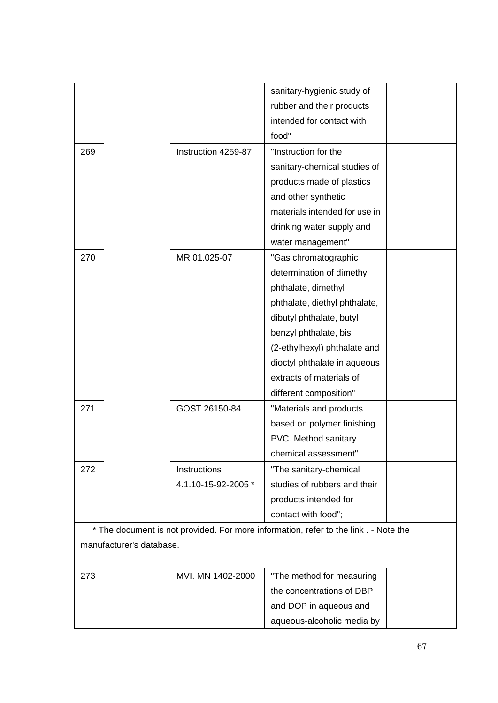|     |                          |                     | sanitary-hygienic study of                                                           |  |
|-----|--------------------------|---------------------|--------------------------------------------------------------------------------------|--|
|     |                          |                     | rubber and their products                                                            |  |
|     |                          |                     | intended for contact with                                                            |  |
|     |                          |                     | food"                                                                                |  |
| 269 |                          | Instruction 4259-87 | "Instruction for the                                                                 |  |
|     |                          |                     | sanitary-chemical studies of                                                         |  |
|     |                          |                     | products made of plastics                                                            |  |
|     |                          |                     | and other synthetic                                                                  |  |
|     |                          |                     | materials intended for use in                                                        |  |
|     |                          |                     | drinking water supply and                                                            |  |
|     |                          |                     | water management"                                                                    |  |
| 270 |                          | MR 01.025-07        | "Gas chromatographic                                                                 |  |
|     |                          |                     | determination of dimethyl                                                            |  |
|     |                          |                     | phthalate, dimethyl                                                                  |  |
|     |                          |                     | phthalate, diethyl phthalate,                                                        |  |
|     |                          |                     | dibutyl phthalate, butyl                                                             |  |
|     |                          |                     | benzyl phthalate, bis                                                                |  |
|     |                          |                     | (2-ethylhexyl) phthalate and                                                         |  |
|     |                          |                     | dioctyl phthalate in aqueous                                                         |  |
|     |                          |                     | extracts of materials of                                                             |  |
|     |                          |                     | different composition"                                                               |  |
| 271 |                          | GOST 26150-84       | "Materials and products                                                              |  |
|     |                          |                     | based on polymer finishing                                                           |  |
|     |                          |                     | PVC. Method sanitary                                                                 |  |
|     |                          |                     | chemical assessment"                                                                 |  |
| 272 |                          | Instructions        | "The sanitary-chemical                                                               |  |
|     |                          | 4.1.10-15-92-2005 * | studies of rubbers and their                                                         |  |
|     |                          |                     | products intended for                                                                |  |
|     |                          |                     | contact with food";                                                                  |  |
|     |                          |                     | * The document is not provided. For more information, refer to the link . - Note the |  |
|     | manufacturer's database. |                     |                                                                                      |  |
| 273 |                          | MVI. MN 1402-2000   | "The method for measuring                                                            |  |
|     |                          |                     | the concentrations of DRD                                                            |  |

|  | the concentrations of DBP  |  |
|--|----------------------------|--|
|  | and DOP in aqueous and     |  |
|  | aqueous-alcoholic media by |  |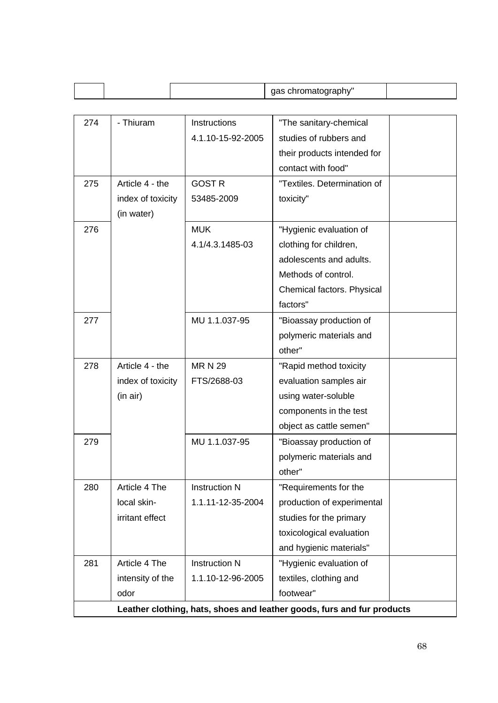|     |                                                                        |                      | gas chromatography"         |  |
|-----|------------------------------------------------------------------------|----------------------|-----------------------------|--|
|     |                                                                        |                      |                             |  |
| 274 | - Thiuram                                                              | <b>Instructions</b>  | "The sanitary-chemical      |  |
|     |                                                                        | 4.1.10-15-92-2005    | studies of rubbers and      |  |
|     |                                                                        |                      | their products intended for |  |
|     |                                                                        |                      | contact with food"          |  |
| 275 | Article 4 - the                                                        | <b>GOST R</b>        | "Textiles. Determination of |  |
|     | index of toxicity                                                      | 53485-2009           | toxicity"                   |  |
|     | (in water)                                                             |                      |                             |  |
| 276 |                                                                        | <b>MUK</b>           | "Hygienic evaluation of     |  |
|     |                                                                        | 4.1/4.3.1485-03      | clothing for children,      |  |
|     |                                                                        |                      | adolescents and adults.     |  |
|     |                                                                        |                      | Methods of control.         |  |
|     |                                                                        |                      | Chemical factors. Physical  |  |
|     |                                                                        |                      | factors"                    |  |
| 277 |                                                                        | MU 1.1.037-95        | "Bioassay production of     |  |
|     |                                                                        |                      | polymeric materials and     |  |
|     |                                                                        |                      | other"                      |  |
| 278 | Article 4 - the                                                        | <b>MRN 29</b>        | "Rapid method toxicity      |  |
|     | index of toxicity                                                      | FTS/2688-03          | evaluation samples air      |  |
|     | (in air)                                                               |                      | using water-soluble         |  |
|     |                                                                        |                      | components in the test      |  |
|     |                                                                        |                      | object as cattle semen"     |  |
| 279 |                                                                        | MU 1.1.037-95        | "Bioassay production of     |  |
|     |                                                                        |                      | polymeric materials and     |  |
|     |                                                                        |                      | other"                      |  |
| 280 | Article 4 The                                                          | <b>Instruction N</b> | "Requirements for the       |  |
|     | local skin-                                                            | 1.1.11-12-35-2004    | production of experimental  |  |
|     | irritant effect                                                        |                      | studies for the primary     |  |
|     |                                                                        |                      | toxicological evaluation    |  |
|     |                                                                        |                      | and hygienic materials"     |  |
| 281 | Article 4 The                                                          | <b>Instruction N</b> | "Hygienic evaluation of     |  |
|     | intensity of the                                                       | 1.1.10-12-96-2005    | textiles, clothing and      |  |
|     | odor                                                                   |                      | footwear"                   |  |
|     | Leather clothing, hats, shoes and leather goods, furs and fur products |                      |                             |  |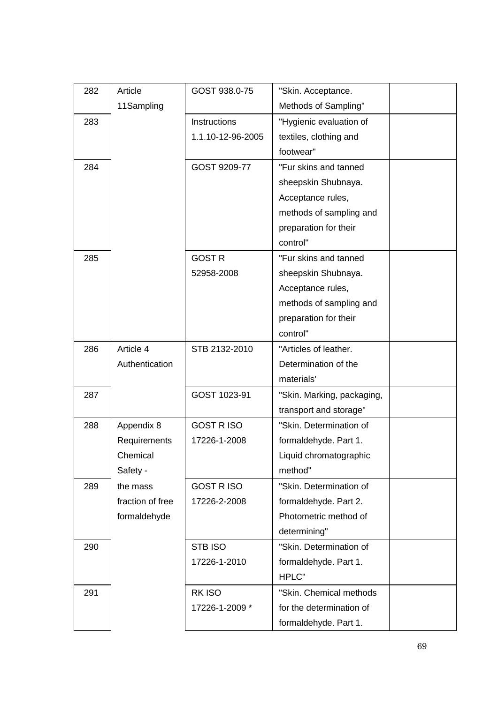| 282 | Article          | GOST 938.0-75     | "Skin. Acceptance.         |  |
|-----|------------------|-------------------|----------------------------|--|
|     | 11Sampling       |                   | Methods of Sampling"       |  |
| 283 |                  | Instructions      | "Hygienic evaluation of    |  |
|     |                  | 1.1.10-12-96-2005 | textiles, clothing and     |  |
|     |                  |                   | footwear"                  |  |
| 284 |                  | GOST 9209-77      | "Fur skins and tanned      |  |
|     |                  |                   | sheepskin Shubnaya.        |  |
|     |                  |                   | Acceptance rules,          |  |
|     |                  |                   | methods of sampling and    |  |
|     |                  |                   | preparation for their      |  |
|     |                  |                   | control"                   |  |
| 285 |                  | <b>GOST R</b>     | "Fur skins and tanned      |  |
|     |                  | 52958-2008        | sheepskin Shubnaya.        |  |
|     |                  |                   | Acceptance rules,          |  |
|     |                  |                   | methods of sampling and    |  |
|     |                  |                   | preparation for their      |  |
|     |                  |                   | control"                   |  |
| 286 | Article 4        | STB 2132-2010     | "Articles of leather.      |  |
|     | Authentication   |                   | Determination of the       |  |
|     |                  |                   | materials'                 |  |
| 287 |                  | GOST 1023-91      | "Skin. Marking, packaging, |  |
|     |                  |                   | transport and storage"     |  |
| 288 | Appendix 8       | <b>GOST RISO</b>  | "Skin. Determination of    |  |
|     | Requirements     | 17226-1-2008      | formaldehyde. Part 1.      |  |
|     | Chemical         |                   | Liquid chromatographic     |  |
|     | Safety -         |                   | method"                    |  |
| 289 | the mass         | <b>GOST RISO</b>  | "Skin. Determination of    |  |
|     | fraction of free | 17226-2-2008      | formaldehyde. Part 2.      |  |
|     | formaldehyde     |                   | Photometric method of      |  |
|     |                  |                   | determining"               |  |
| 290 |                  | STB ISO           | "Skin. Determination of    |  |
|     |                  | 17226-1-2010      | formaldehyde. Part 1.      |  |
|     |                  |                   | HPLC"                      |  |
| 291 |                  | RK ISO            | "Skin. Chemical methods    |  |
|     |                  | 17226-1-2009 *    | for the determination of   |  |
|     |                  |                   | formaldehyde. Part 1.      |  |
|     |                  |                   |                            |  |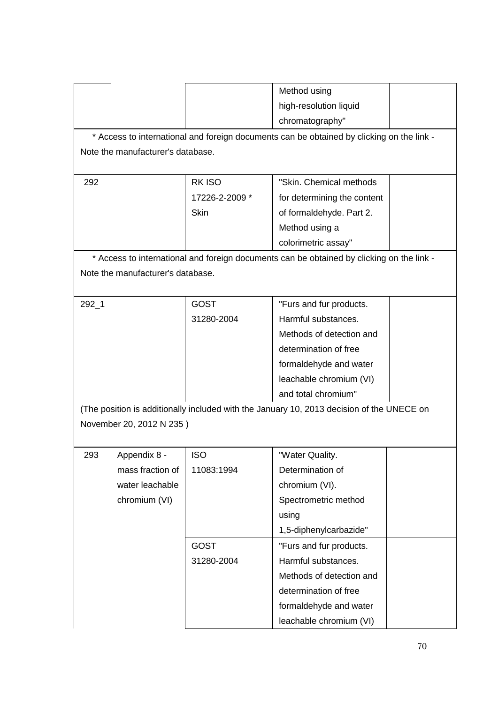|           |                                   |                | Method using                                                                              |  |
|-----------|-----------------------------------|----------------|-------------------------------------------------------------------------------------------|--|
|           |                                   |                | high-resolution liquid                                                                    |  |
|           |                                   |                | chromatography"                                                                           |  |
|           |                                   |                | * Access to international and foreign documents can be obtained by clicking on the link - |  |
|           | Note the manufacturer's database. |                |                                                                                           |  |
|           |                                   |                |                                                                                           |  |
| 292       |                                   | <b>RKISO</b>   | "Skin. Chemical methods                                                                   |  |
|           |                                   | 17226-2-2009 * | for determining the content                                                               |  |
|           |                                   | <b>Skin</b>    | of formaldehyde. Part 2.                                                                  |  |
|           |                                   |                | Method using a                                                                            |  |
|           |                                   |                | colorimetric assay"                                                                       |  |
|           |                                   |                | * Access to international and foreign documents can be obtained by clicking on the link - |  |
|           | Note the manufacturer's database. |                |                                                                                           |  |
|           |                                   |                |                                                                                           |  |
| $292 - 1$ |                                   | <b>GOST</b>    | "Furs and fur products.                                                                   |  |
|           |                                   | 31280-2004     | Harmful substances.                                                                       |  |
|           |                                   |                | Methods of detection and                                                                  |  |
|           |                                   |                | determination of free                                                                     |  |
|           |                                   |                | formaldehyde and water                                                                    |  |
|           |                                   |                | leachable chromium (VI)                                                                   |  |
|           |                                   |                | and total chromium"                                                                       |  |
|           |                                   |                | (The position is additionally included with the January 10, 2013 decision of the UNECE on |  |
|           | November 20, 2012 N 235)          |                |                                                                                           |  |
|           |                                   |                |                                                                                           |  |
| 293       | Appendix 8 -                      | <b>ISO</b>     | "Water Quality.                                                                           |  |
|           | mass fraction of                  | 11083:1994     | Determination of                                                                          |  |
|           | water leachable                   |                | chromium (VI).                                                                            |  |
|           | chromium (VI)                     |                | Spectrometric method                                                                      |  |
|           |                                   |                | using                                                                                     |  |
|           |                                   |                | 1,5-diphenylcarbazide"                                                                    |  |
|           |                                   | <b>GOST</b>    | "Furs and fur products.                                                                   |  |
|           |                                   | 31280-2004     | Harmful substances.                                                                       |  |
|           |                                   |                | Methods of detection and                                                                  |  |
|           |                                   |                | determination of free                                                                     |  |
|           |                                   |                | formaldehyde and water                                                                    |  |
|           |                                   |                | leachable chromium (VI)                                                                   |  |
|           |                                   |                |                                                                                           |  |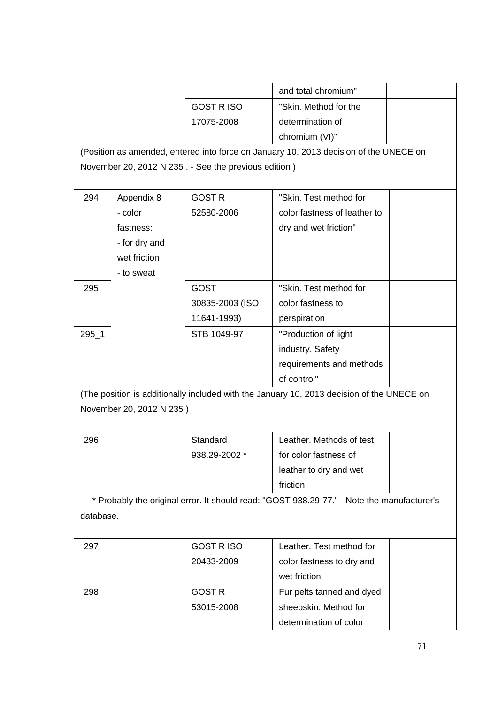|                                                                                            |                          |                                                      | and total chromium"                                                                       |  |  |  |  |
|--------------------------------------------------------------------------------------------|--------------------------|------------------------------------------------------|-------------------------------------------------------------------------------------------|--|--|--|--|
|                                                                                            |                          | <b>GOST RISO</b>                                     | "Skin. Method for the                                                                     |  |  |  |  |
|                                                                                            |                          | 17075-2008                                           | determination of                                                                          |  |  |  |  |
|                                                                                            |                          |                                                      | chromium (VI)"                                                                            |  |  |  |  |
|                                                                                            |                          |                                                      | (Position as amended, entered into force on January 10, 2013 decision of the UNECE on     |  |  |  |  |
|                                                                                            |                          | November 20, 2012 N 235. - See the previous edition) |                                                                                           |  |  |  |  |
|                                                                                            |                          |                                                      |                                                                                           |  |  |  |  |
| 294                                                                                        | Appendix 8               | <b>GOST R</b>                                        | "Skin. Test method for                                                                    |  |  |  |  |
|                                                                                            | - color                  | 52580-2006                                           | color fastness of leather to                                                              |  |  |  |  |
|                                                                                            | fastness:                |                                                      | dry and wet friction"                                                                     |  |  |  |  |
|                                                                                            | - for dry and            |                                                      |                                                                                           |  |  |  |  |
|                                                                                            | wet friction             |                                                      |                                                                                           |  |  |  |  |
|                                                                                            | - to sweat               |                                                      |                                                                                           |  |  |  |  |
| 295                                                                                        |                          | <b>GOST</b>                                          | "Skin. Test method for                                                                    |  |  |  |  |
|                                                                                            |                          | 30835-2003 (ISO                                      | color fastness to                                                                         |  |  |  |  |
|                                                                                            |                          | 11641-1993)                                          | perspiration                                                                              |  |  |  |  |
| $295 - 1$                                                                                  |                          | STB 1049-97                                          | "Production of light                                                                      |  |  |  |  |
|                                                                                            |                          |                                                      | industry. Safety                                                                          |  |  |  |  |
|                                                                                            |                          |                                                      | requirements and methods                                                                  |  |  |  |  |
|                                                                                            |                          |                                                      | of control"                                                                               |  |  |  |  |
|                                                                                            |                          |                                                      | (The position is additionally included with the January 10, 2013 decision of the UNECE on |  |  |  |  |
|                                                                                            | November 20, 2012 N 235) |                                                      |                                                                                           |  |  |  |  |
|                                                                                            |                          |                                                      |                                                                                           |  |  |  |  |
| 296                                                                                        |                          | Standard                                             | Leather. Methods of test                                                                  |  |  |  |  |
|                                                                                            |                          | 938.29-2002 *                                        | for color fastness of                                                                     |  |  |  |  |
|                                                                                            |                          |                                                      | leather to dry and wet                                                                    |  |  |  |  |
|                                                                                            |                          |                                                      | friction                                                                                  |  |  |  |  |
| * Probably the original error. It should read: "GOST 938.29-77." - Note the manufacturer's |                          |                                                      |                                                                                           |  |  |  |  |
| database.                                                                                  |                          |                                                      |                                                                                           |  |  |  |  |
|                                                                                            |                          |                                                      |                                                                                           |  |  |  |  |
| 297                                                                                        |                          | <b>GOST RISO</b>                                     | Leather. Test method for                                                                  |  |  |  |  |
|                                                                                            |                          | 20433-2009                                           | color fastness to dry and                                                                 |  |  |  |  |
|                                                                                            |                          |                                                      | wet friction                                                                              |  |  |  |  |
| 298                                                                                        |                          | <b>GOST R</b>                                        | Fur pelts tanned and dyed                                                                 |  |  |  |  |
|                                                                                            |                          | 53015-2008                                           | sheepskin. Method for                                                                     |  |  |  |  |
|                                                                                            |                          |                                                      | determination of color                                                                    |  |  |  |  |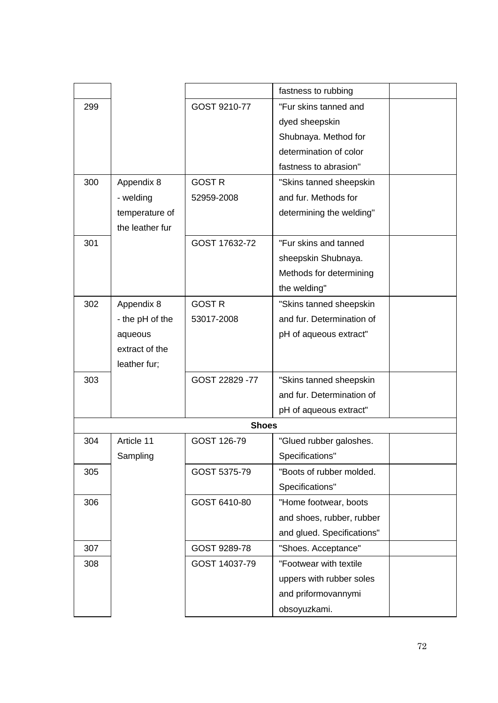|              |                 |                | fastness to rubbing        |  |  |
|--------------|-----------------|----------------|----------------------------|--|--|
| 299          |                 | GOST 9210-77   | "Fur skins tanned and      |  |  |
|              |                 |                | dyed sheepskin             |  |  |
|              |                 |                | Shubnaya. Method for       |  |  |
|              |                 |                | determination of color     |  |  |
|              |                 |                | fastness to abrasion"      |  |  |
| 300          | Appendix 8      | <b>GOST R</b>  | "Skins tanned sheepskin    |  |  |
|              | - welding       | 52959-2008     | and fur. Methods for       |  |  |
|              | temperature of  |                | determining the welding"   |  |  |
|              | the leather fur |                |                            |  |  |
| 301          |                 | GOST 17632-72  | "Fur skins and tanned      |  |  |
|              |                 |                | sheepskin Shubnaya.        |  |  |
|              |                 |                | Methods for determining    |  |  |
|              |                 |                | the welding"               |  |  |
| 302          | Appendix 8      | <b>GOST R</b>  | "Skins tanned sheepskin    |  |  |
|              | - the pH of the | 53017-2008     | and fur. Determination of  |  |  |
|              | aqueous         |                | pH of aqueous extract"     |  |  |
|              | extract of the  |                |                            |  |  |
|              | leather fur;    |                |                            |  |  |
| 303          |                 | GOST 22829 -77 | "Skins tanned sheepskin    |  |  |
|              |                 |                | and fur. Determination of  |  |  |
|              |                 |                | pH of aqueous extract"     |  |  |
| <b>Shoes</b> |                 |                |                            |  |  |
| 304          | Article 11      | GOST 126-79    | "Glued rubber galoshes.    |  |  |
|              | Sampling        |                | Specifications"            |  |  |
| 305          |                 | GOST 5375-79   | "Boots of rubber molded.   |  |  |
|              |                 |                | Specifications"            |  |  |
| 306          |                 | GOST 6410-80   | "Home footwear, boots      |  |  |
|              |                 |                | and shoes, rubber, rubber  |  |  |
|              |                 |                | and glued. Specifications" |  |  |
| 307          |                 | GOST 9289-78   | "Shoes. Acceptance"        |  |  |
| 308          |                 | GOST 14037-79  | "Footwear with textile     |  |  |
|              |                 |                | uppers with rubber soles   |  |  |
|              |                 |                | and priformovannymi        |  |  |
|              |                 |                | obsoyuzkami.               |  |  |
|              |                 |                |                            |  |  |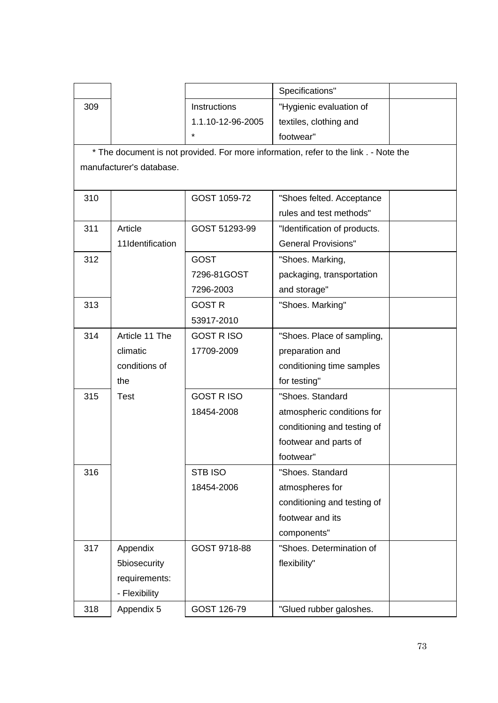|     |                                                                                      |                     | Specifications"              |  |  |  |  |  |
|-----|--------------------------------------------------------------------------------------|---------------------|------------------------------|--|--|--|--|--|
| 309 |                                                                                      | <b>Instructions</b> | "Hygienic evaluation of      |  |  |  |  |  |
|     |                                                                                      | 1.1.10-12-96-2005   | textiles, clothing and       |  |  |  |  |  |
|     |                                                                                      | *                   | footwear"                    |  |  |  |  |  |
|     | * The document is not provided. For more information, refer to the link . - Note the |                     |                              |  |  |  |  |  |
|     | manufacturer's database.                                                             |                     |                              |  |  |  |  |  |
|     |                                                                                      |                     |                              |  |  |  |  |  |
| 310 |                                                                                      | GOST 1059-72        | "Shoes felted. Acceptance    |  |  |  |  |  |
|     |                                                                                      |                     | rules and test methods"      |  |  |  |  |  |
| 311 | Article                                                                              | GOST 51293-99       | "Identification of products. |  |  |  |  |  |
|     | 11Identification                                                                     |                     | <b>General Provisions"</b>   |  |  |  |  |  |
| 312 |                                                                                      | <b>GOST</b>         | "Shoes. Marking,             |  |  |  |  |  |
|     |                                                                                      | 7296-81GOST         | packaging, transportation    |  |  |  |  |  |
|     |                                                                                      | 7296-2003           | and storage"                 |  |  |  |  |  |
| 313 |                                                                                      | <b>GOST R</b>       | "Shoes. Marking"             |  |  |  |  |  |
|     |                                                                                      | 53917-2010          |                              |  |  |  |  |  |
| 314 | Article 11 The                                                                       | <b>GOST RISO</b>    | "Shoes. Place of sampling,   |  |  |  |  |  |
|     | climatic                                                                             | 17709-2009          | preparation and              |  |  |  |  |  |
|     | conditions of                                                                        |                     | conditioning time samples    |  |  |  |  |  |
|     | the                                                                                  |                     | for testing"                 |  |  |  |  |  |
| 315 | <b>Test</b>                                                                          | <b>GOST RISO</b>    | "Shoes. Standard             |  |  |  |  |  |
|     |                                                                                      | 18454-2008          | atmospheric conditions for   |  |  |  |  |  |
|     |                                                                                      |                     | conditioning and testing of  |  |  |  |  |  |
|     |                                                                                      |                     | footwear and parts of        |  |  |  |  |  |
|     |                                                                                      |                     | footwear"                    |  |  |  |  |  |
| 316 |                                                                                      | <b>STB ISO</b>      | "Shoes. Standard             |  |  |  |  |  |
|     |                                                                                      | 18454-2006          | atmospheres for              |  |  |  |  |  |
|     |                                                                                      |                     | conditioning and testing of  |  |  |  |  |  |
|     |                                                                                      |                     | footwear and its             |  |  |  |  |  |
|     |                                                                                      |                     | components"                  |  |  |  |  |  |
| 317 | Appendix                                                                             | GOST 9718-88        | "Shoes. Determination of     |  |  |  |  |  |
|     | 5biosecurity                                                                         |                     | flexibility"                 |  |  |  |  |  |
|     | requirements:                                                                        |                     |                              |  |  |  |  |  |
|     | - Flexibility                                                                        |                     |                              |  |  |  |  |  |
| 318 | Appendix 5                                                                           | GOST 126-79         | "Glued rubber galoshes.      |  |  |  |  |  |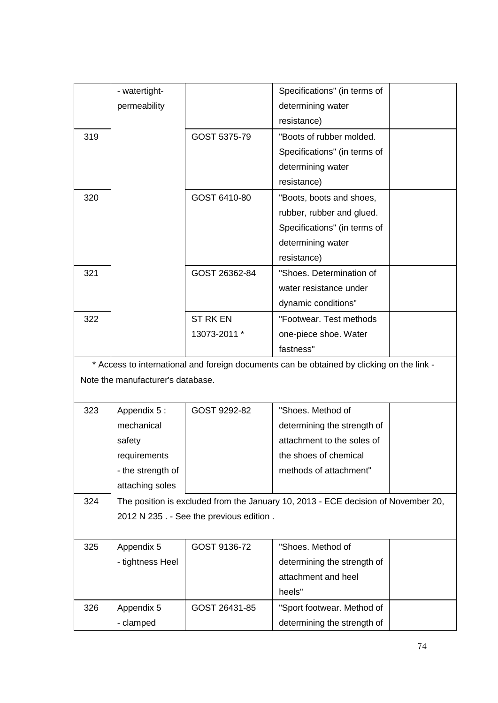|     | - watertight-                     |                                          | Specifications" (in terms of                                                              |  |
|-----|-----------------------------------|------------------------------------------|-------------------------------------------------------------------------------------------|--|
|     | permeability                      |                                          | determining water                                                                         |  |
|     |                                   |                                          | resistance)                                                                               |  |
| 319 |                                   | GOST 5375-79                             | "Boots of rubber molded.                                                                  |  |
|     |                                   |                                          | Specifications" (in terms of                                                              |  |
|     |                                   |                                          | determining water                                                                         |  |
|     |                                   |                                          | resistance)                                                                               |  |
| 320 |                                   | GOST 6410-80                             | "Boots, boots and shoes,                                                                  |  |
|     |                                   |                                          | rubber, rubber and glued.                                                                 |  |
|     |                                   |                                          | Specifications" (in terms of                                                              |  |
|     |                                   |                                          | determining water                                                                         |  |
|     |                                   |                                          | resistance)                                                                               |  |
| 321 |                                   | GOST 26362-84                            | "Shoes. Determination of                                                                  |  |
|     |                                   |                                          | water resistance under                                                                    |  |
|     |                                   |                                          | dynamic conditions"                                                                       |  |
| 322 |                                   | <b>ST RK EN</b>                          | "Footwear, Test methods                                                                   |  |
|     |                                   | 13073-2011 *                             | one-piece shoe. Water                                                                     |  |
|     |                                   |                                          | fastness"                                                                                 |  |
|     |                                   |                                          | * Access to international and foreign documents can be obtained by clicking on the link - |  |
|     | Note the manufacturer's database. |                                          |                                                                                           |  |
|     |                                   |                                          |                                                                                           |  |
| 323 | Appendix 5:                       | GOST 9292-82                             | "Shoes. Method of                                                                         |  |
|     | mechanical                        |                                          | determining the strength of                                                               |  |
|     | safety                            |                                          | attachment to the soles of                                                                |  |
|     | requirements                      |                                          | the shoes of chemical                                                                     |  |
|     | - the strength of                 |                                          | methods of attachment"                                                                    |  |
|     | attaching soles                   |                                          |                                                                                           |  |
| 324 |                                   |                                          | The position is excluded from the January 10, 2013 - ECE decision of November 20,         |  |
|     |                                   | 2012 N 235 . - See the previous edition. |                                                                                           |  |
|     |                                   |                                          |                                                                                           |  |
| 325 | Appendix 5                        | GOST 9136-72                             | "Shoes. Method of                                                                         |  |
|     | - tightness Heel                  |                                          | determining the strength of                                                               |  |
|     |                                   |                                          | attachment and heel                                                                       |  |
|     |                                   |                                          | heels"                                                                                    |  |
| 326 | Appendix 5                        | GOST 26431-85                            | "Sport footwear. Method of                                                                |  |
|     | - clamped                         |                                          | determining the strength of                                                               |  |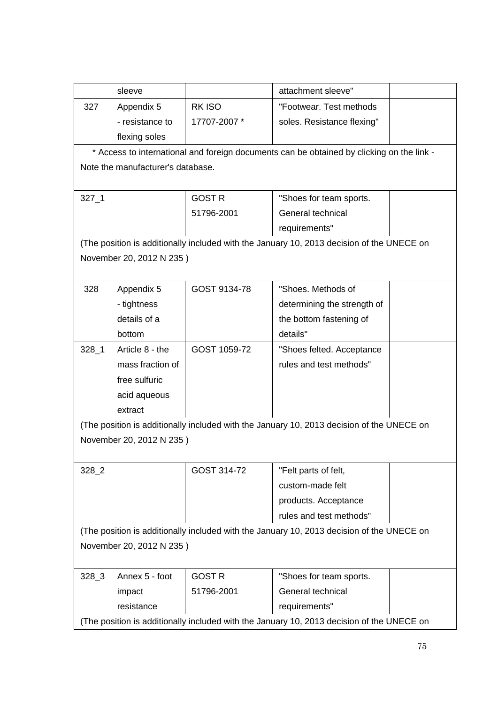|                                                                                           | sleeve                            |               | attachment sleeve"                                                                        |  |
|-------------------------------------------------------------------------------------------|-----------------------------------|---------------|-------------------------------------------------------------------------------------------|--|
| 327                                                                                       | Appendix 5                        | <b>RKISO</b>  | "Footwear. Test methods                                                                   |  |
|                                                                                           | - resistance to                   | 17707-2007 *  | soles. Resistance flexing"                                                                |  |
|                                                                                           | flexing soles                     |               |                                                                                           |  |
|                                                                                           |                                   |               | * Access to international and foreign documents can be obtained by clicking on the link - |  |
|                                                                                           | Note the manufacturer's database. |               |                                                                                           |  |
|                                                                                           |                                   |               |                                                                                           |  |
| $327 - 1$                                                                                 |                                   | <b>GOST R</b> | "Shoes for team sports.                                                                   |  |
|                                                                                           |                                   | 51796-2001    | General technical                                                                         |  |
|                                                                                           |                                   |               | requirements"                                                                             |  |
|                                                                                           |                                   |               | (The position is additionally included with the January 10, 2013 decision of the UNECE on |  |
|                                                                                           | November 20, 2012 N 235)          |               |                                                                                           |  |
|                                                                                           |                                   |               |                                                                                           |  |
| 328                                                                                       | Appendix 5                        | GOST 9134-78  | "Shoes. Methods of                                                                        |  |
|                                                                                           | - tightness                       |               | determining the strength of                                                               |  |
|                                                                                           | details of a                      |               | the bottom fastening of                                                                   |  |
|                                                                                           | bottom                            |               | details"                                                                                  |  |
| $328 - 1$                                                                                 | Article 8 - the                   | GOST 1059-72  | "Shoes felted. Acceptance                                                                 |  |
|                                                                                           | mass fraction of                  |               | rules and test methods"                                                                   |  |
|                                                                                           | free sulfuric                     |               |                                                                                           |  |
|                                                                                           | acid aqueous                      |               |                                                                                           |  |
|                                                                                           | extract                           |               |                                                                                           |  |
|                                                                                           |                                   |               | (The position is additionally included with the January 10, 2013 decision of the UNECE on |  |
| November 20, 2012 N 235)                                                                  |                                   |               |                                                                                           |  |
|                                                                                           |                                   |               |                                                                                           |  |
| 328_2                                                                                     |                                   | GOST 314-72   | "Felt parts of felt,                                                                      |  |
|                                                                                           |                                   |               | custom-made felt                                                                          |  |
|                                                                                           |                                   |               | products. Acceptance                                                                      |  |
|                                                                                           |                                   |               | rules and test methods"                                                                   |  |
|                                                                                           |                                   |               | (The position is additionally included with the January 10, 2013 decision of the UNECE on |  |
|                                                                                           | November 20, 2012 N 235)          |               |                                                                                           |  |
|                                                                                           |                                   |               |                                                                                           |  |
| 328_3                                                                                     | Annex 5 - foot                    | <b>GOST R</b> | "Shoes for team sports.                                                                   |  |
|                                                                                           | impact                            | 51796-2001    | General technical                                                                         |  |
|                                                                                           | resistance                        |               | requirements"                                                                             |  |
|                                                                                           |                                   |               |                                                                                           |  |
| (The position is additionally included with the January 10, 2013 decision of the UNECE on |                                   |               |                                                                                           |  |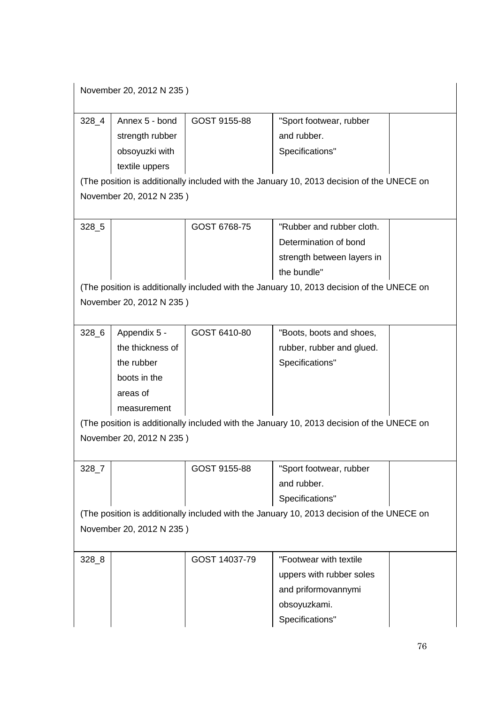| November 20, 2012 N 235) |  |
|--------------------------|--|
|--------------------------|--|

| 328 4                    | Annex 5 - bond  | GOST 9155-88 | "Sport footwear, rubber                                                                   |  |
|--------------------------|-----------------|--------------|-------------------------------------------------------------------------------------------|--|
|                          | strength rubber |              | and rubber.                                                                               |  |
|                          | obsoyuzki with  |              | Specifications"                                                                           |  |
|                          | textile uppers  |              |                                                                                           |  |
|                          |                 |              | (The position is additionally included with the January 10, 2013 decision of the UNECE on |  |
| November 20, 2012 N 235) |                 |              |                                                                                           |  |
|                          |                 |              |                                                                                           |  |
| 328 5                    |                 | GOST 6768-75 | "Rubber and rubber cloth.                                                                 |  |
|                          |                 |              | Determination of bond                                                                     |  |
|                          |                 |              | strength between layers in                                                                |  |
|                          |                 |              |                                                                                           |  |

(The position is additionally included with the January 10, 2013 decision of the UNECE on November 20, 2012 N 235 )

the bundle"

| 328 6 | Appendix 5 -     | GOST 6410-80 | "Boots, boots and shoes,  |  |
|-------|------------------|--------------|---------------------------|--|
|       | the thickness of |              | rubber, rubber and glued. |  |
|       | the rubber       |              | Specifications"           |  |
|       | boots in the     |              |                           |  |
|       | areas of         |              |                           |  |
|       | measurement      |              |                           |  |

(The position is additionally included with the January 10, 2013 decision of the UNECE on November 20, 2012 N 235 )

| 328 i | GOST 9155-88 | "Sport footwear, rubber                                                                    |  |
|-------|--------------|--------------------------------------------------------------------------------------------|--|
|       |              | and rubber.                                                                                |  |
|       |              | Specifications"                                                                            |  |
|       |              | (The pecition is additionally included with the Jenuary 10, 2012 decision of the LINECE on |  |

(The position is additionally included with the January 10, 2013 decision of the UNECE on November 20, 2012 N 235 )

| $328 - 8$ | GOST 14037-79 | "Footwear with textile   |  |
|-----------|---------------|--------------------------|--|
|           |               | uppers with rubber soles |  |
|           |               | and priformovannymi      |  |
|           |               | obsoyuzkami.             |  |
|           |               | Specifications"          |  |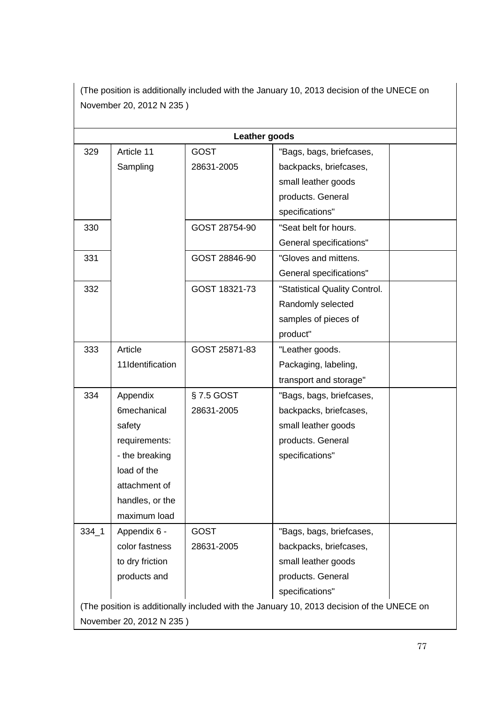(The position is additionally included with the January 10, 2013 decision of the UNECE on November 20, 2012 N 235 )

|           | Leather goods            |               |                                                                                           |  |  |  |
|-----------|--------------------------|---------------|-------------------------------------------------------------------------------------------|--|--|--|
| 329       | Article 11               | <b>GOST</b>   | "Bags, bags, briefcases,                                                                  |  |  |  |
|           | Sampling                 | 28631-2005    | backpacks, briefcases,                                                                    |  |  |  |
|           |                          |               | small leather goods                                                                       |  |  |  |
|           |                          |               | products. General                                                                         |  |  |  |
|           |                          |               | specifications"                                                                           |  |  |  |
| 330       |                          | GOST 28754-90 | "Seat belt for hours.                                                                     |  |  |  |
|           |                          |               | General specifications"                                                                   |  |  |  |
| 331       |                          | GOST 28846-90 | "Gloves and mittens.                                                                      |  |  |  |
|           |                          |               | General specifications"                                                                   |  |  |  |
| 332       |                          | GOST 18321-73 | "Statistical Quality Control.                                                             |  |  |  |
|           |                          |               | Randomly selected                                                                         |  |  |  |
|           |                          |               | samples of pieces of                                                                      |  |  |  |
|           |                          |               | product"                                                                                  |  |  |  |
| 333       | Article                  | GOST 25871-83 | "Leather goods.                                                                           |  |  |  |
|           | 11Identification         |               | Packaging, labeling,                                                                      |  |  |  |
|           |                          |               | transport and storage"                                                                    |  |  |  |
| 334       | Appendix                 | §7.5 GOST     | "Bags, bags, briefcases,                                                                  |  |  |  |
|           | 6mechanical              | 28631-2005    | backpacks, briefcases,                                                                    |  |  |  |
|           | safety                   |               | small leather goods                                                                       |  |  |  |
|           | requirements:            |               | products. General                                                                         |  |  |  |
|           | - the breaking           |               | specifications"                                                                           |  |  |  |
|           | load of the              |               |                                                                                           |  |  |  |
|           | attachment of            |               |                                                                                           |  |  |  |
|           | handles, or the          |               |                                                                                           |  |  |  |
|           | maximum load             |               |                                                                                           |  |  |  |
| $334 - 1$ | Appendix 6 -             | <b>GOST</b>   | "Bags, bags, briefcases,                                                                  |  |  |  |
|           | color fastness           | 28631-2005    | backpacks, briefcases,                                                                    |  |  |  |
|           | to dry friction          |               | small leather goods                                                                       |  |  |  |
|           | products and             |               | products. General                                                                         |  |  |  |
|           |                          |               | specifications"                                                                           |  |  |  |
|           |                          |               | (The position is additionally included with the January 10, 2013 decision of the UNECE on |  |  |  |
|           | November 20, 2012 N 235) |               |                                                                                           |  |  |  |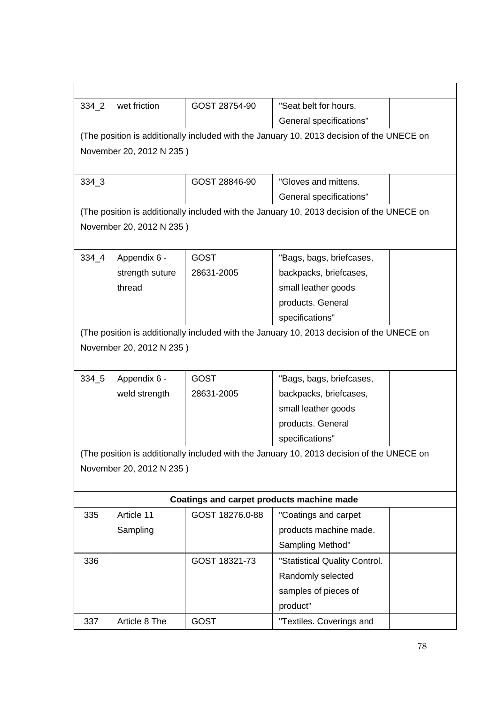| $334\_2$  | wet friction             | GOST 28754-90                             | "Seat belt for hours.                                                                     |  |
|-----------|--------------------------|-------------------------------------------|-------------------------------------------------------------------------------------------|--|
|           |                          |                                           | General specifications"                                                                   |  |
|           |                          |                                           | (The position is additionally included with the January 10, 2013 decision of the UNECE on |  |
|           | November 20, 2012 N 235) |                                           |                                                                                           |  |
|           |                          |                                           |                                                                                           |  |
| 334 3     |                          | GOST 28846-90                             | "Gloves and mittens.                                                                      |  |
|           |                          |                                           | General specifications"                                                                   |  |
|           |                          |                                           | (The position is additionally included with the January 10, 2013 decision of the UNECE on |  |
|           | November 20, 2012 N 235) |                                           |                                                                                           |  |
|           |                          |                                           |                                                                                           |  |
| $334 - 4$ | Appendix 6 -             | <b>GOST</b>                               | "Bags, bags, briefcases,                                                                  |  |
|           | strength suture          | 28631-2005                                | backpacks, briefcases,                                                                    |  |
|           | thread                   |                                           | small leather goods                                                                       |  |
|           |                          |                                           | products. General                                                                         |  |
|           |                          |                                           | specifications"                                                                           |  |
|           |                          |                                           | (The position is additionally included with the January 10, 2013 decision of the UNECE on |  |
|           | November 20, 2012 N 235) |                                           |                                                                                           |  |
|           |                          |                                           |                                                                                           |  |
| 334_5     | Appendix 6 -             | <b>GOST</b>                               | "Bags, bags, briefcases,                                                                  |  |
|           | weld strength            | 28631-2005                                | backpacks, briefcases,                                                                    |  |
|           |                          |                                           | small leather goods                                                                       |  |
|           |                          |                                           | products. General                                                                         |  |
|           |                          |                                           | specifications"                                                                           |  |
|           |                          |                                           | (The position is additionally included with the January 10, 2013 decision of the UNECE on |  |
|           | November 20, 2012 N 235) |                                           |                                                                                           |  |
|           |                          |                                           |                                                                                           |  |
|           |                          | Coatings and carpet products machine made |                                                                                           |  |
| 335       | Article 11               | GOST 18276.0-88                           | "Coatings and carpet                                                                      |  |
|           | Sampling                 |                                           | products machine made.                                                                    |  |
|           |                          |                                           | Sampling Method"                                                                          |  |
| 336       |                          | GOST 18321-73                             | "Statistical Quality Control.                                                             |  |
|           |                          |                                           | Randomly selected                                                                         |  |
|           |                          |                                           | samples of pieces of                                                                      |  |
|           |                          |                                           | product"                                                                                  |  |
| 337       | Article 8 The            | <b>GOST</b>                               | "Textiles. Coverings and                                                                  |  |